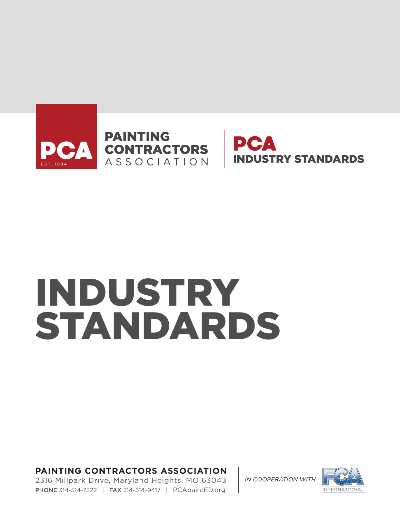



# INDUSTRY STANDARDS

**PAINTING CONTRACTORS ASSOCIATION** 

2316 Millpark Drive, Maryland Heights, MO 63043 PHONE 314-514-7322 | FAX 314-514-9417 | PCApaintED.org

*IN COOPERATION WITH*

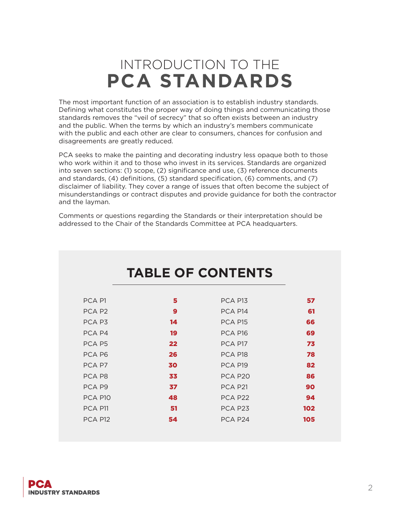## INTRODUCTION TO THE **PCA STANDARDS**

The most important function of an association is to establish industry standards. Defining what constitutes the proper way of doing things and communicating those standards removes the "veil of secrecy" that so often exists between an industry and the public. When the terms by which an industry's members communicate with the public and each other are clear to consumers, chances for confusion and disagreements are greatly reduced.

PCA seeks to make the painting and decorating industry less opaque both to those who work within it and to those who invest in its services. Standards are organized into seven sections: (1) scope, (2) significance and use, (3) reference documents and standards, (4) definitions, (5) standard specification, (6) comments, and (7) disclaimer of liability. They cover a range of issues that often become the subject of misunderstandings or contract disputes and provide guidance for both the contractor and the layman.

Comments or questions regarding the Standards or their interpretation should be addressed to the Chair of the Standards Committee at PCA headquarters.

| <b>TABLE OF CONTENTS</b> |                  |                     |     |
|--------------------------|------------------|---------------------|-----|
|                          |                  |                     |     |
| PCA <sub>P1</sub>        | 5                | PCA P13             | 57  |
| PCA P <sub>2</sub>       | $\boldsymbol{9}$ | PCA P14             | 61  |
| PCA P3                   | 14               | PCA P15             | 66  |
| PCA P4                   | 19               | PCA P16             | 69  |
| PCA P5                   | 22               | PCA P17             | 73  |
| PCA P6                   | 26               | PCA P18             | 78  |
| PCA P7                   | 30               | PCA P19             | 82  |
| PCA P8                   | 33               | PCA P <sub>20</sub> | 86  |
| PCA P9                   | 37               | PCA P21             | 90  |
| PCA P10                  | 48               | PCA P22             | 94  |
| PCA P11                  | 51               | PCA P <sub>23</sub> | 102 |
| PCA P12                  | 54               | PCA P24             | 105 |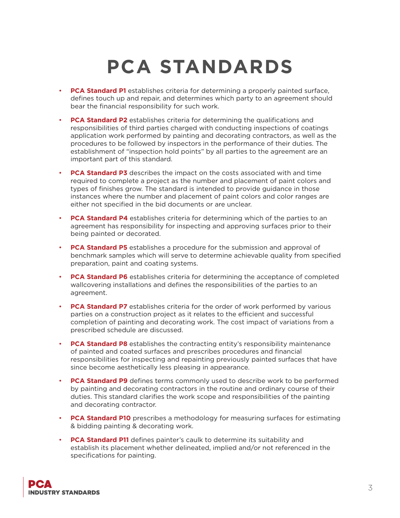## **PCA STANDARDS**

- **PCA Standard P1** establishes criteria for determining a properly painted surface, defines touch up and repair, and determines which party to an agreement should bear the financial responsibility for such work.
- **PCA Standard P2** establishes criteria for determining the qualifications and responsibilities of third parties charged with conducting inspections of coatings application work performed by painting and decorating contractors, as well as the procedures to be followed by inspectors in the performance of their duties. The establishment of "inspection hold points" by all parties to the agreement are an important part of this standard.
- **PCA Standard P3** describes the impact on the costs associated with and time required to complete a project as the number and placement of paint colors and types of finishes grow. The standard is intended to provide guidance in those instances where the number and placement of paint colors and color ranges are either not specified in the bid documents or are unclear.
- **PCA Standard P4** establishes criteria for determining which of the parties to an agreement has responsibility for inspecting and approving surfaces prior to their being painted or decorated.
- **PCA Standard P5** establishes a procedure for the submission and approval of benchmark samples which will serve to determine achievable quality from specified preparation, paint and coating systems.
- **PCA Standard P6** establishes criteria for determining the acceptance of completed wallcovering installations and defines the responsibilities of the parties to an agreement.
- **PCA Standard P7** establishes criteria for the order of work performed by various parties on a construction project as it relates to the efficient and successful completion of painting and decorating work. The cost impact of variations from a prescribed schedule are discussed.
- **PCA Standard P8** establishes the contracting entity's responsibility maintenance of painted and coated surfaces and prescribes procedures and financial responsibilities for inspecting and repainting previously painted surfaces that have since become aesthetically less pleasing in appearance.
- **PCA Standard P9** defines terms commonly used to describe work to be performed by painting and decorating contractors in the routine and ordinary course of their duties. This standard clarifies the work scope and responsibilities of the painting and decorating contractor.
- **PCA Standard P10** prescribes a methodology for measuring surfaces for estimating & bidding painting & decorating work.
- **PCA Standard P11** defines painter's caulk to determine its suitability and establish its placement whether delineated, implied and/or not referenced in the specifications for painting.

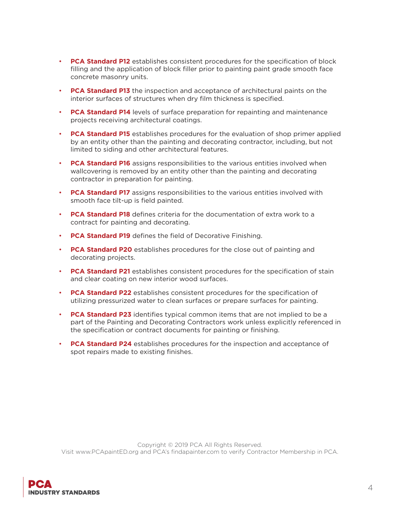- **PCA Standard P12** establishes consistent procedures for the specification of block filling and the application of block filler prior to painting paint grade smooth face concrete masonry units.
- **PCA Standard P13** the inspection and acceptance of architectural paints on the interior surfaces of structures when dry film thickness is specified.
- **PCA Standard P14** levels of surface preparation for repainting and maintenance projects receiving architectural coatings.
- **PCA Standard P15** establishes procedures for the evaluation of shop primer applied by an entity other than the painting and decorating contractor, including, but not limited to siding and other architectural features.
- **PCA Standard P16** assigns responsibilities to the various entities involved when wallcovering is removed by an entity other than the painting and decorating contractor in preparation for painting.
- **PCA Standard P17** assigns responsibilities to the various entities involved with smooth face tilt-up is field painted.
- **PCA Standard P18** defines criteria for the documentation of extra work to a contract for painting and decorating.
- **PCA Standard P19** defines the field of Decorative Finishing.
- **PCA Standard P20** establishes procedures for the close out of painting and decorating projects.
- **PCA Standard P21** establishes consistent procedures for the specification of stain and clear coating on new interior wood surfaces.
- **PCA Standard P22** establishes consistent procedures for the specification of utilizing pressurized water to clean surfaces or prepare surfaces for painting.
- **PCA Standard P23** identifies typical common items that are not implied to be a part of the Painting and Decorating Contractors work unless explicitly referenced in the specification or contract documents for painting or finishing.
- **PCA Standard P24** establishes procedures for the inspection and acceptance of spot repairs made to existing finishes.

Copyright © 2019 PCA All Rights Reserved. Visit www.PCApaintED.org and PCA's findapainter.com to verify Contractor Membership in PCA.

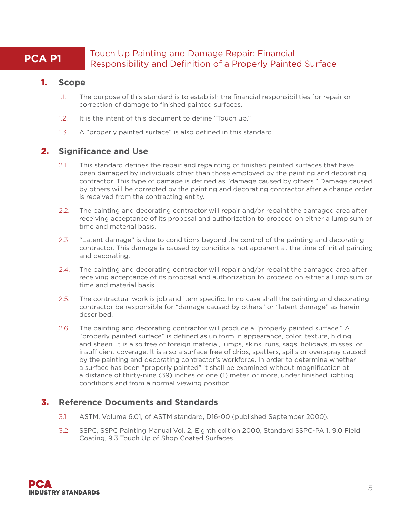## **PCA P1** Touch Up Painting and Damage Repair: Financial Responsibility and Definition of a Properly Painted Surface

#### 1. **Scope**

- 1.1. The purpose of this standard is to establish the financial responsibilities for repair or correction of damage to finished painted surfaces.
- 1.2. It is the intent of this document to define "Touch up."
- 1.3. A "properly painted surface" is also defined in this standard.

#### 2. **Significance and Use**

- 2.1. This standard defines the repair and repainting of finished painted surfaces that have been damaged by individuals other than those employed by the painting and decorating contractor. This type of damage is defined as "damage caused by others." Damage caused by others will be corrected by the painting and decorating contractor after a change order is received from the contracting entity.
- 2.2. The painting and decorating contractor will repair and/or repaint the damaged area after receiving acceptance of its proposal and authorization to proceed on either a lump sum or time and material basis.
- 2.3. "Latent damage" is due to conditions beyond the control of the painting and decorating contractor. This damage is caused by conditions not apparent at the time of initial painting and decorating.
- 2.4. The painting and decorating contractor will repair and/or repaint the damaged area after receiving acceptance of its proposal and authorization to proceed on either a lump sum or time and material basis.
- 2.5. The contractual work is job and item specific. In no case shall the painting and decorating contractor be responsible for "damage caused by others" or "latent damage" as herein described.
- 2.6. The painting and decorating contractor will produce a "properly painted surface." A "properly painted surface" is defined as uniform in appearance, color, texture, hiding and sheen. It is also free of foreign material, lumps, skins, runs, sags, holidays, misses, or insufficient coverage. It is also a surface free of drips, spatters, spills or overspray caused by the painting and decorating contractor's workforce. In order to determine whether a surface has been "properly painted" it shall be examined without magnification at a distance of thirty-nine (39) inches or one (1) meter, or more, under finished lighting conditions and from a normal viewing position.

#### 3. **Reference Documents and Standards**

- 3.1. ASTM, Volume 6.01, of ASTM standard, D16-00 (published September 2000).
- 3.2. SSPC, SSPC Painting Manual Vol. 2, Eighth edition 2000, Standard SSPC-PA 1, 9.0 Field Coating, 9.3 Touch Up of Shop Coated Surfaces.

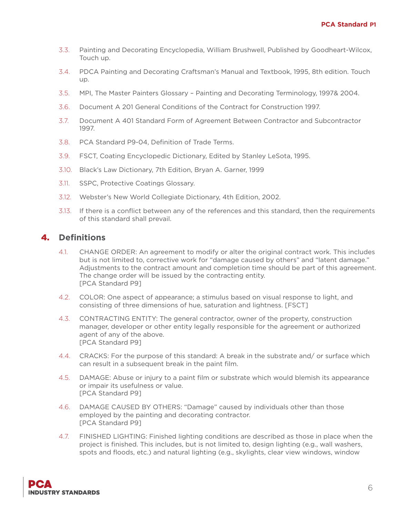- 3.3. Painting and Decorating Encyclopedia, William Brushwell, Published by Goodheart-Wilcox, Touch up.
- 3.4. PDCA Painting and Decorating Craftsman's Manual and Textbook, 1995, 8th edition. Touch up.
- 3.5. MPI, The Master Painters Glossary Painting and Decorating Terminology, 1997& 2004.
- 3.6. Document A 201 General Conditions of the Contract for Construction 1997.
- 3.7. Document A 401 Standard Form of Agreement Between Contractor and Subcontractor 1997.
- 3.8. PCA Standard P9-04, Definition of Trade Terms.
- 3.9. FSCT, Coating Encyclopedic Dictionary, Edited by Stanley LeSota, 1995.
- 3.10. Black's Law Dictionary, 7th Edition, Bryan A. Garner, 1999
- 3.11. SSPC, Protective Coatings Glossary.
- 3.12. Webster's New World Collegiate Dictionary, 4th Edition, 2002.
- 3.13. If there is a conflict between any of the references and this standard, then the requirements of this standard shall prevail.

## 4. **Definitions**

- 4.1. CHANGE ORDER: An agreement to modify or alter the original contract work. This includes but is not limited to, corrective work for "damage caused by others" and "latent damage." Adjustments to the contract amount and completion time should be part of this agreement. The change order will be issued by the contracting entity. [PCA Standard P9]
- 4.2. COLOR: One aspect of appearance; a stimulus based on visual response to light, and consisting of three dimensions of hue, saturation and lightness. [FSCT]
- 4.3. CONTRACTING ENTITY: The general contractor, owner of the property, construction manager, developer or other entity legally responsible for the agreement or authorized agent of any of the above. [PCA Standard P9]
- 4.4. CRACKS: For the purpose of this standard: A break in the substrate and/ or surface which can result in a subsequent break in the paint film.
- 4.5. DAMAGE: Abuse or injury to a paint film or substrate which would blemish its appearance or impair its usefulness or value. [PCA Standard P9]
- 4.6. DAMAGE CAUSED BY OTHERS: "Damage" caused by individuals other than those employed by the painting and decorating contractor. [PCA Standard P9]
- 4.7. FINISHED LIGHTING: Finished lighting conditions are described as those in place when the project is finished. This includes, but is not limited to, design lighting (e.g., wall washers, spots and floods, etc.) and natural lighting (e.g., skylights, clear view windows, window

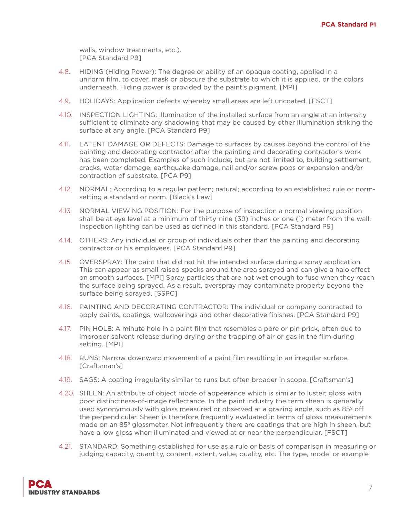walls, window treatments, etc.). [PCA Standard P9]

- 4.8. HIDING (Hiding Power): The degree or ability of an opaque coating, applied in a uniform film, to cover, mask or obscure the substrate to which it is applied, or the colors underneath. Hiding power is provided by the paint's pigment. [MPI]
- 4.9. HOLIDAYS: Application defects whereby small areas are left uncoated. [FSCT]
- 4.10. INSPECTION LIGHTING: Illumination of the installed surface from an angle at an intensity sufficient to eliminate any shadowing that may be caused by other illumination striking the surface at any angle. [PCA Standard P9]
- 4.11. LATENT DAMAGE OR DEFECTS: Damage to surfaces by causes beyond the control of the painting and decorating contractor after the painting and decorating contractor's work has been completed. Examples of such include, but are not limited to, building settlement, cracks, water damage, earthquake damage, nail and/or screw pops or expansion and/or contraction of substrate. [PCA P9]
- 4.12. NORMAL: According to a regular pattern; natural; according to an established rule or normsetting a standard or norm. [Black's Law]
- 4.13. NORMAL VIEWING POSITION: For the purpose of inspection a normal viewing position shall be at eye level at a minimum of thirty-nine (39) inches or one (1) meter from the wall. Inspection lighting can be used as defined in this standard. [PCA Standard P9]
- 4.14. OTHERS: Any individual or group of individuals other than the painting and decorating contractor or his employees. [PCA Standard P9]
- 4.15. OVERSPRAY: The paint that did not hit the intended surface during a spray application. This can appear as small raised specks around the area sprayed and can give a halo effect on smooth surfaces. [MPI] Spray particles that are not wet enough to fuse when they reach the surface being sprayed. As a result, overspray may contaminate property beyond the surface being sprayed. [SSPC]
- 4.16. PAINTING AND DECORATING CONTRACTOR: The individual or company contracted to apply paints, coatings, wallcoverings and other decorative finishes. [PCA Standard P9]
- 4.17. PIN HOLE: A minute hole in a paint film that resembles a pore or pin prick, often due to improper solvent release during drying or the trapping of air or gas in the film during setting. [MPI]
- 4.18. RUNS: Narrow downward movement of a paint film resulting in an irregular surface. [Craftsman's]
- 4.19. SAGS: A coating irregularity similar to runs but often broader in scope. [Craftsman's]
- 4.20. SHEEN: An attribute of object mode of appearance which is similar to luster; gloss with poor distinctness-of-image reflectance. In the paint industry the term sheen is generally used synonymously with gloss measured or observed at a grazing angle, such as 85<sup>°</sup> off the perpendicular. Sheen is therefore frequently evaluated in terms of gloss measurements made on an 85º glossmeter. Not infrequently there are coatings that are high in sheen, but have a low gloss when illuminated and viewed at or near the perpendicular. [FSCT]
- 4.21. STANDARD: Something established for use as a rule or basis of comparison in measuring or judging capacity, quantity, content, extent, value, quality, etc. The type, model or example

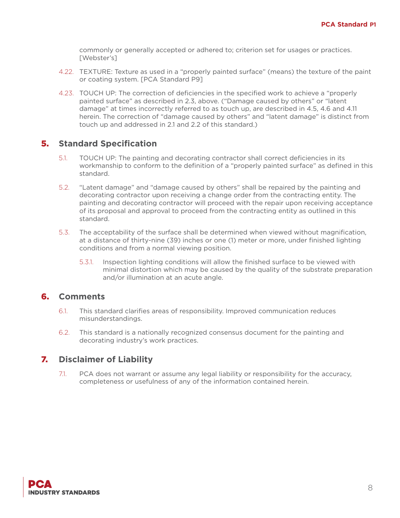commonly or generally accepted or adhered to; criterion set for usages or practices. [Webster's]

- 4.22. TEXTURE: Texture as used in a "properly painted surface" (means) the texture of the paint or coating system. [PCA Standard P9]
- 4.23. TOUCH UP: The correction of deficiencies in the specified work to achieve a "properly painted surface" as described in 2.3, above. ("Damage caused by others" or "latent damage" at times incorrectly referred to as touch up, are described in 4.5, 4.6 and 4.11 herein. The correction of "damage caused by others" and "latent damage" is distinct from touch up and addressed in 2.1 and 2.2 of this standard.)

#### 5. **Standard Specification**

- 5.1. TOUCH UP: The painting and decorating contractor shall correct deficiencies in its workmanship to conform to the definition of a "properly painted surface" as defined in this standard.
- 5.2. "Latent damage" and "damage caused by others" shall be repaired by the painting and decorating contractor upon receiving a change order from the contracting entity. The painting and decorating contractor will proceed with the repair upon receiving acceptance of its proposal and approval to proceed from the contracting entity as outlined in this standard.
- 5.3. The acceptability of the surface shall be determined when viewed without magnification, at a distance of thirty-nine (39) inches or one (1) meter or more, under finished lighting conditions and from a normal viewing position.
	- 5.3.1. Inspection lighting conditions will allow the finished surface to be viewed with minimal distortion which may be caused by the quality of the substrate preparation and/or illumination at an acute angle.

#### 6. **Comments**

- 6.1. This standard clarifies areas of responsibility. Improved communication reduces misunderstandings.
- 6.2. This standard is a nationally recognized consensus document for the painting and decorating industry's work practices.

## 7. **Disclaimer of Liability**

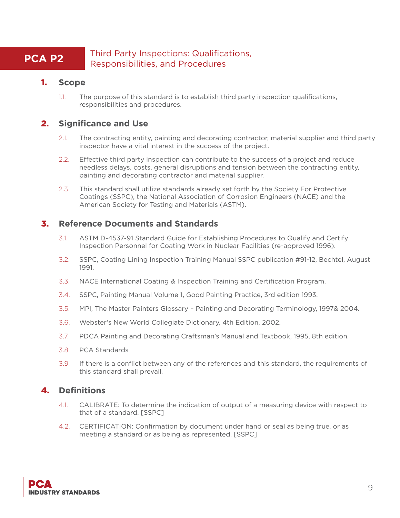#### **PCA P2** Third Party Inspections: Qualifications, Responsibilities, and Procedures

#### 1. **Scope**

1.1. The purpose of this standard is to establish third party inspection qualifications, responsibilities and procedures.

## 2. **Significance and Use**

- 2.1. The contracting entity, painting and decorating contractor, material supplier and third party inspector have a vital interest in the success of the project.
- 2.2. Effective third party inspection can contribute to the success of a project and reduce needless delays, costs, general disruptions and tension between the contracting entity, painting and decorating contractor and material supplier.
- 2.3. This standard shall utilize standards already set forth by the Society For Protective Coatings (SSPC), the National Association of Corrosion Engineers (NACE) and the American Society for Testing and Materials (ASTM).

#### 3. **Reference Documents and Standards**

- 3.1. ASTM D-4537-91 Standard Guide for Establishing Procedures to Qualify and Certify Inspection Personnel for Coating Work in Nuclear Facilities (re-approved 1996).
- 3.2. SSPC, Coating Lining Inspection Training Manual SSPC publication #91-12, Bechtel, August 1991.
- 3.3. NACE International Coating & Inspection Training and Certification Program.
- 3.4. SSPC, Painting Manual Volume 1, Good Painting Practice, 3rd edition 1993.
- 3.5. MPI, The Master Painters Glossary Painting and Decorating Terminology, 1997& 2004.
- 3.6. Webster's New World Collegiate Dictionary, 4th Edition, 2002.
- 3.7. PDCA Painting and Decorating Craftsman's Manual and Textbook, 1995, 8th edition.
- 3.8. PCA Standards
- 3.9. If there is a conflict between any of the references and this standard, the requirements of this standard shall prevail.

#### 4. **Definitions**

- 4.1. CALIBRATE: To determine the indication of output of a measuring device with respect to that of a standard. [SSPC]
- 4.2. CERTIFICATION: Confirmation by document under hand or seal as being true, or as meeting a standard or as being as represented. [SSPC]

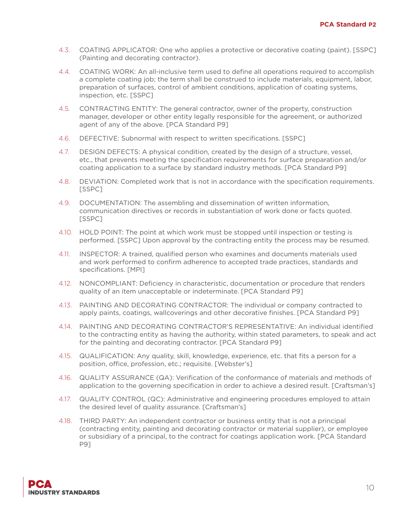- 4.3. COATING APPLICATOR: One who applies a protective or decorative coating (paint). [SSPC] (Painting and decorating contractor).
- 4.4. COATING WORK: An all-inclusive term used to define all operations required to accomplish a complete coating job; the term shall be construed to include materials, equipment, labor, preparation of surfaces, control of ambient conditions, application of coating systems, inspection, etc. [SSPC]
- 4.5. CONTRACTING ENTITY: The general contractor, owner of the property, construction manager, developer or other entity legally responsible for the agreement, or authorized agent of any of the above. [PCA Standard P9]
- 4.6. DEFECTIVE: Subnormal with respect to written specifications. [SSPC]
- 4.7. DESIGN DEFECTS: A physical condition, created by the design of a structure, vessel, etc., that prevents meeting the specification requirements for surface preparation and/or coating application to a surface by standard industry methods. [PCA Standard P9]
- 4.8. DEVIATION: Completed work that is not in accordance with the specification requirements. [SSPC]
- 4.9. DOCUMENTATION: The assembling and dissemination of written information, communication directives or records in substantiation of work done or facts quoted. [SSPC]
- 4.10. HOLD POINT: The point at which work must be stopped until inspection or testing is performed. [SSPC] Upon approval by the contracting entity the process may be resumed.
- 4.11. INSPECTOR: A trained, qualified person who examines and documents materials used and work performed to confirm adherence to accepted trade practices, standards and specifications. [MPI]
- 4.12. NONCOMPLIANT: Deficiency in characteristic, documentation or procedure that renders quality of an item unacceptable or indeterminate. [PCA Standard P9]
- 4.13. PAINTING AND DECORATING CONTRACTOR: The individual or company contracted to apply paints, coatings, wallcoverings and other decorative finishes. [PCA Standard P9]
- 4.14. PAINTING AND DECORATING CONTRACTOR'S REPRESENTATIVE: An individual identified to the contracting entity as having the authority, within stated parameters, to speak and act for the painting and decorating contractor. [PCA Standard P9]
- 4.15. QUALIFICATION: Any quality, skill, knowledge, experience, etc. that fits a person for a position, office, profession, etc.; requisite. [Webster's]
- 4.16. QUALITY ASSURANCE (QA): Verification of the conformance of materials and methods of application to the governing specification in order to achieve a desired result. [Craftsman's]
- 4.17. QUALITY CONTROL (QC): Administrative and engineering procedures employed to attain the desired level of quality assurance. [Craftsman's]
- 4.18. THIRD PARTY: An independent contractor or business entity that is not a principal (contracting entity, painting and decorating contractor or material supplier), or employee or subsidiary of a principal, to the contract for coatings application work. [PCA Standard P9]

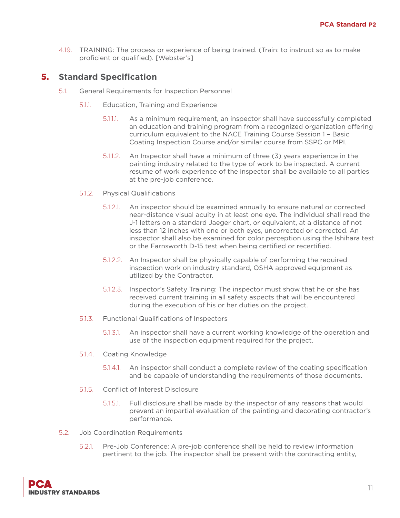4.19. TRAINING: The process or experience of being trained. (Train: to instruct so as to make proficient or qualified). [Webster's]

- 5.1. General Requirements for Inspection Personnel
	- 5.1.1. Education, Training and Experience
		- 5.1.1.1. As a minimum requirement, an inspector shall have successfully completed an education and training program from a recognized organization offering curriculum equivalent to the NACE Training Course Session 1 – Basic Coating Inspection Course and/or similar course from SSPC or MPI.
		- 5.1.1.2. An Inspector shall have a minimum of three (3) years experience in the painting industry related to the type of work to be inspected. A current resume of work experience of the inspector shall be available to all parties at the pre-job conference.
	- 5.1.2. Physical Qualifications
		- 5.1.2.1. An inspector should be examined annually to ensure natural or corrected near-distance visual acuity in at least one eye. The individual shall read the J-1 letters on a standard Jaeger chart, or equivalent, at a distance of not less than 12 inches with one or both eyes, uncorrected or corrected. An inspector shall also be examined for color perception using the Ishihara test or the Farnsworth D-15 test when being certified or recertified.
		- 5.1.2.2. An Inspector shall be physically capable of performing the required inspection work on industry standard, OSHA approved equipment as utilized by the Contractor.
		- 5.1.2.3. Inspector's Safety Training: The inspector must show that he or she has received current training in all safety aspects that will be encountered during the execution of his or her duties on the project.
	- 5.1.3. Functional Qualifications of Inspectors
		- 5.1.3.1. An inspector shall have a current working knowledge of the operation and use of the inspection equipment required for the project.
	- 5.1.4. Coating Knowledge
		- 5.1.4.1. An inspector shall conduct a complete review of the coating specification and be capable of understanding the requirements of those documents.
	- 5.1.5. Conflict of Interest Disclosure
		- 5.1.5.1. Full disclosure shall be made by the inspector of any reasons that would prevent an impartial evaluation of the painting and decorating contractor's performance.
- 5.2. Job Coordination Requirements
	- 5.2.1. Pre-Job Conference: A pre-job conference shall be held to review information pertinent to the job. The inspector shall be present with the contracting entity,

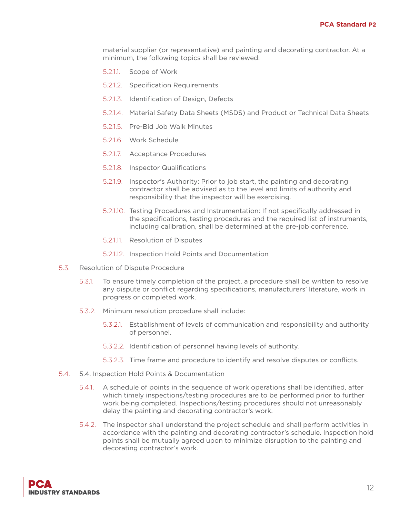material supplier (or representative) and painting and decorating contractor. At a minimum, the following topics shall be reviewed:

- 5.2.1.1. Scope of Work
- 5.2.1.2. Specification Requirements
- 5.2.1.3. Identification of Design, Defects
- 5.2.1.4. Material Safety Data Sheets (MSDS) and Product or Technical Data Sheets
- 5.2.1.5. Pre-Bid Job Walk Minutes
- 5.2.1.6. Work Schedule
- 5.2.1.7. Acceptance Procedures
- 5.2.1.8. Inspector Qualifications
- 5.2.1.9. Inspector's Authority: Prior to job start, the painting and decorating contractor shall be advised as to the level and limits of authority and responsibility that the inspector will be exercising.
- 5.2.1.10. Testing Procedures and Instrumentation: If not specifically addressed in the specifications, testing procedures and the required list of instruments, including calibration, shall be determined at the pre-job conference.
- 5.2.1.11. Resolution of Disputes
- 5.2.1.12. Inspection Hold Points and Documentation
- 5.3. Resolution of Dispute Procedure
	- 5.3.1. To ensure timely completion of the project, a procedure shall be written to resolve any dispute or conflict regarding specifications, manufacturers' literature, work in progress or completed work.
	- 5.3.2. Minimum resolution procedure shall include:
		- 5.3.2.1. Establishment of levels of communication and responsibility and authority of personnel.
		- 5.3.2.2. Identification of personnel having levels of authority.
		- 5.3.2.3. Time frame and procedure to identify and resolve disputes or conflicts.
- 5.4. 5.4. Inspection Hold Points & Documentation
	- 5.4.1. A schedule of points in the sequence of work operations shall be identified, after which timely inspections/testing procedures are to be performed prior to further work being completed. Inspections/testing procedures should not unreasonably delay the painting and decorating contractor's work.
	- 5.4.2. The inspector shall understand the project schedule and shall perform activities in accordance with the painting and decorating contractor's schedule. Inspection hold points shall be mutually agreed upon to minimize disruption to the painting and decorating contractor's work.

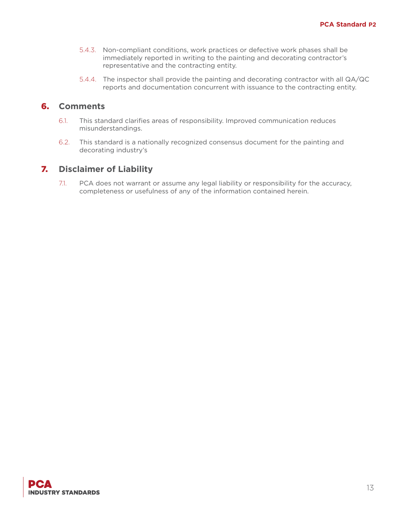- 5.4.3. Non-compliant conditions, work practices or defective work phases shall be immediately reported in writing to the painting and decorating contractor's representative and the contracting entity.
- 5.4.4. The inspector shall provide the painting and decorating contractor with all QA/QC reports and documentation concurrent with issuance to the contracting entity.

#### 6. **Comments**

- 6.1. This standard clarifies areas of responsibility. Improved communication reduces misunderstandings.
- 6.2. This standard is a nationally recognized consensus document for the painting and decorating industry's

#### 7. **Disclaimer of Liability**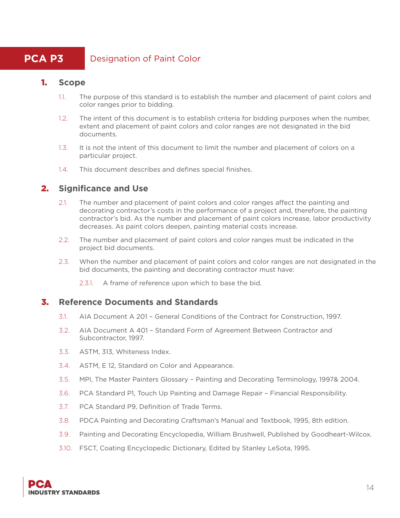## **PCA P3** Designation of Paint Color

#### 1. **Scope**

- 1.1. The purpose of this standard is to establish the number and placement of paint colors and color ranges prior to bidding.
- 1.2. The intent of this document is to establish criteria for bidding purposes when the number, extent and placement of paint colors and color ranges are not designated in the bid documents.
- 1.3. It is not the intent of this document to limit the number and placement of colors on a particular project.
- 1.4. This document describes and defines special finishes.

#### 2. **Significance and Use**

- 2.1. The number and placement of paint colors and color ranges affect the painting and decorating contractor's costs in the performance of a project and, therefore, the painting contractor's bid. As the number and placement of paint colors increase, labor productivity decreases. As paint colors deepen, painting material costs increase.
- 2.2. The number and placement of paint colors and color ranges must be indicated in the project bid documents.
- 2.3. When the number and placement of paint colors and color ranges are not designated in the bid documents, the painting and decorating contractor must have:
	- 2.3.1. A frame of reference upon which to base the bid.

#### 3. **Reference Documents and Standards**

- 3.1. AIA Document A 201 General Conditions of the Contract for Construction, 1997.
- 3.2. AIA Document A 401 Standard Form of Agreement Between Contractor and Subcontractor, 1997.
- 3.3. ASTM, 313, Whiteness Index.
- 3.4. ASTM, E 12, Standard on Color and Appearance.
- 3.5. MPI, The Master Painters Glossary Painting and Decorating Terminology, 1997& 2004.
- 3.6. PCA Standard P1, Touch Up Painting and Damage Repair Financial Responsibility.
- 3.7. PCA Standard P9, Definition of Trade Terms.
- 3.8. PDCA Painting and Decorating Craftsman's Manual and Textbook, 1995, 8th edition.
- 3.9. Painting and Decorating Encyclopedia, William Brushwell, Published by Goodheart-Wilcox.
- 3.10. FSCT, Coating Encyclopedic Dictionary, Edited by Stanley LeSota, 1995.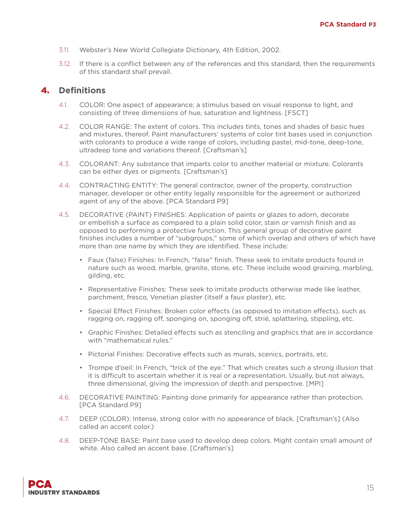- 3.11. Webster's New World Collegiate Dictionary, 4th Edition, 2002.
- 3.12. If there is a conflict between any of the references and this standard, then the requirements of this standard shall prevail.

#### 4. **Definitions**

- 4.1. COLOR: One aspect of appearance; a stimulus based on visual response to light, and consisting of three dimensions of hue, saturation and lightness. [FSCT]
- 4.2. COLOR RANGE: The extent of colors. This includes tints, tones and shades of basic hues and mixtures, thereof. Paint manufacturers' systems of color tint bases used in conjunction with colorants to produce a wide range of colors, including pastel, mid-tone, deep-tone, ultradeep tone and variations thereof. [Craftsman's]
- 4.3. COLORANT: Any substance that imparts color to another material or mixture. Colorants can be either dyes or pigments. [Craftsman's]
- 4.4. CONTRACTING ENTITY: The general contractor, owner of the property, construction manager, developer or other entity legally responsible for the agreement or authorized agent of any of the above. [PCA Standard P9]
- 4.5. DECORATIVE (PAINT) FINISHES: Application of paints or glazes to adorn, decorate or embellish a surface as compared to a plain solid color, stain or varnish finish and as opposed to performing a protective function. This general group of decorative paint finishes includes a number of "subgroups," some of which overlap and others of which have more than one name by which they are identified. These include:
	- Faux (false) Finishes: In French, "false" finish. These seek to imitate products found in nature such as wood, marble, granite, stone, etc. These include wood graining, marbling, gilding, etc.
	- Representative Finishes: These seek to imitate products otherwise made like leather, parchment, fresco, Venetian plaster (itself a faux plaster), etc.
	- Special Effect Finishes: Broken color effects (as opposed to imitation effects), such as ragging on, ragging off, sponging on, sponging off, strié, splattering, stippling, etc.
	- Graphic Finishes: Detailed effects such as stenciling and graphics that are in accordance with "mathematical rules."
	- Pictorial Finishes: Decorative effects such as murals, scenics, portraits, etc.
	- Trompe d'oeil: In French, "trick of the eye." That which creates such a strong illusion that it is difficult to ascertain whether it is real or a representation. Usually, but not always, three dimensional, giving the impression of depth and perspective. [MPI]
- 4.6. DECORATIVE PAINTING: Painting done primarily for appearance rather than protection. [PCA Standard P9]
- 4.7. DEEP (COLOR): Intense, strong color with no appearance of black. [Craftsman's] (Also called an accent color.)
- 4.8. DEEP-TONE BASE: Paint base used to develop deep colors. Might contain small amount of white. Also called an accent base. [Craftsman's]

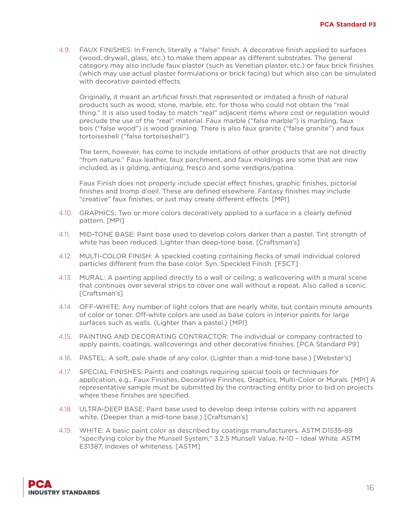4.9. FAUX FINISHES: In French, literally a "false" finish. A decorative finish applied to surfaces (wood, drywall, glass, etc.) to make them appear as different substrates. The general category may also include faux plaster (such as Venetian plaster, etc.) or faux brick finishes (which may use actual plaster formulations or brick facing) but which also can be simulated with decorative painted effects.

Originally, it meant an artificial finish that represented or imitated a finish of natural products such as wood, stone, marble, etc. for those who could not obtain the "real thing." It is also used today to match "real" adjacent items where cost or regulation would preclude the use of the "real" material. Faux marble ("false marble") is marbling, faux bois ("false wood") is wood graining. There is also faux granite ("false granite") and faux tortoiseshell ("false tortoiseshell").

The term, however, has come to include imitations of other products that are not directly "from nature." Faux leather, faux parchment, and faux moldings are some that are now included, as is gilding, antiquing, fresco and some verdigris/patina.

Faux Finish does not properly include special effect finishes, graphic finishes, pictorial finishes and tromp d'oeil. These are defined elsewhere. Fantasy finishes may include "creative" faux finishes, or just may create different effects. [MPI]

- 4.10. GRAPHICS: Two or more colors decoratively applied to a surface in a clearly defined pattern. [MPI]
- 4.11. MID-TONE BASE: Paint base used to develop colors darker than a pastel. Tint strength of white has been reduced. Lighter than deep-tone base. [Craftsman's]
- 4.12. MULTI-COLOR FINISH: A speckled coating containing flecks of small individual colored particles different from the base color. Syn. Speckled Finish. [FSCT]
- 4.13. MURAL: A painting applied directly to a wall or ceiling; a wallcovering with a mural scene that continues over several strips to cover one wall without a repeat. Also called a scenic. [Craftsman's]
- 4.14. OFF-WHITE: Any number of light colors that are nearly white, but contain minute amounts of color or toner. Off-white colors are used as base colors in interior paints for large surfaces such as walls. (Lighter than a pastel.) [MPI]
- 4.15. PAINTING AND DECORATING CONTRACTOR: The individual or company contracted to apply paints, coatings, wallcoverings and other decorative finishes. [PCA Standard P9]
- 4.16. PASTEL: A soft, pale shade of any color. (Lighter than a mid-tone base.) [Webster's]
- 4.17. SPECIAL FINISHES: Paints and coatings requiring special tools or techniques for application, e.g., Faux Finishes, Decorative Finishes, Graphics, Multi-Color or Murals. [MPI] A representative sample must be submitted by the contracting entity prior to bid on projects where these finishes are specified.
- 4.18. ULTRA-DEEP BASE: Paint base used to develop deep intense colors with no apparent white. (Deeper than a mid-tone base.) [Craftsman's]
- 4.19. WHITE: A basic paint color as described by coatings manufacturers. ASTM D1535-89 "specifying color by the Munsell System," 3.2.5 Munsell Value, N-10 – Ideal White. ASTM E31387, indexes of whiteness. [ASTM]

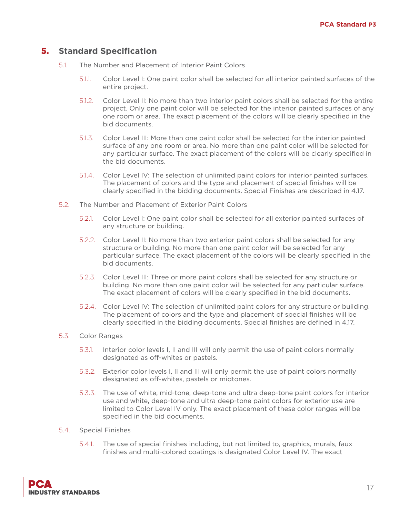- 5.1. The Number and Placement of Interior Paint Colors
	- 5.1.1. Color Level I: One paint color shall be selected for all interior painted surfaces of the entire project.
	- 5.1.2. Color Level II: No more than two interior paint colors shall be selected for the entire project. Only one paint color will be selected for the interior painted surfaces of any one room or area. The exact placement of the colors will be clearly specified in the bid documents.
	- 5.1.3. Color Level III: More than one paint color shall be selected for the interior painted surface of any one room or area. No more than one paint color will be selected for any particular surface. The exact placement of the colors will be clearly specified in the bid documents.
	- 5.1.4. Color Level IV: The selection of unlimited paint colors for interior painted surfaces. The placement of colors and the type and placement of special finishes will be clearly specified in the bidding documents. Special Finishes are described in 4.17.
- 5.2. The Number and Placement of Exterior Paint Colors
	- 5.2.1. Color Level I: One paint color shall be selected for all exterior painted surfaces of any structure or building.
	- 5.2.2. Color Level II: No more than two exterior paint colors shall be selected for any structure or building. No more than one paint color will be selected for any particular surface. The exact placement of the colors will be clearly specified in the bid documents.
	- 5.2.3. Color Level III: Three or more paint colors shall be selected for any structure or building. No more than one paint color will be selected for any particular surface. The exact placement of colors will be clearly specified in the bid documents.
	- 5.2.4. Color Level IV: The selection of unlimited paint colors for any structure or building. The placement of colors and the type and placement of special finishes will be clearly specified in the bidding documents. Special finishes are defined in 4.17.
- 5.3. Color Ranges
	- 5.3.1. Interior color levels I, II and III will only permit the use of paint colors normally designated as off-whites or pastels.
	- 5.3.2. Exterior color levels I, II and III will only permit the use of paint colors normally designated as off-whites, pastels or midtones.
	- 5.3.3. The use of white, mid-tone, deep-tone and ultra deep-tone paint colors for interior use and white, deep-tone and ultra deep-tone paint colors for exterior use are limited to Color Level IV only. The exact placement of these color ranges will be specified in the bid documents.
- 5.4. Special Finishes
	- 5.4.1. The use of special finishes including, but not limited to, graphics, murals, faux finishes and multi-colored coatings is designated Color Level IV. The exact

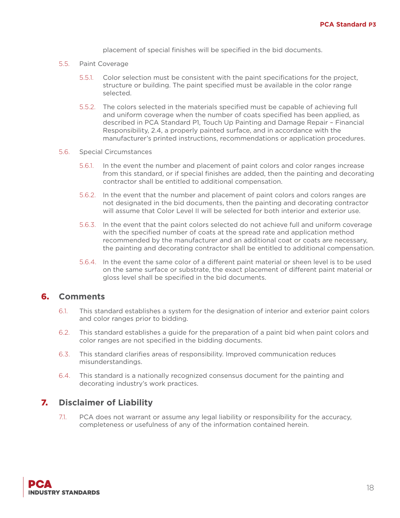placement of special finishes will be specified in the bid documents.

- 5.5. Paint Coverage
	- 5.5.1. Color selection must be consistent with the paint specifications for the project, structure or building. The paint specified must be available in the color range selected.
	- 5.5.2. The colors selected in the materials specified must be capable of achieving full and uniform coverage when the number of coats specified has been applied, as described in PCA Standard P1, Touch Up Painting and Damage Repair – Financial Responsibility, 2.4, a properly painted surface, and in accordance with the manufacturer's printed instructions, recommendations or application procedures.
- 5.6. Special Circumstances
	- 5.6.1. In the event the number and placement of paint colors and color ranges increase from this standard, or if special finishes are added, then the painting and decorating contractor shall be entitled to additional compensation.
	- 5.6.2. In the event that the number and placement of paint colors and colors ranges are not designated in the bid documents, then the painting and decorating contractor will assume that Color Level II will be selected for both interior and exterior use.
	- 5.6.3. In the event that the paint colors selected do not achieve full and uniform coverage with the specified number of coats at the spread rate and application method recommended by the manufacturer and an additional coat or coats are necessary, the painting and decorating contractor shall be entitled to additional compensation.
	- 5.6.4. In the event the same color of a different paint material or sheen level is to be used on the same surface or substrate, the exact placement of different paint material or gloss level shall be specified in the bid documents.

#### 6. **Comments**

- 6.1. This standard establishes a system for the designation of interior and exterior paint colors and color ranges prior to bidding.
- 6.2. This standard establishes a guide for the preparation of a paint bid when paint colors and color ranges are not specified in the bidding documents.
- 6.3. This standard clarifies areas of responsibility. Improved communication reduces misunderstandings.
- 6.4. This standard is a nationally recognized consensus document for the painting and decorating industry's work practices.

#### 7. **Disclaimer of Liability**

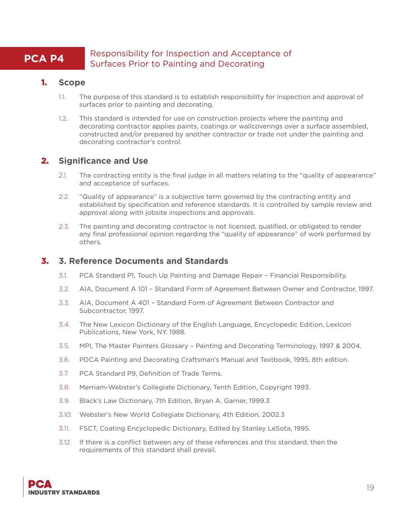### **PCA P4** Responsibility for Inspection and Acceptance of Surfaces Prior to Painting and Decorating

#### 1. **Scope**

- 1.1. The purpose of this standard is to establish responsibility for inspection and approval of surfaces prior to painting and decorating.
- 1.2. This standard is intended for use on construction projects where the painting and decorating contractor applies paints, coatings or wallcoverings over a surface assembled, constructed and/or prepared by another contractor or trade not under the painting and decorating contractor's control.

#### 2. **Significance and Use**

- 2.1. The contracting entity is the final judge in all matters relating to the "quality of appearance" and acceptance of surfaces.
- 2.2. "Quality of appearance" is a subjective term governed by the contracting entity and established by specification and reference standards. It is controlled by sample review and approval along with jobsite inspections and approvals.
- 2.3. The painting and decorating contractor is not licensed, qualified, or obligated to render any final professional opinion regarding the "quality of appearance" of work performed by others.

#### 3. **3. Reference Documents and Standards**

- 3.1. PCA Standard P1, Touch Up Painting and Damage Repair Financial Responsibility.
- 3.2. AIA, Document A 101 Standard Form of Agreement Between Owner and Contractor, 1997.
- 3.3. AIA, Document A 401 Standard Form of Agreement Between Contractor and Subcontractor, 1997.
- 3.4. The New Lexicon Dictionary of the English Language, Encyclopedic Edition, Lexicon Publications, New York, NY. 1988.
- 3.5. MPI, The Master Painters Glossary Painting and Decorating Terminology, 1997 & 2004.
- 3.6. PDCA Painting and Decorating Craftsman's Manual and Textbook, 1995, 8th edition.
- 3.7. PCA Standard P9, Definition of Trade Terms.
- 3.8. Merriam-Webster's Collegiate Dictionary, Tenth Edition, Copyright 1993.
- 3.9. Black's Law Dictionary, 7th Edition, Bryan A. Garner, 1999.3
- 3.10. Webster's New World Collegiate Dictionary, 4th Edition, 2002.3
- 3.11. FSCT, Coating Encyclopedic Dictionary, Edited by Stanley LeSota, 1995.
- 3.12. If there is a conflict between any of these references and this standard, then the requirements of this standard shall prevail.

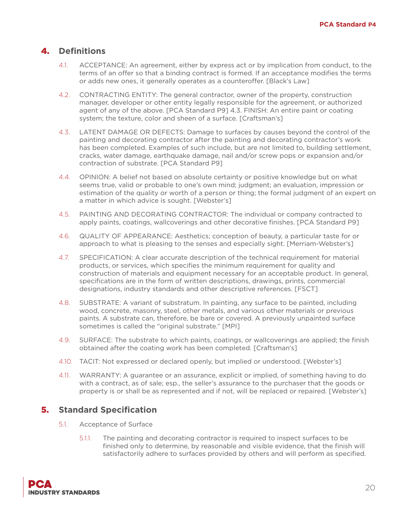## 4. **Definitions**

- 4.1. ACCEPTANCE: An agreement, either by express act or by implication from conduct, to the terms of an offer so that a binding contract is formed. If an acceptance modifies the terms or adds new ones, it generally operates as a counteroffer. [Black's Law]
- 4.2. CONTRACTING ENTITY: The general contractor, owner of the property, construction manager, developer or other entity legally responsible for the agreement, or authorized agent of any of the above. [PCA Standard P9] 4.3. FINISH: An entire paint or coating system; the texture, color and sheen of a surface. [Craftsman's]
- 4.3. LATENT DAMAGE OR DEFECTS: Damage to surfaces by causes beyond the control of the painting and decorating contractor after the painting and decorating contractor's work has been completed. Examples of such include, but are not limited to, building settlement, cracks, water damage, earthquake damage, nail and/or screw pops or expansion and/or contraction of substrate. [PCA Standard P9]
- 4.4. OPINION: A belief not based on absolute certainty or positive knowledge but on what seems true, valid or probable to one's own mind; judgment; an evaluation, impression or estimation of the quality or worth of a person or thing; the formal judgment of an expert on a matter in which advice is sought. [Webster's]
- 4.5. PAINTING AND DECORATING CONTRACTOR: The individual or company contracted to apply paints, coatings, wallcoverings and other decorative finishes. [PCA Standard P9]
- 4.6. QUALITY OF APPEARANCE: Aesthetics; conception of beauty, a particular taste for or approach to what is pleasing to the senses and especially sight. [Merriam-Webster's]
- 4.7. SPECIFICATION: A clear accurate description of the technical requirement for material products, or services, which specifies the minimum requirement for quality and construction of materials and equipment necessary for an acceptable product. In general, specifications are in the form of written descriptions, drawings, prints, commercial designations, industry standards and other descriptive references. [FSCT]
- 4.8. SUBSTRATE: A variant of substratum. In painting, any surface to be painted, including wood, concrete, masonry, steel, other metals, and various other materials or previous paints. A substrate can, therefore, be bare or covered. A previously unpainted surface sometimes is called the "original substrate." [MPI]
- 4.9. SURFACE: The substrate to which paints, coatings, or wallcoverings are applied; the finish obtained after the coating work has been completed. [Craftsman's]
- 4.10. TACIT: Not expressed or declared openly, but implied or understood. [Webster's]
- 4.11. WARRANTY: A guarantee or an assurance, explicit or implied, of something having to do with a contract, as of sale; esp., the seller's assurance to the purchaser that the goods or property is or shall be as represented and if not, will be replaced or repaired. [Webster's]

- 5.1. Acceptance of Surface
	- 5.1.1. The painting and decorating contractor is required to inspect surfaces to be finished only to determine, by reasonable and visible evidence, that the finish will satisfactorily adhere to surfaces provided by others and will perform as specified.

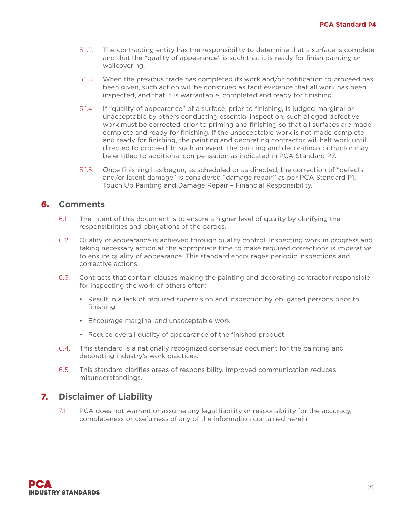- 5.1.2. The contracting entity has the responsibility to determine that a surface is complete and that the "quality of appearance" is such that it is ready for finish painting or wallcovering.
- 5.1.3. When the previous trade has completed its work and/or notification to proceed has been given, such action will be construed as tacit evidence that all work has been inspected, and that it is warrantable, completed and ready for finishing.
- 5.1.4. If "quality of appearance" of a surface, prior to finishing, is judged marginal or unacceptable by others conducting essential inspection, such alleged defective work must be corrected prior to priming and finishing so that all surfaces are made complete and ready for finishing. If the unacceptable work is not made complete and ready for finishing, the painting and decorating contractor will halt work until directed to proceed. In such an event, the painting and decorating contractor may be entitled to additional compensation as indicated in PCA Standard P7.
- 5.1.5. Once finishing has begun, as scheduled or as directed, the correction of "defects and/or latent damage" is considered "damage repair" as per PCA Standard P1, Touch Up Painting and Damage Repair – Financial Responsibility.

#### 6. **Comments**

- 6.1. The intent of this document is to ensure a higher level of quality by clarifying the responsibilities and obligations of the parties.
- 6.2. Quality of appearance is achieved through quality control. Inspecting work in progress and taking necessary action at the appropriate time to make required corrections is imperative to ensure quality of appearance. This standard encourages periodic inspections and corrective actions.
- 6.3. Contracts that contain clauses making the painting and decorating contractor responsible for inspecting the work of others often:
	- Result in a lack of required supervision and inspection by obligated persons prior to finishing
	- Encourage marginal and unacceptable work
	- Reduce overall quality of appearance of the finished product
- 6.4. This standard is a nationally recognized consensus document for the painting and decorating industry's work practices.
- 6.5. This standard clarifies areas of responsibility. Improved communication reduces misunderstandings.

#### 7. **Disclaimer of Liability**

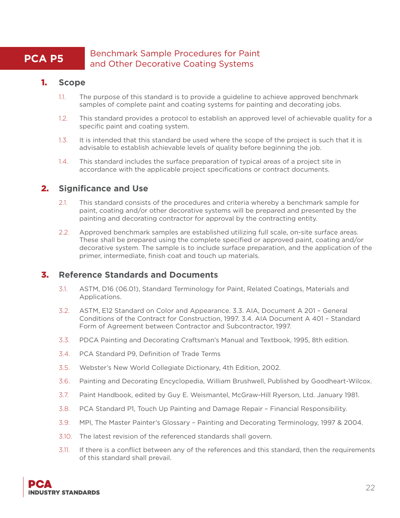#### **PCA P5** Benchmark Sample Procedures for Paint and Other Decorative Coating Systems

#### 1. **Scope**

- 1.1. The purpose of this standard is to provide a guideline to achieve approved benchmark samples of complete paint and coating systems for painting and decorating jobs.
- 1.2. This standard provides a protocol to establish an approved level of achievable quality for a specific paint and coating system.
- 1.3. It is intended that this standard be used where the scope of the project is such that it is advisable to establish achievable levels of quality before beginning the job.
- 1.4. This standard includes the surface preparation of typical areas of a project site in accordance with the applicable project specifications or contract documents.

#### 2. **Significance and Use**

- 2.1. This standard consists of the procedures and criteria whereby a benchmark sample for paint, coating and/or other decorative systems will be prepared and presented by the painting and decorating contractor for approval by the contracting entity.
- 2.2. Approved benchmark samples are established utilizing full scale, on-site surface areas. These shall be prepared using the complete specified or approved paint, coating and/or decorative system. The sample is to include surface preparation, and the application of the primer, intermediate, finish coat and touch up materials.

#### 3. **Reference Standards and Documents**

- 3.1. ASTM, D16 (06.01), Standard Terminology for Paint, Related Coatings, Materials and Applications.
- 3.2. ASTM, E12 Standard on Color and Appearance. 3.3. AIA, Document A 201 General Conditions of the Contract for Construction, 1997. 3.4. AIA Document A 401 – Standard Form of Agreement between Contractor and Subcontractor, 1997.
- 3.3. PDCA Painting and Decorating Craftsman's Manual and Textbook, 1995, 8th edition.
- 3.4. PCA Standard P9, Definition of Trade Terms
- 3.5. Webster's New World Collegiate Dictionary, 4th Edition, 2002.
- 3.6. Painting and Decorating Encyclopedia, William Brushwell, Published by Goodheart-Wilcox.
- 3.7. Paint Handbook, edited by Guy E. Weismantel, McGraw-Hill Ryerson, Ltd. January 1981.
- 3.8. PCA Standard P1, Touch Up Painting and Damage Repair Financial Responsibility.
- 3.9. MPI, The Master Painter's Glossary Painting and Decorating Terminology, 1997 & 2004.
- 3.10. The latest revision of the referenced standards shall govern.
- 3.11. If there is a conflict between any of the references and this standard, then the requirements of this standard shall prevail.

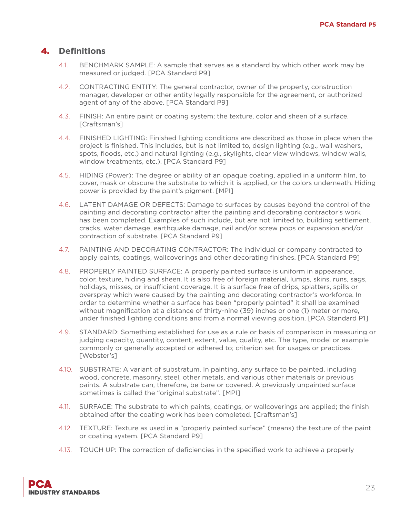#### 4. **Definitions**

- 4.1. BENCHMARK SAMPLE: A sample that serves as a standard by which other work may be measured or judged. [PCA Standard P9]
- 4.2. CONTRACTING ENTITY: The general contractor, owner of the property, construction manager, developer or other entity legally responsible for the agreement, or authorized agent of any of the above. [PCA Standard P9]
- 4.3. FINISH: An entire paint or coating system; the texture, color and sheen of a surface. [Craftsman's]
- 4.4. FINISHED LIGHTING: Finished lighting conditions are described as those in place when the project is finished. This includes, but is not limited to, design lighting (e.g., wall washers, spots, floods, etc.) and natural lighting (e.g., skylights, clear view windows, window walls, window treatments, etc.). [PCA Standard P9]
- 4.5. HIDING (Power): The degree or ability of an opaque coating, applied in a uniform film, to cover, mask or obscure the substrate to which it is applied, or the colors underneath. Hiding power is provided by the paint's pigment. [MPI]
- 4.6. LATENT DAMAGE OR DEFECTS: Damage to surfaces by causes beyond the control of the painting and decorating contractor after the painting and decorating contractor's work has been completed. Examples of such include, but are not limited to, building settlement, cracks, water damage, earthquake damage, nail and/or screw pops or expansion and/or contraction of substrate. [PCA Standard P9]
- 4.7. PAINTING AND DECORATING CONTRACTOR: The individual or company contracted to apply paints, coatings, wallcoverings and other decorating finishes. [PCA Standard P9]
- 4.8. PROPERLY PAINTED SURFACE: A properly painted surface is uniform in appearance, color, texture, hiding and sheen. It is also free of foreign material, lumps, skins, runs, sags, holidays, misses, or insufficient coverage. It is a surface free of drips, splatters, spills or overspray which were caused by the painting and decorating contractor's workforce. In order to determine whether a surface has been "properly painted" it shall be examined without magnification at a distance of thirty-nine (39) inches or one (1) meter or more, under finished lighting conditions and from a normal viewing position. [PCA Standard P1]
- 4.9. STANDARD: Something established for use as a rule or basis of comparison in measuring or judging capacity, quantity, content, extent, value, quality, etc. The type, model or example commonly or generally accepted or adhered to; criterion set for usages or practices. [Webster's]
- 4.10. SUBSTRATE: A variant of substratum. In painting, any surface to be painted, including wood, concrete, masonry, steel, other metals, and various other materials or previous paints. A substrate can, therefore, be bare or covered. A previously unpainted surface sometimes is called the "original substrate". [MPI]
- 4.11. SURFACE: The substrate to which paints, coatings, or wallcoverings are applied; the finish obtained after the coating work has been completed. [Craftsman's]
- 4.12. TEXTURE: Texture as used in a "properly painted surface" (means) the texture of the paint or coating system. [PCA Standard P9]
- 4.13. TOUCH UP: The correction of deficiencies in the specified work to achieve a properly

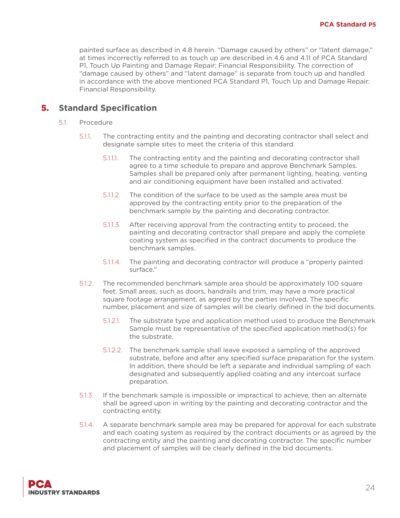painted surface as described in 4.8 herein. "Damage caused by others" or "latent damage," at times incorrectly referred to as touch up are described in 4.6 and 4.11 of PCA Standard P1, Touch Up Painting and Damage Repair: Financial Responsibility. The correction of "damage caused by others" and "latent damage" is separate from touch up and handled in accordance with the above mentioned PCA Standard P1, Touch Up and Damage Repair: Financial Responsibility.

- 5.1. Procedure
	- 5.1.1. The contracting entity and the painting and decorating contractor shall select and designate sample sites to meet the criteria of this standard.
		- 5.1.1.1. The contracting entity and the painting and decorating contractor shall agree to a time schedule to prepare and approve Benchmark Samples. Samples shall be prepared only after permanent lighting, heating, venting and air conditioning equipment have been installed and activated.
		- 5.1.1.2. The condition of the surface to be used as the sample area must be approved by the contracting entity prior to the preparation of the benchmark sample by the painting and decorating contractor.
		- 5.1.1.3. After receiving approval from the contracting entity to proceed, the painting and decorating contractor shall prepare and apply the complete coating system as specified in the contract documents to produce the benchmark samples.
		- 5.1.1.4. The painting and decorating contractor will produce a "properly painted surface."
	- 5.1.2. The recommended benchmark sample area should be approximately 100 square feet. Small areas, such as doors, handrails and trim, may have a more practical square footage arrangement, as agreed by the parties involved. The specific number, placement and size of samples will be clearly defined in the bid documents.
		- 5.1.2.1. The substrate type and application method used to produce the Benchmark Sample must be representative of the specified application method(s) for the substrate.
		- 5.1.2.2. The benchmark sample shall leave exposed a sampling of the approved substrate, before and after any specified surface preparation for the system. In addition, there should be left a separate and individual sampling of each designated and subsequently applied coating and any intercoat surface preparation.
	- 5.1.3. If the benchmark sample is impossible or impractical to achieve, then an alternate shall be agreed upon in writing by the painting and decorating contractor and the contracting entity.
	- 5.1.4. A separate benchmark sample area may be prepared for approval for each substrate and each coating system as required by the contract documents or as agreed by the contracting entity and the painting and decorating contractor. The specific number and placement of samples will be clearly defined in the bid documents.

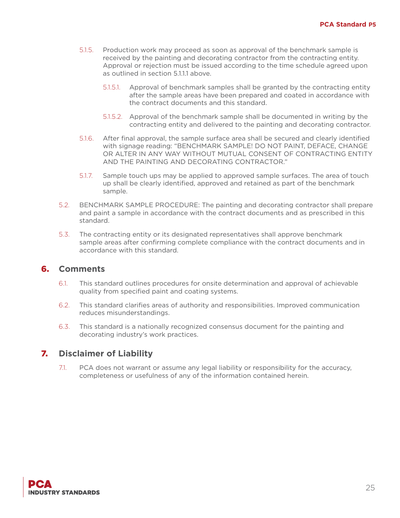- 5.1.5. Production work may proceed as soon as approval of the benchmark sample is received by the painting and decorating contractor from the contracting entity. Approval or rejection must be issued according to the time schedule agreed upon as outlined in section 5.1.1.1 above.
	- 5.1.5.1. Approval of benchmark samples shall be granted by the contracting entity after the sample areas have been prepared and coated in accordance with the contract documents and this standard.
	- 5.1.5.2. Approval of the benchmark sample shall be documented in writing by the contracting entity and delivered to the painting and decorating contractor.
- 5.1.6. After final approval, the sample surface area shall be secured and clearly identified with signage reading: "BENCHMARK SAMPLE! DO NOT PAINT, DEFACE, CHANGE OR ALTER IN ANY WAY WITHOUT MUTUAL CONSENT OF CONTRACTING ENTITY AND THE PAINTING AND DECORATING CONTRACTOR."
- 5.1.7. Sample touch ups may be applied to approved sample surfaces. The area of touch up shall be clearly identified, approved and retained as part of the benchmark sample.
- 5.2. BENCHMARK SAMPLE PROCEDURE: The painting and decorating contractor shall prepare and paint a sample in accordance with the contract documents and as prescribed in this standard.
- 5.3. The contracting entity or its designated representatives shall approve benchmark sample areas after confirming complete compliance with the contract documents and in accordance with this standard.

#### 6. **Comments**

- 6.1. This standard outlines procedures for onsite determination and approval of achievable quality from specified paint and coating systems.
- 6.2. This standard clarifies areas of authority and responsibilities. Improved communication reduces misunderstandings.
- 6.3. This standard is a nationally recognized consensus document for the painting and decorating industry's work practices.

#### 7. **Disclaimer of Liability**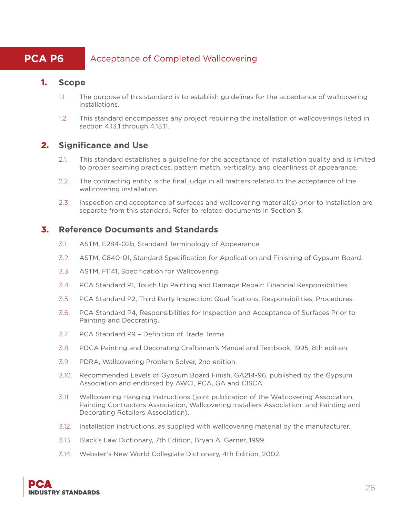## **PCA P6** Acceptance of Completed Wallcovering

#### 1. **Scope**

- 1.1. The purpose of this standard is to establish guidelines for the acceptance of wallcovering installations.
- 1.2. This standard encompasses any project requiring the installation of wallcoverings listed in section 4.13.1 through 4.13.11.

#### 2. **Significance and Use**

- 2.1. This standard establishes a guideline for the acceptance of installation quality and is limited to proper seaming practices, pattern match, verticality, and cleanliness of appearance.
- 2.2. The contracting entity is the final judge in all matters related to the acceptance of the wallcovering installation.
- 2.3. Inspection and acceptance of surfaces and wallcovering material(s) prior to installation are separate from this standard. Refer to related documents in Section 3.

#### 3. **Reference Documents and Standards**

- 3.1. ASTM, E284-02b, Standard Terminology of Appearance.
- 3.2. ASTM, C840-01, Standard Specification for Application and Finishing of Gypsum Board.
- 3.3. ASTM, F1141, Specification for Wallcovering.
- 3.4. PCA Standard P1, Touch Up Painting and Damage Repair: Financial Responsibilities.
- 3.5. PCA Standard P2, Third Party Inspection: Qualifications, Responsibilities, Procedures.
- 3.6. PCA Standard P4, Responsibilities for Inspection and Acceptance of Surfaces Prior to Painting and Decorating.
- 3.7. PCA Standard P9 Definition of Trade Terms
- 3.8. PDCA Painting and Decorating Craftsman's Manual and Textbook, 1995, 8th edition.
- 3.9. PDRA, Wallcovering Problem Solver, 2nd edition.
- 3.10. Recommended Levels of Gypsum Board Finish, GA214-96, published by the Gypsum Association and endorsed by AWCI, PCA, GA and CISCA.
- 3.11. Wallcovering Hanging Instructions (joint publication of the Wallcovering Association, Painting Contractors Association, Wallcovering Installers Association and Painting and Decorating Retailers Association).
- 3.12. Installation instructions, as supplied with wallcovering material by the manufacturer.
- 3.13. Black's Law Dictionary, 7th Edition, Bryan A. Garner, 1999.
- 3.14. Webster's New World Collegiate Dictionary, 4th Edition, 2002.

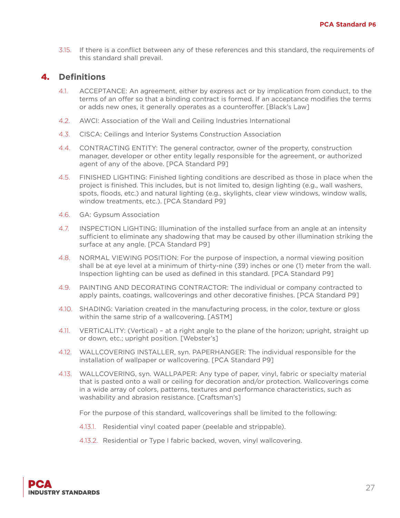3.15. If there is a conflict between any of these references and this standard, the requirements of this standard shall prevail.

#### 4. **Definitions**

- 4.1. ACCEPTANCE: An agreement, either by express act or by implication from conduct, to the terms of an offer so that a binding contract is formed. If an acceptance modifies the terms or adds new ones, it generally operates as a counteroffer. [Black's Law]
- 4.2. AWCI: Association of the Wall and Ceiling Industries International
- 4.3. CISCA: Ceilings and Interior Systems Construction Association
- 4.4. CONTRACTING ENTITY: The general contractor, owner of the property, construction manager, developer or other entity legally responsible for the agreement, or authorized agent of any of the above. [PCA Standard P9]
- 4.5. FINISHED LIGHTING: Finished lighting conditions are described as those in place when the project is finished. This includes, but is not limited to, design lighting (e.g., wall washers, spots, floods, etc.) and natural lighting (e.g., skylights, clear view windows, window walls, window treatments, etc.). [PCA Standard P9]
- 4.6. GA: Gypsum Association
- 4.7. INSPECTION LIGHTING: Illumination of the installed surface from an angle at an intensity sufficient to eliminate any shadowing that may be caused by other illumination striking the surface at any angle. [PCA Standard P9]
- 4.8. NORMAL VIEWING POSITION: For the purpose of inspection, a normal viewing position shall be at eye level at a minimum of thirty-nine (39) inches or one (1) meter from the wall. Inspection lighting can be used as defined in this standard. [PCA Standard P9]
- 4.9. PAINTING AND DECORATING CONTRACTOR: The individual or company contracted to apply paints, coatings, wallcoverings and other decorative finishes. [PCA Standard P9]
- 4.10. SHADING: Variation created in the manufacturing process, in the color, texture or gloss within the same strip of a wallcovering. [ASTM]
- 4.11. VERTICALITY: (Vertical) at a right angle to the plane of the horizon; upright, straight up or down, etc.; upright position. [Webster's]
- 4.12. WALLCOVERING INSTALLER, syn. PAPERHANGER: The individual responsible for the installation of wallpaper or wallcovering. [PCA Standard P9]
- 4.13. WALLCOVERING, syn. WALLPAPER: Any type of paper, vinyl, fabric or specialty material that is pasted onto a wall or ceiling for decoration and/or protection. Wallcoverings come in a wide array of colors, patterns, textures and performance characteristics, such as washability and abrasion resistance. [Craftsman's]

For the purpose of this standard, wallcoverings shall be limited to the following:

- 4.13.1. Residential vinyl coated paper (peelable and strippable).
- 4.13.2. Residential or Type I fabric backed, woven, vinyl wallcovering.

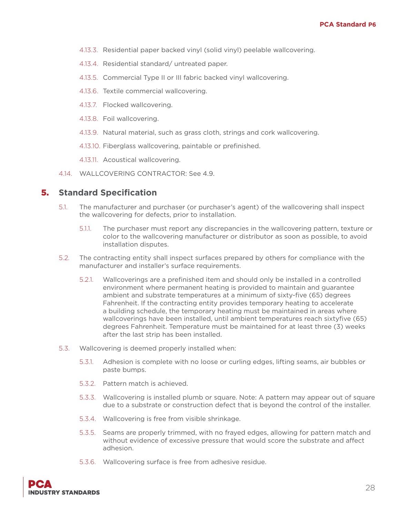- 4.13.3. Residential paper backed vinyl (solid vinyl) peelable wallcovering.
- 4.13.4. Residential standard/ untreated paper.
- 4.13.5. Commercial Type II or III fabric backed vinyl wallcovering.
- 4.13.6. Textile commercial wallcovering.
- 4.13.7. Flocked wallcovering.
- 4.13.8. Foil wallcovering.
- 4.13.9. Natural material, such as grass cloth, strings and cork wallcovering.
- 4.13.10. Fiberglass wallcovering, paintable or prefinished.
- 4.13.11. Acoustical wallcovering.
- 4.14. WALLCOVERING CONTRACTOR: See 4.9.

- 5.1. The manufacturer and purchaser (or purchaser's agent) of the wallcovering shall inspect the wallcovering for defects, prior to installation.
	- 5.1.1. The purchaser must report any discrepancies in the wallcovering pattern, texture or color to the wallcovering manufacturer or distributor as soon as possible, to avoid installation disputes.
- 5.2. The contracting entity shall inspect surfaces prepared by others for compliance with the manufacturer and installer's surface requirements.
	- 5.2.1. Wallcoverings are a prefinished item and should only be installed in a controlled environment where permanent heating is provided to maintain and guarantee ambient and substrate temperatures at a minimum of sixty-five (65) degrees Fahrenheit. If the contracting entity provides temporary heating to accelerate a building schedule, the temporary heating must be maintained in areas where wallcoverings have been installed, until ambient temperatures reach sixtyfive (65) degrees Fahrenheit. Temperature must be maintained for at least three (3) weeks after the last strip has been installed.
- 5.3. Wallcovering is deemed properly installed when:
	- 5.3.1. Adhesion is complete with no loose or curling edges, lifting seams, air bubbles or paste bumps.
	- 5.3.2. Pattern match is achieved.
	- 5.3.3. Wallcovering is installed plumb or square. Note: A pattern may appear out of square due to a substrate or construction defect that is beyond the control of the installer.
	- 5.3.4. Wallcovering is free from visible shrinkage.
	- 5.3.5. Seams are properly trimmed, with no frayed edges, allowing for pattern match and without evidence of excessive pressure that would score the substrate and affect adhesion.
	- 5.3.6. Wallcovering surface is free from adhesive residue.

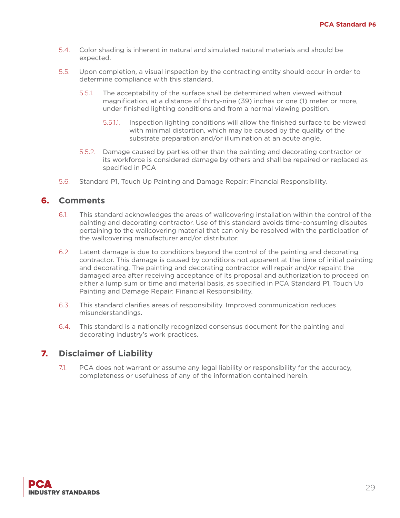- 5.4. Color shading is inherent in natural and simulated natural materials and should be expected.
- 5.5. Upon completion, a visual inspection by the contracting entity should occur in order to determine compliance with this standard.
	- 5.5.1. The acceptability of the surface shall be determined when viewed without magnification, at a distance of thirty-nine (39) inches or one (1) meter or more, under finished lighting conditions and from a normal viewing position.
		- 5.5.1.1. Inspection lighting conditions will allow the finished surface to be viewed with minimal distortion, which may be caused by the quality of the substrate preparation and/or illumination at an acute angle.
	- 5.5.2. Damage caused by parties other than the painting and decorating contractor or its workforce is considered damage by others and shall be repaired or replaced as specified in PCA
- 5.6. Standard P1, Touch Up Painting and Damage Repair: Financial Responsibility.

#### 6. **Comments**

- 6.1. This standard acknowledges the areas of wallcovering installation within the control of the painting and decorating contractor. Use of this standard avoids time-consuming disputes pertaining to the wallcovering material that can only be resolved with the participation of the wallcovering manufacturer and/or distributor.
- 6.2. Latent damage is due to conditions beyond the control of the painting and decorating contractor. This damage is caused by conditions not apparent at the time of initial painting and decorating. The painting and decorating contractor will repair and/or repaint the damaged area after receiving acceptance of its proposal and authorization to proceed on either a lump sum or time and material basis, as specified in PCA Standard P1, Touch Up Painting and Damage Repair: Financial Responsibility.
- 6.3. This standard clarifies areas of responsibility. Improved communication reduces misunderstandings.
- 6.4. This standard is a nationally recognized consensus document for the painting and decorating industry's work practices.

## 7. **Disclaimer of Liability**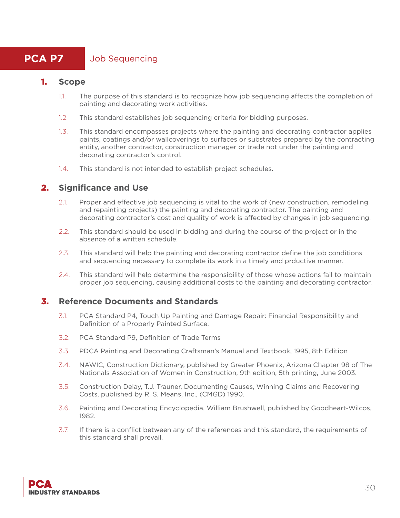## **PCA P7** Job Sequencing

#### 1. **Scope**

- 1.1. The purpose of this standard is to recognize how job sequencing affects the completion of painting and decorating work activities.
- 1.2. This standard establishes job sequencing criteria for bidding purposes.
- 1.3. This standard encompasses projects where the painting and decorating contractor applies paints, coatings and/or wallcoverings to surfaces or substrates prepared by the contracting entity, another contractor, construction manager or trade not under the painting and decorating contractor's control.
- 1.4. This standard is not intended to establish project schedules.

#### 2. **Significance and Use**

- 2.1. Proper and effective job sequencing is vital to the work of (new construction, remodeling and repainting projects) the painting and decorating contractor. The painting and decorating contractor's cost and quality of work is affected by changes in job sequencing.
- 2.2. This standard should be used in bidding and during the course of the project or in the absence of a written schedule.
- 2.3. This standard will help the painting and decorating contractor define the job conditions and sequencing necessary to complete its work in a timely and prductive manner.
- 2.4. This standard will help determine the responsibility of those whose actions fail to maintain proper job sequencing, causing additional costs to the painting and decorating contractor.

#### 3. **Reference Documents and Standards**

- 3.1. PCA Standard P4, Touch Up Painting and Damage Repair: Financial Responsibility and Definition of a Properly Painted Surface.
- 3.2. PCA Standard P9, Definition of Trade Terms
- 3.3. PDCA Painting and Decorating Craftsman's Manual and Textbook, 1995, 8th Edition
- 3.4. NAWIC, Construction Dictionary, published by Greater Phoenix, Arizona Chapter 98 of The Nationals Association of Women in Construction, 9th edition, 5th printing, June 2003.
- 3.5. Construction Delay, T.J. Trauner, Documenting Causes, Winning Claims and Recovering Costs, published by R. S. Means, Inc., (CMGD) 1990.
- 3.6. Painting and Decorating Encyclopedia, William Brushwell, published by Goodheart-Wilcos, 1982.
- 3.7. If there is a conflict between any of the references and this standard, the requirements of this standard shall prevail.

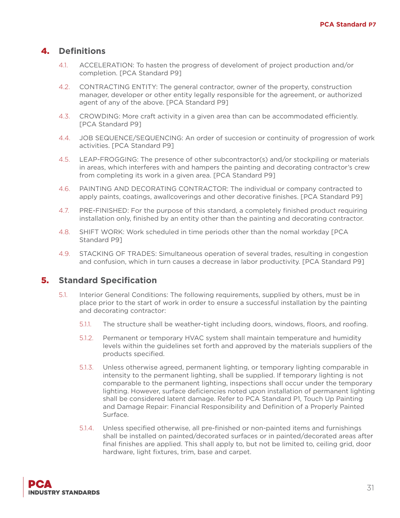#### 4. **Definitions**

- 4.1. ACCELERATION: To hasten the progress of develoment of project production and/or completion. [PCA Standard P9]
- 4.2. CONTRACTING ENTITY: The general contractor, owner of the property, construction manager, developer or other entity legally responsible for the agreement, or authorized agent of any of the above. [PCA Standard P9]
- 4.3. CROWDING: More craft activity in a given area than can be accommodated efficiently. [PCA Standard P9]
- 4.4. JOB SEQUENCE/SEQUENCING: An order of succesion or continuity of progression of work activities. [PCA Standard P9]
- 4.5. LEAP-FROGGING: The presence of other subcontractor(s) and/or stockpiling or materials in areas, which interferes with and hampers the painting and decorating contractor's crew from completing its work in a given area. [PCA Standard P9]
- 4.6. PAINTING AND DECORATING CONTRACTOR: The individual or company contracted to apply paints, coatings, awallcoverings and other decorative finishes. [PCA Standard P9]
- 4.7. PRE-FINISHED: For the purpose of this standard, a completely finished product requiring installation only, finished by an entity other than the painting and decorating contractor.
- 4.8. SHIFT WORK: Work scheduled in time periods other than the nomal workday [PCA Standard P9]
- 4.9. STACKING OF TRADES: Simultaneous operation of several trades, resulting in congestion and confusion, which in turn causes a decrease in labor productivity. [PCA Standard P9]

- 5.1. Interior General Conditions: The following requirements, supplied by others, must be in place prior to the start of work in order to ensure a successful installation by the painting and decorating contractor:
	- 5.1.1. The structure shall be weather-tight including doors, windows, floors, and roofing.
	- 5.1.2. Permanent or temporary HVAC system shall maintain temperature and humidity levels within the guidelines set forth and approved by the materials suppliers of the products specified.
	- 5.1.3. Unless otherwise agreed, permanent lighting, or temporary lighting comparable in intensity to the permanent lighting, shall be supplied. If temporary lighting is not comparable to the permanent lighting, inspections shall occur under the temporary lighting. However, surface deficiencies noted upon installation of permanent lighting shall be considered latent damage. Refer to PCA Standard P1, Touch Up Painting and Damage Repair: Financial Responsibility and Definition of a Properly Painted Surface.
	- 5.1.4. Unless specified otherwise, all pre-finished or non-painted items and furnishings shall be installed on painted/decorated surfaces or in painted/decorated areas after final finishes are applied. This shall apply to, but not be limited to, ceiling grid, door hardware, light fixtures, trim, base and carpet.

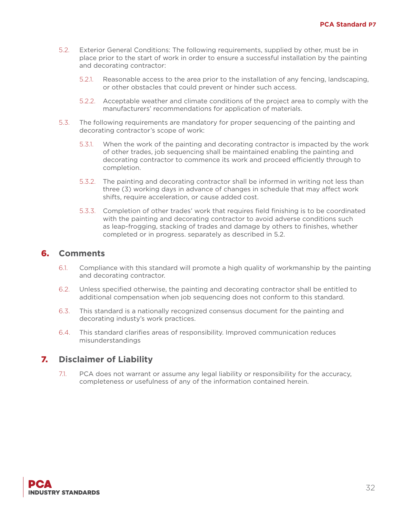- 5.2. Exterior General Conditions: The following requirements, supplied by other, must be in place prior to the start of work in order to ensure a successful installation by the painting and decorating contractor:
	- 5.2.1. Reasonable access to the area prior to the installation of any fencing, landscaping, or other obstacles that could prevent or hinder such access.
	- 5.2.2. Acceptable weather and climate conditions of the project area to comply with the manufacturers' recommendations for application of materials.
- 5.3. The following requirements are mandatory for proper sequencing of the painting and decorating contractor's scope of work:
	- 5.3.1. When the work of the painting and decorating contractor is impacted by the work of other trades, job sequencing shall be maintained enabling the painting and decorating contractor to commence its work and proceed efficiently through to completion.
	- 5.3.2. The painting and decorating contractor shall be informed in writing not less than three (3) working days in advance of changes in schedule that may affect work shifts, require acceleration, or cause added cost.
	- 5.3.3. Completion of other trades' work that requires field finishing is to be coordinated with the painting and decorating contractor to avoid adverse conditions such as leap-frogging, stacking of trades and damage by others to finishes, whether completed or in progress. separately as described in 5.2.

#### 6. **Comments**

- 6.1. Compliance with this standard will promote a high quality of workmanship by the painting and decorating contractor.
- 6.2. Unless specified otherwise, the painting and decorating contractor shall be entitled to additional compensation when job sequencing does not conform to this standard.
- 6.3. This standard is a nationally recognized consensus document for the painting and decorating industy's work practices.
- 6.4. This standard clarifies areas of responsibility. Improved communication reduces misunderstandings

#### 7. **Disclaimer of Liability**

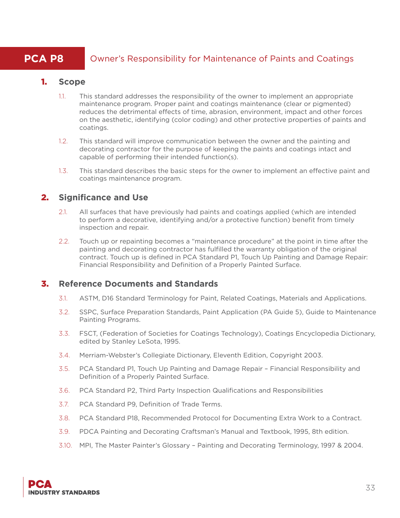## **PCA P8** Owner's Responsibility for Maintenance of Paints and Coatings

#### 1. **Scope**

- 1.1. This standard addresses the responsibility of the owner to implement an appropriate maintenance program. Proper paint and coatings maintenance (clear or pigmented) reduces the detrimental effects of time, abrasion, environment, impact and other forces on the aesthetic, identifying (color coding) and other protective properties of paints and coatings.
- 1.2. This standard will improve communication between the owner and the painting and decorating contractor for the purpose of keeping the paints and coatings intact and capable of performing their intended function(s).
- 1.3. This standard describes the basic steps for the owner to implement an effective paint and coatings maintenance program.

#### 2. **Significance and Use**

- 2.1. All surfaces that have previously had paints and coatings applied (which are intended to perform a decorative, identifying and/or a protective function) benefit from timely inspection and repair.
- 2.2. Touch up or repainting becomes a "maintenance procedure" at the point in time after the painting and decorating contractor has fulfilled the warranty obligation of the original contract. Touch up is defined in PCA Standard P1, Touch Up Painting and Damage Repair: Financial Responsibility and Definition of a Properly Painted Surface.

#### 3. **Reference Documents and Standards**

- 3.1. ASTM, D16 Standard Terminology for Paint, Related Coatings, Materials and Applications.
- 3.2. SSPC, Surface Preparation Standards, Paint Application (PA Guide 5), Guide to Maintenance Painting Programs.
- 3.3. FSCT, (Federation of Societies for Coatings Technology), Coatings Encyclopedia Dictionary, edited by Stanley LeSota, 1995.
- 3.4. Merriam-Webster's Collegiate Dictionary, Eleventh Edition, Copyright 2003.
- 3.5. PCA Standard P1, Touch Up Painting and Damage Repair Financial Responsibility and Definition of a Properly Painted Surface.
- 3.6. PCA Standard P2, Third Party Inspection Qualifications and Responsibilities
- 3.7. PCA Standard P9, Definition of Trade Terms.
- 3.8. PCA Standard P18, Recommended Protocol for Documenting Extra Work to a Contract.
- 3.9. PDCA Painting and Decorating Craftsman's Manual and Textbook, 1995, 8th edition.
- 3.10. MPI, The Master Painter's Glossary Painting and Decorating Terminology, 1997 & 2004.

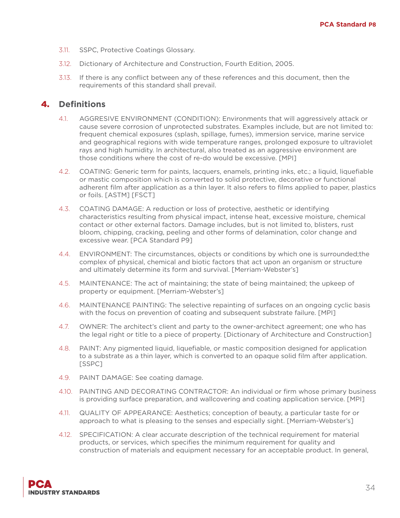- 3.11. SSPC, Protective Coatings Glossary.
- 3.12. Dictionary of Architecture and Construction, Fourth Edition, 2005.
- 3.13. If there is any conflict between any of these references and this document, then the requirements of this standard shall prevail.

#### 4. **Definitions**

- 4.1. AGGRESIVE ENVIRONMENT (CONDITION): Environments that will aggressively attack or cause severe corrosion of unprotected substrates. Examples include, but are not limited to: frequent chemical exposures (splash, spillage, fumes), immersion service, marine service and geographical regions with wide temperature ranges, prolonged exposure to ultraviolet rays and high humidity. In architectural, also treated as an aggressive environment are those conditions where the cost of re-do would be excessive. [MPI]
- 4.2. COATING: Generic term for paints, lacquers, enamels, printing inks, etc.; a liquid, liquefiable or mastic composition which is converted to solid protective, decorative or functional adherent film after application as a thin layer. It also refers to films applied to paper, plastics or foils. [ASTM] [FSCT]
- 4.3. COATING DAMAGE: A reduction or loss of protective, aesthetic or identifying characteristics resulting from physical impact, intense heat, excessive moisture, chemical contact or other external factors. Damage includes, but is not limited to, blisters, rust bloom, chipping, cracking, peeling and other forms of delamination, color change and excessive wear. [PCA Standard P9]
- 4.4. ENVIRONMENT: The circumstances, objects or conditions by which one is surrounded;the complex of physical, chemical and biotic factors that act upon an organism or structure and ultimately determine its form and survival. [Merriam-Webster's]
- 4.5. MAINTENANCE: The act of maintaining; the state of being maintained; the upkeep of property or equipment. [Merriam-Webster's]
- 4.6. MAINTENANCE PAINTING: The selective repainting of surfaces on an ongoing cyclic basis with the focus on prevention of coating and subsequent substrate failure. [MPI]
- 4.7. OWNER: The architect's client and party to the owner-architect agreement; one who has the legal right or title to a piece of property. [Dictionary of Architecture and Construction]
- 4.8. PAINT: Any pigmented liquid, liquefiable, or mastic composition designed for application to a substrate as a thin layer, which is converted to an opaque solid film after application. [SSPC]
- 4.9. PAINT DAMAGE: See coating damage.
- 4.10. PAINTING AND DECORATING CONTRACTOR: An individual or firm whose primary business is providing surface preparation, and wallcovering and coating application service. [MPI]
- 4.11. QUALITY OF APPEARANCE: Aesthetics; conception of beauty, a particular taste for or approach to what is pleasing to the senses and especially sight. [Merriam-Webster's]
- 4.12. SPECIFICATION: A clear accurate description of the technical requirement for material products, or services, which specifies the minimum requirement for quality and construction of materials and equipment necessary for an acceptable product. In general,

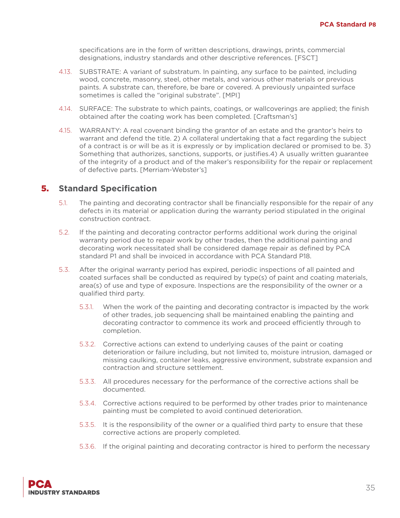specifications are in the form of written descriptions, drawings, prints, commercial designations, industry standards and other descriptive references. [FSCT]

- 4.13. SUBSTRATE: A variant of substratum. In painting, any surface to be painted, including wood, concrete, masonry, steel, other metals, and various other materials or previous paints. A substrate can, therefore, be bare or covered. A previously unpainted surface sometimes is called the "original substrate". [MPI]
- 4.14. SURFACE: The substrate to which paints, coatings, or wallcoverings are applied; the finish obtained after the coating work has been completed. [Craftsman's]
- 4.15. WARRANTY: A real covenant binding the grantor of an estate and the grantor's heirs to warrant and defend the title. 2) A collateral undertaking that a fact regarding the subject of a contract is or will be as it is expressly or by implication declared or promised to be. 3) Something that authorizes, sanctions, supports, or justifies.4) A usually written guarantee of the integrity of a product and of the maker's responsibility for the repair or replacement of defective parts. [Merriam-Webster's]

- 5.1. The painting and decorating contractor shall be financially responsible for the repair of any defects in its material or application during the warranty period stipulated in the original construction contract.
- 5.2. If the painting and decorating contractor performs additional work during the original warranty period due to repair work by other trades, then the additional painting and decorating work necessitated shall be considered damage repair as defined by PCA standard P1 and shall be invoiced in accordance with PCA Standard P18.
- 5.3. After the original warranty period has expired, periodic inspections of all painted and coated surfaces shall be conducted as required by type(s) of paint and coating materials, area(s) of use and type of exposure. Inspections are the responsibility of the owner or a qualified third party.
	- 5.3.1. When the work of the painting and decorating contractor is impacted by the work of other trades, job sequencing shall be maintained enabling the painting and decorating contractor to commence its work and proceed efficiently through to completion.
	- 5.3.2. Corrective actions can extend to underlying causes of the paint or coating deterioration or failure including, but not limited to, moisture intrusion, damaged or missing caulking, container leaks, aggressive environment, substrate expansion and contraction and structure settlement.
	- 5.3.3. All procedures necessary for the performance of the corrective actions shall be documented.
	- 5.3.4. Corrective actions required to be performed by other trades prior to maintenance painting must be completed to avoid continued deterioration.
	- 5.3.5. It is the responsibility of the owner or a qualified third party to ensure that these corrective actions are properly completed.
	- 5.3.6. If the original painting and decorating contractor is hired to perform the necessary

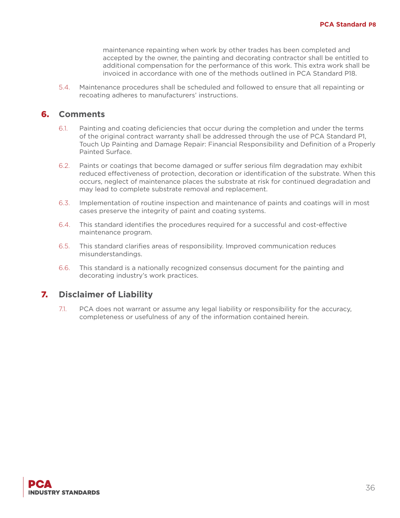maintenance repainting when work by other trades has been completed and accepted by the owner, the painting and decorating contractor shall be entitled to additional compensation for the performance of this work. This extra work shall be invoiced in accordance with one of the methods outlined in PCA Standard P18.

5.4. Maintenance procedures shall be scheduled and followed to ensure that all repainting or recoating adheres to manufacturers' instructions.

#### 6. **Comments**

- 6.1. Painting and coating deficiencies that occur during the completion and under the terms of the original contract warranty shall be addressed through the use of PCA Standard P1, Touch Up Painting and Damage Repair: Financial Responsibility and Definition of a Properly Painted Surface.
- 6.2. Paints or coatings that become damaged or suffer serious film degradation may exhibit reduced effectiveness of protection, decoration or identification of the substrate. When this occurs, neglect of maintenance places the substrate at risk for continued degradation and may lead to complete substrate removal and replacement.
- 6.3. Implementation of routine inspection and maintenance of paints and coatings will in most cases preserve the integrity of paint and coating systems.
- 6.4. This standard identifies the procedures required for a successful and cost-effective maintenance program.
- 6.5. This standard clarifies areas of responsibility. Improved communication reduces misunderstandings.
- 6.6. This standard is a nationally recognized consensus document for the painting and decorating industry's work practices.

#### 7. **Disclaimer of Liability**

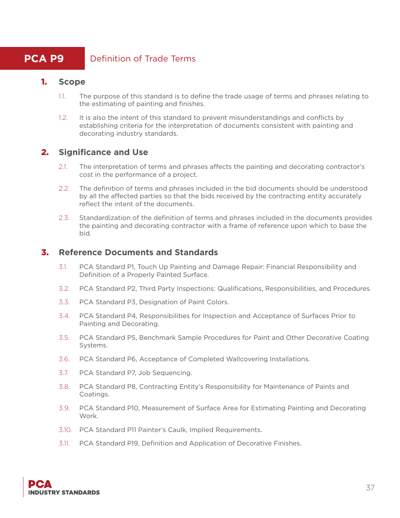## **PCA P9** Definition of Trade Terms

#### 1. **Scope**

- 1.1. The purpose of this standard is to define the trade usage of terms and phrases relating to the estimating of painting and finishes.
- 1.2. It is also the intent of this standard to prevent misunderstandings and conflicts by establishing criteria for the interpretation of documents consistent with painting and decorating industry standards.

## 2. **Significance and Use**

- 2.1. The interpretation of terms and phrases affects the painting and decorating contractor's cost in the performance of a project.
- 2.2. The definition of terms and phrases included in the bid documents should be understood by all the affected parties so that the bids received by the contracting entity accurately reflect the intent of the documents.
- 2.3. Standardization of the definition of terms and phrases included in the documents provides the painting and decorating contractor with a frame of reference upon which to base the bid.

#### 3. **Reference Documents and Standards**

- 3.1. PCA Standard P1, Touch Up Painting and Damage Repair: Financial Responsibility and Definition of a Properly Painted Surface.
- 3.2. PCA Standard P2, Third Party Inspections: Qualifications, Responsibilities, and Procedures.
- 3.3. PCA Standard P3, Designation of Paint Colors.
- 3.4. PCA Standard P4, Responsibilities for Inspection and Acceptance of Surfaces Prior to Painting and Decorating.
- 3.5. PCA Standard P5, Benchmark Sample Procedures for Paint and Other Decorative Coating Systems.
- 3.6. PCA Standard P6, Acceptance of Completed Wallcovering Installations.
- 3.7. PCA Standard P7, Job Sequencing.
- 3.8. PCA Standard P8, Contracting Entity's Responsibility for Maintenance of Paints and Coatings.
- 3.9. PCA Standard P10, Measurement of Surface Area for Estimating Painting and Decorating Work.
- 3.10. PCA Standard P11 Painter's Caulk, Implied Requirements.
- 3.11. PCA Standard P19, Definition and Application of Decorative Finishes.

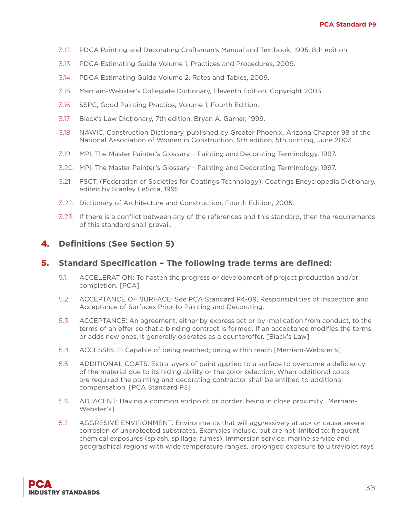- 3.12. PDCA Painting and Decorating Craftsman's Manual and Textbook, 1995, 8th edition.
- 3.13. PDCA Estimating Guide Volume 1, Practices and Procedures, 2009.
- 3.14. PDCA Estimating Guide Volume 2, Rates and Tables, 2009.
- 3.15. Merriam-Webster's Collegiate Dictionary, Eleventh Edition, Copyright 2003.
- 3.16. SSPC, Good Painting Practice, Volume 1, Fourth Edition.
- 3.17. Black's Law Dictionary, 7th edition, Bryan A. Garner, 1999.
- 3.18. NAWIC, Construction Dictionary, published by Greater Phoenix, Arizona Chapter 98 of the National Association of Women in Construction, 9th edition, 5th printing, June 2003.
- 3.19. MPI, The Master Painter's Glossary Painting and Decorating Terminology, 1997.
- 3.20. MPI, The Master Painter's Glossary Painting and Decorating Terminology, 1997.
- 3.21. FSCT, (Federation of Societies for Coatings Technology), Coatings Encyclopedia Dictionary, edited by Stanley LeSota, 1995.
- 3.22. Dictionary of Architecture and Construction, Fourth Edition, 2005.
- 3.23. If there is a conflict between any of the references and this standard, then the requirements of this standard shall prevail.

## 4. **Definitions (See Section 5)**

#### 5. **Standard Specification – The following trade terms are defined:**

- 5.1. ACCELERATION: To hasten the progress or development of project production and/or completion. [PCA]
- 5.2. ACCEPTANCE OF SURFACE: See PCA Standard P4-09, Responsibilities of Inspection and Acceptance of Surfaces Prior to Painting and Decorating.
- 5.3. ACCEPTANCE: An agreement, either by express act or by implication from conduct, to the terms of an offer so that a binding contract is formed. If an acceptance modifies the terms or adds new ones, it generally operates as a counteroffer. [Black's Law]
- 5.4. ACCESSIBLE: Capable of being reached; being within reach [Merriam-Webster's]
- 5.5. ADDITIONAL COATS: Extra layers of paint applied to a surface to overcome a deficiency of the material due to its hiding ability or the color selection. When additional coats are required the painting and decorating contractor shall be entitled to additional compensation. [PCA Standard P3]
- 5.6. ADJACENT: Having a common endpoint or border; being in close proximity [Merriam-Webster's]
- 5.7. AGGRESIVE ENVIRONMENT: Environments that will aggressively attack or cause severe corrosion of unprotected substrates. Examples include, but are not limited to: frequent chemical exposures (splash, spillage, fumes), immersion service, marine service and geographical regions with wide temperature ranges, prolonged exposure to ultraviolet rays

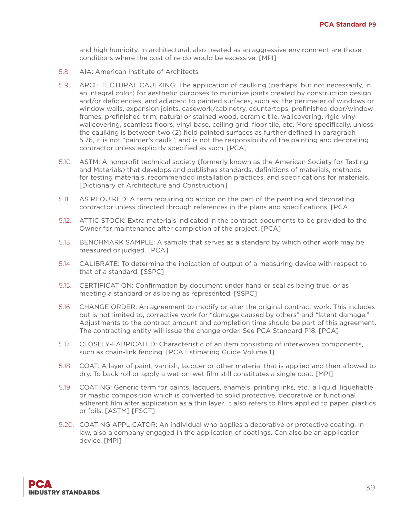and high humidity. In architectural, also treated as an aggressive environment are those conditions where the cost of re-do would be excessive. [MPI]

- 5.8. AIA: American Institute of Architects
- 5.9. ARCHITECTURAL CAULKING: The application of caulking (perhaps, but not necessarily, in an integral color) for aesthetic purposes to minimize joints created by construction design and/or deficiencies, and adjacent to painted surfaces, such as: the perimeter of windows or window walls, expansion joints, casework/cabinetry, countertops, prefinished door/window frames, prefinished trim, natural or stained wood, ceramic tile, wallcovering, rigid vinyl wallcovering, seamless floors, vinyl base, ceiling grid, floor tile, etc. More specifically, unless the caulking is between two (2) field painted surfaces as further defined in paragraph 5.76, it is not "painter's caulk", and is not the responsibility of the painting and decorating contractor unless explicitly specified as such. [PCA]
- 5.10. ASTM: A nonprofit technical society (formerly known as the American Society for Testing and Materials) that develops and publishes standards, definitions of materials, methods for testing materials, recommended installation practices, and specifications for materials. [Dictionary of Architecture and Construction]
- 5.11. AS REQUIRED: A term requiring no action on the part of the painting and decorating contractor unless directed through references in the plans and specifications. [PCA]
- 5.12. ATTIC STOCK: Extra materials indicated in the contract documents to be provided to the Owner for maintenance after completion of the project. [PCA]
- 5.13. BENCHMARK SAMPLE: A sample that serves as a standard by which other work may be measured or judged. [PCA]
- 5.14. CALIBRATE: To determine the indication of output of a measuring device with respect to that of a standard. [SSPC]
- 5.15. CERTIFICATION: Confirmation by document under hand or seal as being true, or as meeting a standard or as being as represented. [SSPC]
- 5.16. CHANGE ORDER: An agreement to modify or alter the original contract work. This includes but is not limited to, corrective work for "damage caused by others" and "latent damage." Adjustments to the contract amount and completion time should be part of this agreement. The contracting entity will issue the change order. See PCA Standard P18. [PCA]
- 5.17. CLOSELY-FABRICATED: Characteristic of an item consisting of interwoven components, such as chain-link fencing. [PCA Estimating Guide Volume 1]
- 5.18. COAT: A layer of paint, varnish, lacquer or other material that is applied and then allowed to dry. To back roll or apply a wet-on-wet film still constitutes a single coat. [MPI]
- 5.19. COATING: Generic term for paints, lacquers, enamels, printing inks, etc.; a liquid, liquefiable or mastic composition which is converted to solid protective, decorative or functional adherent film after application as a thin layer. It also refers to films applied to paper, plastics or foils. [ASTM] [FSCT]
- 5.20. COATING APPLICATOR: An individual who applies a decorative or protective coating. In law, also a company engaged in the application of coatings. Can also be an application device. [MPI]

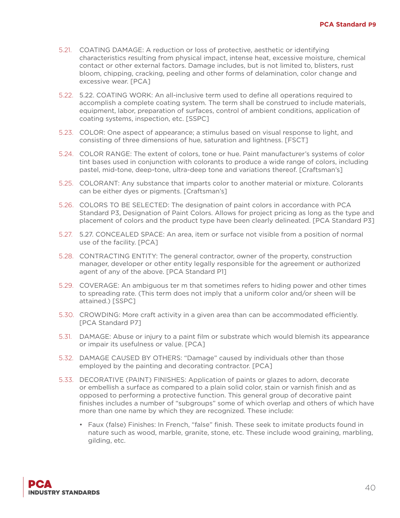- 5.21. COATING DAMAGE: A reduction or loss of protective, aesthetic or identifying characteristics resulting from physical impact, intense heat, excessive moisture, chemical contact or other external factors. Damage includes, but is not limited to, blisters, rust bloom, chipping, cracking, peeling and other forms of delamination, color change and excessive wear. [PCA]
- 5.22. 5.22. COATING WORK: An all-inclusive term used to define all operations required to accomplish a complete coating system. The term shall be construed to include materials, equipment, labor, preparation of surfaces, control of ambient conditions, application of coating systems, inspection, etc. [SSPC]
- 5.23. COLOR: One aspect of appearance; a stimulus based on visual response to light, and consisting of three dimensions of hue, saturation and lightness. [FSCT]
- 5.24. COLOR RANGE: The extent of colors, tone or hue. Paint manufacturer's systems of color tint bases used in conjunction with colorants to produce a wide range of colors, including pastel, mid-tone, deep-tone, ultra-deep tone and variations thereof. [Craftsman's]
- 5.25. COLORANT: Any substance that imparts color to another material or mixture. Colorants can be either dyes or pigments. [Craftsman's]
- 5.26. COLORS TO BE SELECTED: The designation of paint colors in accordance with PCA Standard P3, Designation of Paint Colors. Allows for project pricing as long as the type and placement of colors and the product type have been clearly delineated. [PCA Standard P3]
- 5.27. 5.27. CONCEALED SPACE: An area, item or surface not visible from a position of normal use of the facility. [PCA]
- 5.28. CONTRACTING ENTITY: The general contractor, owner of the property, construction manager, developer or other entity legally responsible for the agreement or authorized agent of any of the above. [PCA Standard P1]
- 5.29. COVERAGE: An ambiguous ter m that sometimes refers to hiding power and other times to spreading rate. (This term does not imply that a uniform color and/or sheen will be attained.) [SSPC]
- 5.30. CROWDING: More craft activity in a given area than can be accommodated efficiently. [PCA Standard P7]
- 5.31. DAMAGE: Abuse or injury to a paint film or substrate which would blemish its appearance or impair its usefulness or value. [PCA]
- 5.32. DAMAGE CAUSED BY OTHERS: "Damage" caused by individuals other than those employed by the painting and decorating contractor. [PCA]
- 5.33. DECORATIVE (PAINT) FINISHES: Application of paints or glazes to adorn, decorate or embellish a surface as compared to a plain solid color, stain or varnish finish and as opposed to performing a protective function. This general group of decorative paint finishes includes a number of "subgroups" some of which overlap and others of which have more than one name by which they are recognized. These include:
	- Faux (false) Finishes: In French, "false" finish. These seek to imitate products found in nature such as wood, marble, granite, stone, etc. These include wood graining, marbling, gilding, etc.

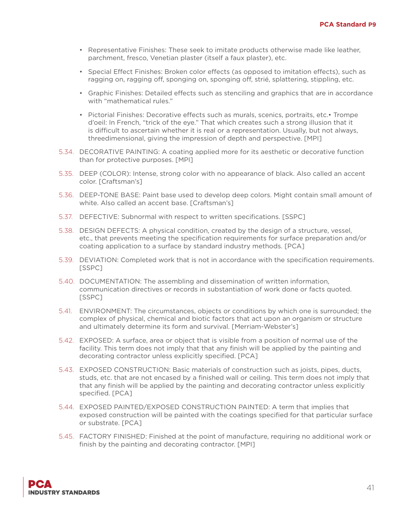- Representative Finishes: These seek to imitate products otherwise made like leather, parchment, fresco, Venetian plaster (itself a faux plaster), etc.
- Special Effect Finishes: Broken color effects (as opposed to imitation effects), such as ragging on, ragging off, sponging on, sponging off, strié, splattering, stippling, etc.
- Graphic Finishes: Detailed effects such as stenciling and graphics that are in accordance with "mathematical rules."
- Pictorial Finishes: Decorative effects such as murals, scenics, portraits, etc. Trompe d'oeil: In French, "trick of the eye." That which creates such a strong illusion that it is difficult to ascertain whether it is real or a representation. Usually, but not always, threedimensional, giving the impression of depth and perspective. [MPI]
- 5.34. DECORATIVE PAINTING: A coating applied more for its aesthetic or decorative function than for protective purposes. [MPI]
- 5.35. DEEP (COLOR): Intense, strong color with no appearance of black. Also called an accent color. [Craftsman's]
- 5.36. DEEP-TONE BASE: Paint base used to develop deep colors. Might contain small amount of white. Also called an accent base. [Craftsman's]
- 5.37. DEFECTIVE: Subnormal with respect to written specifications. [SSPC]
- 5.38. DESIGN DEFECTS: A physical condition, created by the design of a structure, vessel, etc., that prevents meeting the specification requirements for surface preparation and/or coating application to a surface by standard industry methods. [PCA]
- 5.39. DEVIATION: Completed work that is not in accordance with the specification requirements. [SSPC]
- 5.40. DOCUMENTATION: The assembling and dissemination of written information, communication directives or records in substantiation of work done or facts quoted. [SSPC]
- 5.41. ENVIRONMENT: The circumstances, objects or conditions by which one is surrounded; the complex of physical, chemical and biotic factors that act upon an organism or structure and ultimately determine its form and survival. [Merriam-Webster's]
- 5.42. EXPOSED: A surface, area or object that is visible from a position of normal use of the facility. This term does not imply that that any finish will be applied by the painting and decorating contractor unless explicitly specified. [PCA]
- 5.43. EXPOSED CONSTRUCTION: Basic materials of construction such as joists, pipes, ducts, studs, etc. that are not encased by a finished wall or ceiling. This term does not imply that that any finish will be applied by the painting and decorating contractor unless explicitly specified. [PCA]
- 5.44. EXPOSED PAINTED/EXPOSED CONSTRUCTION PAINTED: A term that implies that exposed construction will be painted with the coatings specified for that particular surface or substrate. [PCA]
- 5.45. FACTORY FINISHED: Finished at the point of manufacture, requiring no additional work or finish by the painting and decorating contractor. [MPI]

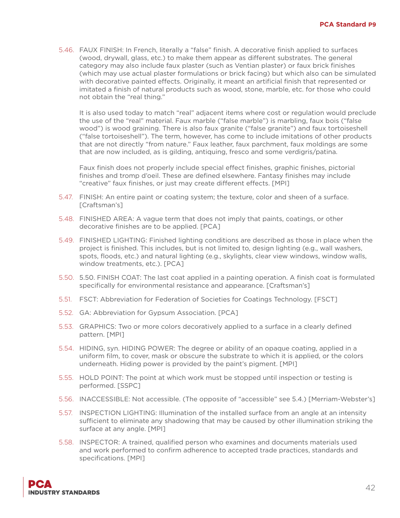5.46. FAUX FINISH: In French, literally a "false" finish. A decorative finish applied to surfaces (wood, drywall, glass, etc.) to make them appear as different substrates. The general category may also include faux plaster (such as Ventian plaster) or faux brick finishes (which may use actual plaster formulations or brick facing) but which also can be simulated with decorative painted effects. Originally, it meant an artificial finish that represented or imitated a finish of natural products such as wood, stone, marble, etc. for those who could not obtain the "real thing."

It is also used today to match "real" adjacent items where cost or regulation would preclude the use of the "real" material. Faux marble ("false marble") is marbling, faux bois ("false wood") is wood graining. There is also faux granite ("false granite") and faux tortoiseshell ("false tortoiseshell"). The term, however, has come to include imitations of other products that are not directly "from nature." Faux leather, faux parchment, faux moldings are some that are now included, as is gilding, antiquing, fresco and some verdigris/patina.

Faux finish does not properly include special effect finishes, graphic finishes, pictorial finishes and tromp d'oeil. These are defined elsewhere. Fantasy finishes may include "creative" faux finishes, or just may create different effects. [MPI]

- 5.47. FINISH: An entire paint or coating system; the texture, color and sheen of a surface. [Craftsman's]
- 5.48. FINISHED AREA: A vague term that does not imply that paints, coatings, or other decorative finishes are to be applied. [PCA]
- 5.49. FINISHED LIGHTING: Finished lighting conditions are described as those in place when the project is finished. This includes, but is not limited to, design lighting (e.g., wall washers, spots, floods, etc.) and natural lighting (e.g., skylights, clear view windows, window walls, window treatments, etc.). [PCA]
- 5.50. 5.50. FINISH COAT: The last coat applied in a painting operation. A finish coat is formulated specifically for environmental resistance and appearance. [Craftsman's]
- 5.51. FSCT: Abbreviation for Federation of Societies for Coatings Technology. [FSCT]
- 5.52. GA: Abbreviation for Gypsum Association. [PCA]
- 5.53. GRAPHICS: Two or more colors decoratively applied to a surface in a clearly defined pattern. [MPI]
- 5.54. HIDING, syn. HIDING POWER: The degree or ability of an opaque coating, applied in a uniform film, to cover, mask or obscure the substrate to which it is applied, or the colors underneath. Hiding power is provided by the paint's pigment. [MPI]
- 5.55. HOLD POINT: The point at which work must be stopped until inspection or testing is performed. [SSPC]
- 5.56. INACCESSIBLE: Not accessible. (The opposite of "accessible" see 5.4.) [Merriam-Webster's]
- 5.57. INSPECTION LIGHTING: Illumination of the installed surface from an angle at an intensity sufficient to eliminate any shadowing that may be caused by other illumination striking the surface at any angle. [MPI]
- 5.58. INSPECTOR: A trained, qualified person who examines and documents materials used and work performed to confirm adherence to accepted trade practices, standards and specifications. [MPI]

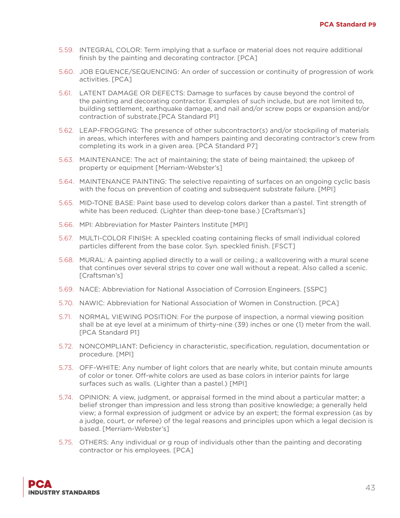- 5.59. INTEGRAL COLOR: Term implying that a surface or material does not require additional finish by the painting and decorating contractor. [PCA]
- 5.60. JOB EQUENCE/SEQUENCING: An order of succession or continuity of progression of work activities. [PCA]
- 5.61. LATENT DAMAGE OR DEFECTS: Damage to surfaces by cause beyond the control of the painting and decorating contractor. Examples of such include, but are not limited to, building settlement, earthquake damage, and nail and/or screw pops or expansion and/or contraction of substrate.[PCA Standard P1]
- 5.62. LEAP-FROGGING: The presence of other subcontractor(s) and/or stockpiling of materials in areas, which interferes with and hampers painting and decorating contractor's crew from completing its work in a given area. [PCA Standard P7]
- 5.63. MAINTENANCE: The act of maintaining; the state of being maintained; the upkeep of property or equipment [Merriam-Webster's]
- 5.64. MAINTENANCE PAINTING: The selective repainting of surfaces on an ongoing cyclic basis with the focus on prevention of coating and subsequent substrate failure. [MPI]
- 5.65. MID-TONE BASE: Paint base used to develop colors darker than a pastel. Tint strength of white has been reduced. (Lighter than deep-tone base.) [Craftsman's]
- 5.66. MPI: Abbreviation for Master Painters Institute [MPI]
- 5.67. MULTI-COLOR FINISH: A speckled coating containing flecks of small individual colored particles different from the base color. Syn. speckled finish. [FSCT]
- 5.68. MURAL: A painting applied directly to a wall or ceiling.; a wallcovering with a mural scene that continues over several strips to cover one wall without a repeat. Also called a scenic. [Craftsman's]
- 5.69. NACE: Abbreviation for National Association of Corrosion Engineers. [SSPC]
- 5.70. NAWIC: Abbreviation for National Association of Women in Construction. [PCA]
- 5.71. NORMAL VIEWING POSITION: For the purpose of inspection, a normal viewing position shall be at eye level at a minimum of thirty-nine (39) inches or one (1) meter from the wall. [PCA Standard P1]
- 5.72. NONCOMPLIANT: Deficiency in characteristic, specification, regulation, documentation or procedure. [MPI]
- 5.73. OFF-WHITE: Any number of light colors that are nearly white, but contain minute amounts of color or toner. Off-white colors are used as base colors in interior paints for large surfaces such as walls. (Lighter than a pastel.) [MPI]
- 5.74. OPINION: A view, judgment, or appraisal formed in the mind about a particular matter; a belief stronger than impression and less strong than positive knowledge; a generally held view; a formal expression of judgment or advice by an expert; the formal expression (as by a judge, court, or referee) of the legal reasons and principles upon which a legal decision is based. [Merriam-Webster's]
- 5.75. OTHERS: Any individual or g roup of individuals other than the painting and decorating contractor or his employees. [PCA]

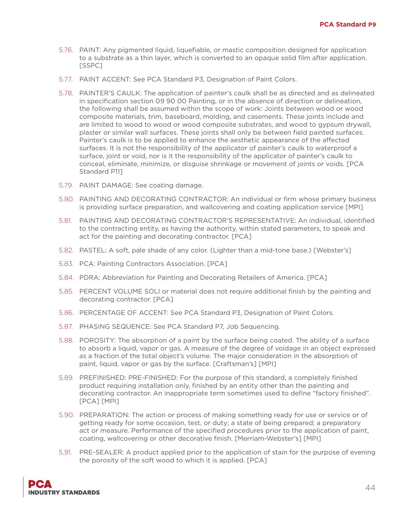- 5.76. PAINT: Any pigmented liquid, liquefiable, or mastic composition designed for application to a substrate as a thin layer, which is converted to an opaque solid film after application. [SSPC]
- 5.77. PAINT ACCENT: See PCA Standard P3, Designation of Paint Colors.
- 5.78. PAINTER'S CAULK: The application of painter's caulk shall be as directed and as delineated in specification section 09 90 00 Painting, or in the absence of direction or delineation, the following shall be assumed within the scope of work: Joints between wood or wood composite materials, trim, baseboard, molding, and casements. These joints include and are limited to wood to wood or wood composite substrates, and wood to gypsum drywall, plaster or similar wall surfaces. These joints shall only be between field painted surfaces. Painter's caulk is to be applied to enhance the aesthetic appearance of the affected surfaces. It is not the responsibility of the applicator of painter's caulk to waterproof a surface, joint or void, nor is it the responsibility of the applicator of painter's caulk to conceal, eliminate, minimize, or disguise shrinkage or movement of joints or voids. [PCA Standard P11]
- 5.79. PAINT DAMAGE: See coating damage.
- 5.80. PAINTING AND DECORATING CONTRACTOR: An individual or firm whose primary business is providing surface preparation, and wallcovering and coating application service [MPI]
- 5.81. PAINTING AND DECORATING CONTRACTOR'S REPRESENTATIVE: An individual, identified to the contracting entity, as having the authority, within stated parameters, to speak and act for the painting and decorating contractor. [PCA]
- 5.82. PASTEL: A soft, pale shade of any color. (Lighter than a mid-tone base.) [Webster's]
- 5.83. PCA: Painting Contractors Association. [PCA]
- 5.84. PDRA: Abbreviation for Painting and Decorating Retailers of America. [PCA]
- 5.85. PERCENT VOLUME SOLI or material does not require additional finish by the painting and decorating contractor. [PCA]
- 5.86. PERCENTAGE OF ACCENT: See PCA Standard P3, Designation of Paint Colors.
- 5.87. PHASING SEQUENCE: See PCA Standard P7, Job Sequencing.
- 5.88. POROSITY: The absorption of a paint by the surface being coated. The ability of a surface to absorb a liquid, vapor or gas. A measure of the degree of voidage in an object expressed as a fraction of the total object's volume. The major consideration in the absorption of paint, liquid, vapor or gas by the surface. [Craftsman's] [MPI]
- 5.89. PREFINISHED: PRE-FINISHED: For the purpose of this standard, a completely finished product requiring installation only, finished by an entity other than the painting and decorating contractor. An inappropriate term sometimes used to define "factory finished". [PCA] [MPI]
- 5.90. PREPARATION: The action or process of making something ready for use or service or of getting ready for some occasion, test, or duty; a state of being prepared; a preparatory act or measure. Performance of the specified procedures prior to the application of paint, coating, wallcovering or other decorative finish. [Merriam-Webster's] [MPI]
- 5.91. PRE-SEALER: A product applied prior to the application of stain for the purpose of evening the porosity of the soft wood to which it is applied. [PCA]

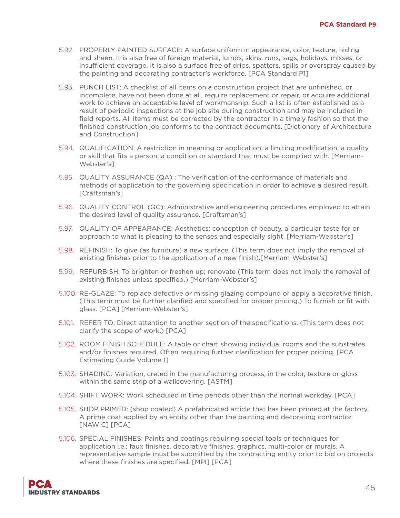- 5.92. PROPERLY PAINTED SURFACE: A surface uniform in appearance, color, texture, hiding and sheen. It is also free of foreign material, lumps, skins, runs, sags, holidays, misses, or insufficient coverage. It is also a surface free of drips, spatters, spills or overspray caused by the painting and decorating contractor's workforce. [PCA Standard P1]
- 5.93. PUNCH LIST: A checklist of all items on a construction project that are unfinished, or incomplete, have not been done at all, require replacement or repair, or acquire additional work to achieve an acceptable level of workmanship. Such a list is often established as a result of periodic inspections at the job site during construction and may be included in field reports. All items must be corrected by the contractor in a timely fashion so that the finished construction job conforms to the contract documents. [Dictionary of Architecture and Construction]
- 5.94. QUALIFICATION: A restriction in meaning or application; a limiting modification; a quality or skill that fits a person; a condition or standard that must be complied with. [Merriam-Webster's]
- 5.95. QUALITY ASSURANCE (QA) : The verification of the conformance of materials and methods of application to the governing specification in order to achieve a desired result. [Craftsman's]
- 5.96. QUALITY CONTROL (QC): Administrative and engineering procedures employed to attain the desired level of quality assurance. [Craftsman's]
- 5.97. QUALITY OF APPEARANCE: Aesthetics; conception of beauty, a particular taste for or approach to what is pleasing to the senses and especially sight. [Merriam-Webster's]
- 5.98. REFINISH: To give (as furniture) a new surface. (This term does not imply the removal of existing finishes prior to the application of a new finish).[Merriam-Webster's]
- 5.99. REFURBISH: To brighten or freshen up; renovate (This term does not imply the removal of existing finishes unless specified.) [Merriam-Webster's]
- 5.100. RE-GLAZE: To replace defective or missing glazing compound or apply a decorative finish. (This term must be further clarified and specified for proper pricing.) To furnish or fit with glass. [PCA] [Merriam-Webster's]
- 5.101. REFER TO: Direct attention to another section of the specifications. (This term does not clarify the scope of work.) [PCA]
- 5.102. ROOM FINISH SCHEDULE: A table or chart showing individual rooms and the substrates and/or finishes required. Often requiring further clarification for proper pricing. [PCA Estimating Guide Volume 1]
- 5.103. SHADING: Variation, creted in the manufacturing process, in the color, texture or gloss within the same strip of a wallcovering. [ASTM]
- 5.104. SHIFT WORK: Work scheduled in time periods other than the normal workday. [PCA]
- 5.105. SHOP PRIMED: (shop coated) A prefabricated article that has been primed at the factory. A prime coat applied by an entity other than the painting and decorating contractor. [NAWIC] [PCA]
- 5.106. SPECIAL FINISHES: Paints and coatings requiring special tools or techniques for application i.e.: faux finishes, decorative finishes, graphics, multi-color or murals. A representative sample must be submitted by the contracting entity prior to bid on projects where these finishes are specified. [MPI] [PCA]

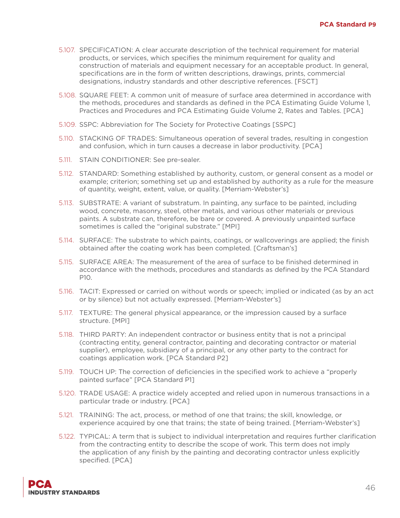- 5.107. SPECIFICATION: A clear accurate description of the technical requirement for material products, or services, which specifies the minimum requirement for quality and construction of materials and equipment necessary for an acceptable product. In general, specifications are in the form of written descriptions, drawings, prints, commercial designations, industry standards and other descriptive references. [FSCT]
- 5.108. SQUARE FEET: A common unit of measure of surface area determined in accordance with the methods, procedures and standards as defined in the PCA Estimating Guide Volume 1, Practices and Procedures and PCA Estimating Guide Volume 2, Rates and Tables. [PCA]
- 5.109. SSPC: Abbreviation for The Society for Protective Coatings [SSPC]
- 5.110. STACKING OF TRADES: Simultaneous operation of several trades, resulting in congestion and confusion, which in turn causes a decrease in labor productivity. [PCA]
- 5.111. STAIN CONDITIONER: See pre-sealer.
- 5.112. STANDARD: Something established by authority, custom, or general consent as a model or example; criterion; something set up and established by authority as a rule for the measure of quantity, weight, extent, value, or quality. [Merriam-Webster's]
- 5.113. SUBSTRATE: A variant of substratum. In painting, any surface to be painted, including wood, concrete, masonry, steel, other metals, and various other materials or previous paints. A substrate can, therefore, be bare or covered. A previously unpainted surface sometimes is called the "original substrate." [MPI]
- 5.114. SURFACE: The substrate to which paints, coatings, or wallcoverings are applied; the finish obtained after the coating work has been completed. [Craftsman's]
- 5.115. SURFACE AREA: The measurement of the area of surface to be finished determined in accordance with the methods, procedures and standards as defined by the PCA Standard P10.
- 5.116. TACIT: Expressed or carried on without words or speech; implied or indicated (as by an act or by silence) but not actually expressed. [Merriam-Webster's]
- 5.117. TEXTURE: The general physical appearance, or the impression caused by a surface structure. [MPI]
- 5.118. THIRD PARTY: An independent contractor or business entity that is not a principal (contracting entity, general contractor, painting and decorating contractor or material supplier), employee, subsidiary of a principal, or any other party to the contract for coatings application work. [PCA Standard P2]
- 5.119. TOUCH UP: The correction of deficiencies in the specified work to achieve a "properly painted surface" [PCA Standard P1]
- 5.120. TRADE USAGE: A practice widely accepted and relied upon in numerous transactions in a particular trade or industry. [PCA]
- 5.121. TRAINING: The act, process, or method of one that trains; the skill, knowledge, or experience acquired by one that trains; the state of being trained. [Merriam-Webster's]
- 5.122. TYPICAL: A term that is subject to individual interpretation and requires further clarification from the contracting entity to describe the scope of work. This term does not imply the application of any finish by the painting and decorating contractor unless explicitly specified. [PCA]

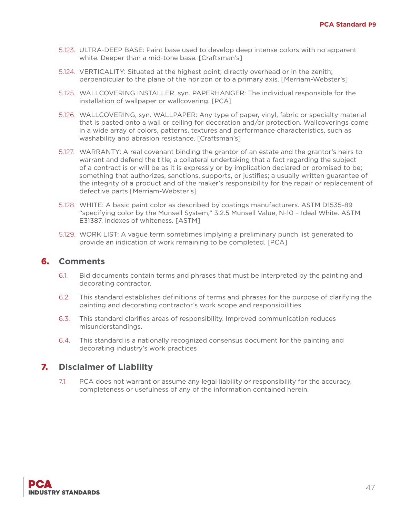- 5.123. ULTRA-DEEP BASE: Paint base used to develop deep intense colors with no apparent white. Deeper than a mid-tone base. [Craftsman's]
- 5.124. VERTICALITY: Situated at the highest point; directly overhead or in the zenith; perpendicular to the plane of the horizon or to a primary axis. [Merriam-Webster's]
- 5.125. WALLCOVERING INSTALLER, syn. PAPERHANGER: The individual responsible for the installation of wallpaper or wallcovering. [PCA]
- 5.126. WALLCOVERING, syn. WALLPAPER: Any type of paper, vinyl, fabric or specialty material that is pasted onto a wall or ceiling for decoration and/or protection. Wallcoverings come in a wide array of colors, patterns, textures and performance characteristics, such as washability and abrasion resistance. [Craftsman's]
- 5.127. WARRANTY: A real covenant binding the grantor of an estate and the grantor's heirs to warrant and defend the title; a collateral undertaking that a fact regarding the subject of a contract is or will be as it is expressly or by implication declared or promised to be; something that authorizes, sanctions, supports, or justifies; a usually written guarantee of the integrity of a product and of the maker's responsibility for the repair or replacement of defective parts [Merriam-Webster's]
- 5.128. WHITE: A basic paint color as described by coatings manufacturers. ASTM D1535-89 "specifying color by the Munsell System," 3.2.5 Munsell Value, N-10 – Ideal White. ASTM E31387, indexes of whiteness. [ASTM]
- 5.129. WORK LIST: A vague term sometimes implying a preliminary punch list generated to provide an indication of work remaining to be completed. [PCA]

#### 6. **Comments**

- 6.1. Bid documents contain terms and phrases that must be interpreted by the painting and decorating contractor.
- 6.2. This standard establishes definitions of terms and phrases for the purpose of clarifying the painting and decorating contractor's work scope and responsibilities.
- 6.3. This standard clarifies areas of responsibility. Improved communication reduces misunderstandings.
- 6.4. This standard is a nationally recognized consensus document for the painting and decorating industry's work practices

## 7. **Disclaimer of Liability**

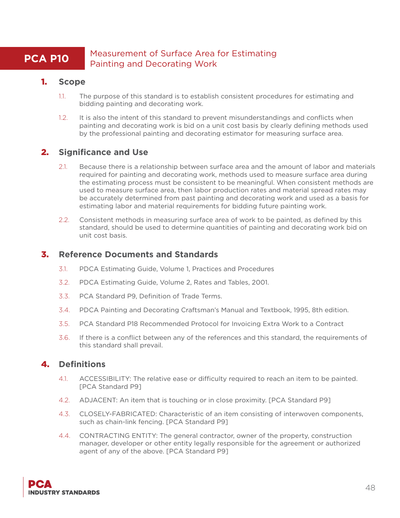## **PCA P10** Measurement of Surface Area for Estimating Painting and Decorating Work

#### 1. **Scope**

- 1.1. The purpose of this standard is to establish consistent procedures for estimating and bidding painting and decorating work.
- 1.2. It is also the intent of this standard to prevent misunderstandings and conflicts when painting and decorating work is bid on a unit cost basis by clearly defining methods used by the professional painting and decorating estimator for measuring surface area.

## 2. **Significance and Use**

- 2.1. Because there is a relationship between surface area and the amount of labor and materials required for painting and decorating work, methods used to measure surface area during the estimating process must be consistent to be meaningful. When consistent methods are used to measure surface area, then labor production rates and material spread rates may be accurately determined from past painting and decorating work and used as a basis for estimating labor and material requirements for bidding future painting work.
- 2.2. Consistent methods in measuring surface area of work to be painted, as defined by this standard, should be used to determine quantities of painting and decorating work bid on unit cost basis.

#### 3. **Reference Documents and Standards**

- 3.1. PDCA Estimating Guide, Volume 1, Practices and Procedures
- 3.2. PDCA Estimating Guide, Volume 2, Rates and Tables, 2001.
- 3.3. PCA Standard P9, Definition of Trade Terms.
- 3.4. PDCA Painting and Decorating Craftsman's Manual and Textbook, 1995, 8th edition.
- 3.5. PCA Standard P18 Recommended Protocol for Invoicing Extra Work to a Contract
- 3.6. If there is a conflict between any of the references and this standard, the requirements of this standard shall prevail.

- 4.1. ACCESSIBILITY: The relative ease or difficulty required to reach an item to be painted. [PCA Standard P9]
- 4.2. ADJACENT: An item that is touching or in close proximity. [PCA Standard P9]
- 4.3. CLOSELY-FABRICATED: Characteristic of an item consisting of interwoven components, such as chain-link fencing. [PCA Standard P9]
- 4.4. CONTRACTING ENTITY: The general contractor, owner of the property, construction manager, developer or other entity legally responsible for the agreement or authorized agent of any of the above. [PCA Standard P9]

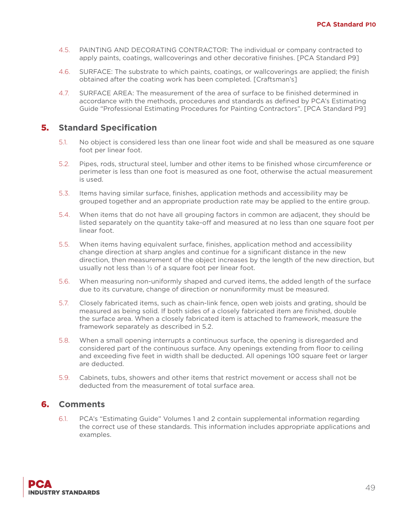- 4.5. PAINTING AND DECORATING CONTRACTOR: The individual or company contracted to apply paints, coatings, wallcoverings and other decorative finishes. [PCA Standard P9]
- 4.6. SURFACE: The substrate to which paints, coatings, or wallcoverings are applied; the finish obtained after the coating work has been completed. [Craftsman's]
- 4.7. SURFACE AREA: The measurement of the area of surface to be finished determined in accordance with the methods, procedures and standards as defined by PCA's Estimating Guide "Professional Estimating Procedures for Painting Contractors". [PCA Standard P9]

- 5.1. No object is considered less than one linear foot wide and shall be measured as one square foot per linear foot.
- 5.2. Pipes, rods, structural steel, lumber and other items to be finished whose circumference or perimeter is less than one foot is measured as one foot, otherwise the actual measurement is used.
- 5.3. Items having similar surface, finishes, application methods and accessibility may be grouped together and an appropriate production rate may be applied to the entire group.
- 5.4. When items that do not have all grouping factors in common are adjacent, they should be listed separately on the quantity take-off and measured at no less than one square foot per linear foot.
- 5.5. When items having equivalent surface, finishes, application method and accessibility change direction at sharp angles and continue for a significant distance in the new direction, then measurement of the object increases by the length of the new direction, but usually not less than  $\frac{1}{2}$  of a square foot per linear foot.
- 5.6. When measuring non-uniformly shaped and curved items, the added length of the surface due to its curvature, change of direction or nonuniformity must be measured.
- 5.7. Closely fabricated items, such as chain-link fence, open web joists and grating, should be measured as being solid. If both sides of a closely fabricated item are finished, double the surface area. When a closely fabricated item is attached to framework, measure the framework separately as described in 5.2.
- 5.8. When a small opening interrupts a continuous surface, the opening is disregarded and considered part of the continuous surface. Any openings extending from floor to ceiling and exceeding five feet in width shall be deducted. All openings 100 square feet or larger are deducted.
- 5.9. Cabinets, tubs, showers and other items that restrict movement or access shall not be deducted from the measurement of total surface area.

## 6. **Comments**

6.1. PCA's "Estimating Guide" Volumes 1 and 2 contain supplemental information regarding the correct use of these standards. This information includes appropriate applications and examples.

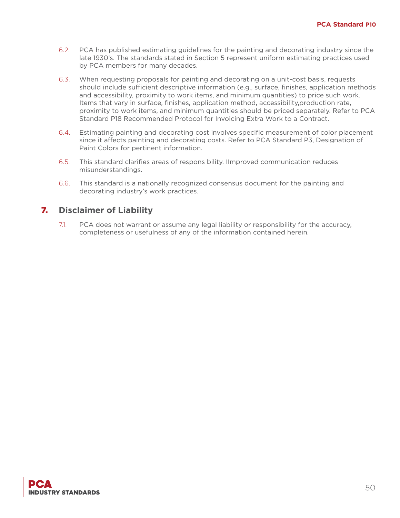- 6.2. PCA has published estimating guidelines for the painting and decorating industry since the late 1930's. The standards stated in Section 5 represent uniform estimating practices used by PCA members for many decades.
- 6.3. When requesting proposals for painting and decorating on a unit-cost basis, requests should include sufficient descriptive information (e.g., surface, finishes, application methods and accessibility, proximity to work items, and minimum quantities) to price such work. Items that vary in surface, finishes, application method, accessibility,production rate, proximity to work items, and minimum quantities should be priced separately. Refer to PCA Standard P18 Recommended Protocol for Invoicing Extra Work to a Contract.
- 6.4. Estimating painting and decorating cost involves specific measurement of color placement since it affects painting and decorating costs. Refer to PCA Standard P3, Designation of Paint Colors for pertinent information.
- 6.5. This standard clarifies areas of respons bility. IImproved communication reduces misunderstandings.
- 6.6. This standard is a nationally recognized consensus document for the painting and decorating industry's work practices.

## 7. **Disclaimer of Liability**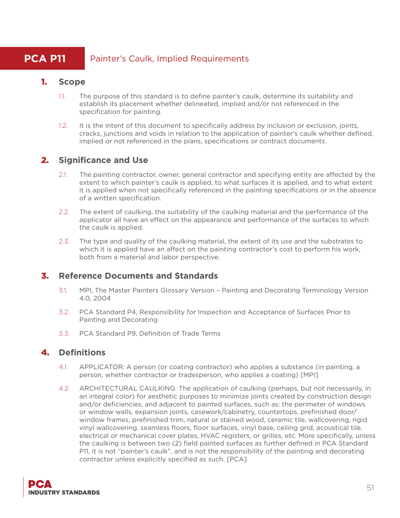# **PCA P11** Painter's Caulk, Implied Requirements

## 1. **Scope**

- 1.1. The purpose of this standard is to define painter's caulk, determine its suitability and establish its placement whether delineated, implied and/or not referenced in the specification for painting.
- 1.2. It is the intent of this document to specifically address by inclusion or exclusion, joints, cracks, junctions and voids in relation to the application of painter's caulk whether defined, implied or not referenced in the plans, specifications or contract documents.

## 2. **Significance and Use**

- 2.1. The painting contractor, owner, general contractor and specifying entity are affected by the extent to which painter's caulk is applied, to what surfaces it is applied, and to what extent it is applied when not specifically referenced in the painting specifications or in the absence of a written specification.
- 2.2. The extent of caulking, the suitability of the caulking material and the performance of the applicator all have an effect on the appearance and performance of the surfaces to which the caulk is applied.
- 2.3. The type and quality of the caulking material, the extent of its use and the substrates to which it is applied have an affect on the painting contractor's cost to perform his work, both from a material and labor perspective.

## 3. **Reference Documents and Standards**

- 3.1. MPI, The Master Painters Glossary Version Painting and Decorating Terminology Version 4.0, 2004
- 3.2. PCA Standard P4, Responsibility for Inspection and Acceptance of Surfaces Prior to Painting and Decorating
- 3.3. PCA Standard P9, Definition of Trade Terms

- 4.1. APPLICATOR: A person (or coating contractor) who applies a substance (in painting, a person, whether contractor or tradesperson, who applies a coating) [MPI]
- 4.2. ARCHITECTURAL CAULKING: The application of caulking (perhaps, but not necessarily, in an integral color) for aesthetic purposes to minimize joints created by construction design and/or deficiencies, and adjacent to painted surfaces, such as: the perimeter of windows or window walls, expansion joints, casework/cabinetry, countertops, prefinished door/ window frames, prefinished trim, natural or stained wood, ceramic tile, wallcovering, rigid vinyl wallcovering, seamless floors, floor surfaces, vinyl base, ceiling grid, acoustical tile, electrical or mechanical cover plates, HVAC registers, or grilles, etc. More specifically, unless the caulking is between two (2) field painted surfaces as further defined in PCA Standard P11, it is not "painter's caulk", and is not the responsibility of the painting and decorating contractor unless explicitly specified as such. [PCA]

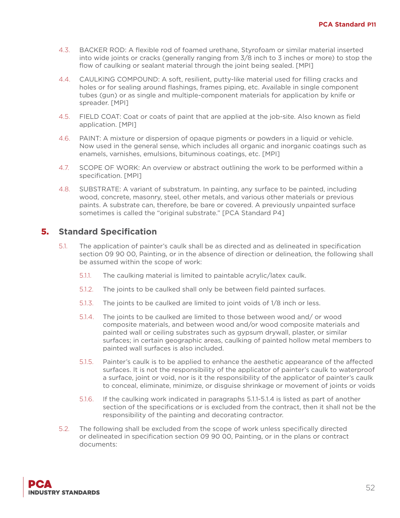- 4.3. BACKER ROD: A flexible rod of foamed urethane, Styrofoam or similar material inserted into wide joints or cracks (generally ranging from 3/8 inch to 3 inches or more) to stop the flow of caulking or sealant material through the joint being sealed. [MPI]
- 4.4. CAULKING COMPOUND: A soft, resilient, putty-like material used for filling cracks and holes or for sealing around flashings, frames piping, etc. Available in single component tubes (gun) or as single and multiple-component materials for application by knife or spreader. [MPI]
- 4.5. FIELD COAT: Coat or coats of paint that are applied at the job-site. Also known as field application. [MPI]
- 4.6. PAINT: A mixture or dispersion of opaque pigments or powders in a liquid or vehicle. Now used in the general sense, which includes all organic and inorganic coatings such as enamels, varnishes, emulsions, bituminous coatings, etc. [MPI]
- 4.7. SCOPE OF WORK: An overview or abstract outlining the work to be performed within a specification. [MPI]
- 4.8. SUBSTRATE: A variant of substratum. In painting, any surface to be painted, including wood, concrete, masonry, steel, other metals, and various other materials or previous paints. A substrate can, therefore, be bare or covered. A previously unpainted surface sometimes is called the "original substrate." [PCA Standard P4]

- 5.1. The application of painter's caulk shall be as directed and as delineated in specification section 09 90 00, Painting, or in the absence of direction or delineation, the following shall be assumed within the scope of work:
	- 5.1.1. The caulking material is limited to paintable acrylic/latex caulk.
	- 5.1.2. The joints to be caulked shall only be between field painted surfaces.
	- 5.1.3. The joints to be caulked are limited to joint voids of 1/8 inch or less.
	- 5.1.4. The joints to be caulked are limited to those between wood and/ or wood composite materials, and between wood and/or wood composite materials and painted wall or ceiling substrates such as gypsum drywall, plaster, or similar surfaces; in certain geographic areas, caulking of painted hollow metal members to painted wall surfaces is also included.
	- 5.1.5. Painter's caulk is to be applied to enhance the aesthetic appearance of the affected surfaces. It is not the responsibility of the applicator of painter's caulk to waterproof a surface, joint or void, nor is it the responsibility of the applicator of painter's caulk to conceal, eliminate, minimize, or disguise shrinkage or movement of joints or voids
	- 5.1.6. If the caulking work indicated in paragraphs 5.1.1-5.1.4 is listed as part of another section of the specifications or is excluded from the contract, then it shall not be the responsibility of the painting and decorating contractor.
- 5.2. The following shall be excluded from the scope of work unless specifically directed or delineated in specification section 09 90 00, Painting, or in the plans or contract documents:

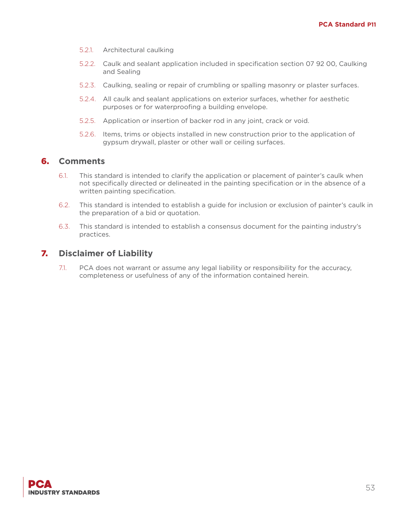- 5.2.1. Architectural caulking
- 5.2.2. Caulk and sealant application included in specification section 07 92 00, Caulking and Sealing
- 5.2.3. Caulking, sealing or repair of crumbling or spalling masonry or plaster surfaces.
- 5.2.4. All caulk and sealant applications on exterior surfaces, whether for aesthetic purposes or for waterproofing a building envelope.
- 5.2.5. Application or insertion of backer rod in any joint, crack or void.
- 5.2.6. Items, trims or objects installed in new construction prior to the application of gypsum drywall, plaster or other wall or ceiling surfaces.

#### 6. **Comments**

- 6.1. This standard is intended to clarify the application or placement of painter's caulk when not specifically directed or delineated in the painting specification or in the absence of a written painting specification.
- 6.2. This standard is intended to establish a guide for inclusion or exclusion of painter's caulk in the preparation of a bid or quotation.
- 6.3. This standard is intended to establish a consensus document for the painting industry's practices.

#### 7. **Disclaimer of Liability**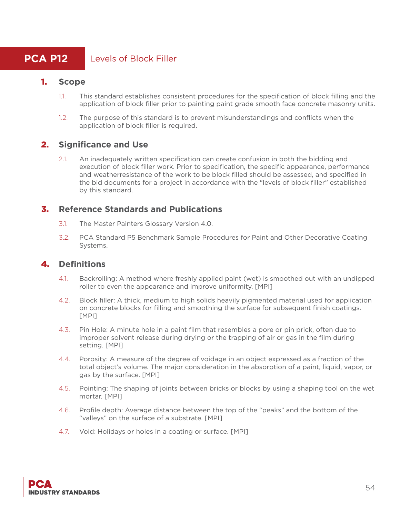## **PCA P12** Levels of Block Filler

## 1. **Scope**

- 1.1. This standard establishes consistent procedures for the specification of block filling and the application of block filler prior to painting paint grade smooth face concrete masonry units.
- 1.2. The purpose of this standard is to prevent misunderstandings and conflicts when the application of block filler is required.

## 2. **Significance and Use**

2.1. An inadequately written specification can create confusion in both the bidding and execution of block filler work. Prior to specification, the specific appearance, performance and weatherresistance of the work to be block filled should be assessed, and specified in the bid documents for a project in accordance with the "levels of block filler" established by this standard.

## 3. **Reference Standards and Publications**

- 3.1. The Master Painters Glossary Version 4.0.
- 3.2. PCA Standard P5 Benchmark Sample Procedures for Paint and Other Decorative Coating Systems.

- 4.1. Backrolling: A method where freshly applied paint (wet) is smoothed out with an undipped roller to even the appearance and improve uniformity. [MPI]
- 4.2. Block filler: A thick, medium to high solids heavily pigmented material used for application on concrete blocks for filling and smoothing the surface for subsequent finish coatings. [MPI]
- 4.3. Pin Hole: A minute hole in a paint film that resembles a pore or pin prick, often due to improper solvent release during drying or the trapping of air or gas in the film during setting. [MPI]
- 4.4. Porosity: A measure of the degree of voidage in an object expressed as a fraction of the total object's volume. The major consideration in the absorption of a paint, liquid, vapor, or gas by the surface. [MPI]
- 4.5. Pointing: The shaping of joints between bricks or blocks by using a shaping tool on the wet mortar. [MPI]
- 4.6. Profile depth: Average distance between the top of the "peaks" and the bottom of the "valleys" on the surface of a substrate. [MPI]
- 4.7. Void: Holidays or holes in a coating or surface. [MPI]

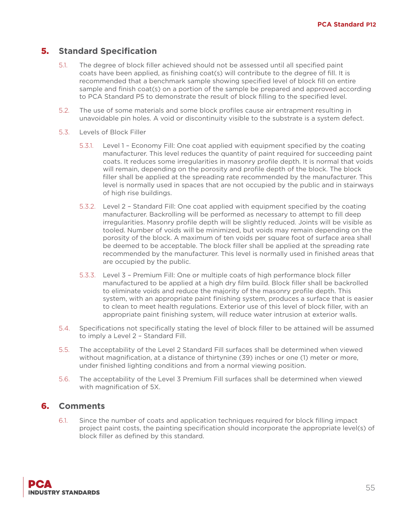- 5.1. The degree of block filler achieved should not be assessed until all specified paint coats have been applied, as finishing coat(s) will contribute to the degree of fill. It is recommended that a benchmark sample showing specified level of block fill on entire sample and finish coat(s) on a portion of the sample be prepared and approved according to PCA Standard P5 to demonstrate the result of block filling to the specified level.
- 5.2. The use of some materials and some block profiles cause air entrapment resulting in unavoidable pin holes. A void or discontinuity visible to the substrate is a system defect.
- 5.3. Levels of Block Filler
	- 5.3.1. Level 1 Economy Fill: One coat applied with equipment specified by the coating manufacturer. This level reduces the quantity of paint required for succeeding paint coats. It reduces some irregularities in masonry profile depth. It is normal that voids will remain, depending on the porosity and profile depth of the block. The block filler shall be applied at the spreading rate recommended by the manufacturer. This level is normally used in spaces that are not occupied by the public and in stairways of high rise buildings.
	- 5.3.2. Level 2 Standard Fill: One coat applied with equipment specified by the coating manufacturer. Backrolling will be performed as necessary to attempt to fill deep irregularities. Masonry profile depth will be slightly reduced. Joints will be visible as tooled. Number of voids will be minimized, but voids may remain depending on the porosity of the block. A maximum of ten voids per square foot of surface area shall be deemed to be acceptable. The block filler shall be applied at the spreading rate recommended by the manufacturer. This level is normally used in finished areas that are occupied by the public.
	- 5.3.3. Level 3 Premium Fill: One or multiple coats of high performance block filler manufactured to be applied at a high dry film build. Block filler shall be backrolled to eliminate voids and reduce the majority of the masonry profile depth. This system, with an appropriate paint finishing system, produces a surface that is easier to clean to meet health regulations. Exterior use of this level of block filler, with an appropriate paint finishing system, will reduce water intrusion at exterior walls.
- 5.4. Specifications not specifically stating the level of block filler to be attained will be assumed to imply a Level 2 – Standard Fill.
- 5.5. The acceptability of the Level 2 Standard Fill surfaces shall be determined when viewed without magnification, at a distance of thirtynine (39) inches or one (1) meter or more, under finished lighting conditions and from a normal viewing position.
- 5.6. The acceptability of the Level 3 Premium Fill surfaces shall be determined when viewed with magnification of 5X.

## 6. **Comments**

6.1. Since the number of coats and application techniques required for block filling impact project paint costs, the painting specification should incorporate the appropriate level(s) of block filler as defined by this standard.

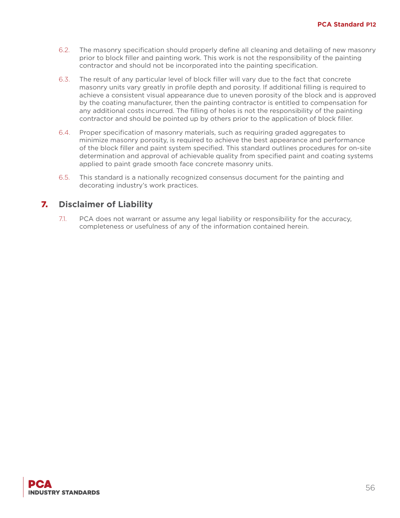- 6.2. The masonry specification should properly define all cleaning and detailing of new masonry prior to block filler and painting work. This work is not the responsibility of the painting contractor and should not be incorporated into the painting specification.
- 6.3. The result of any particular level of block filler will vary due to the fact that concrete masonry units vary greatly in profile depth and porosity. If additional filling is required to achieve a consistent visual appearance due to uneven porosity of the block and is approved by the coating manufacturer, then the painting contractor is entitled to compensation for any additional costs incurred. The filling of holes is not the responsibility of the painting contractor and should be pointed up by others prior to the application of block filler.
- 6.4. Proper specification of masonry materials, such as requiring graded aggregates to minimize masonry porosity, is required to achieve the best appearance and performance of the block filler and paint system specified. This standard outlines procedures for on-site determination and approval of achievable quality from specified paint and coating systems applied to paint grade smooth face concrete masonry units.
- 6.5. This standard is a nationally recognized consensus document for the painting and decorating industry's work practices.

## 7. **Disclaimer of Liability**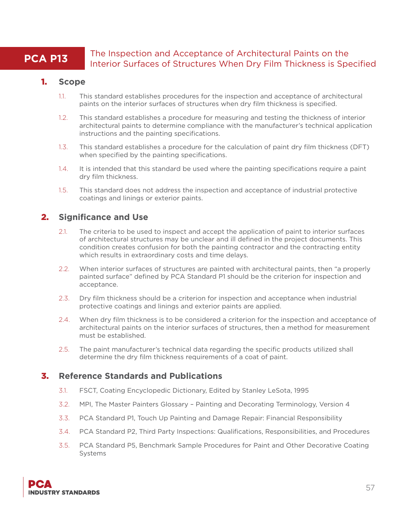## **PCA P13** The Inspection and Acceptance of Architectural Paints on the Interior Surfaces of Structures When Dry Film Thickness is Specified

## 1. **Scope**

- 1.1. This standard establishes procedures for the inspection and acceptance of architectural paints on the interior surfaces of structures when dry film thickness is specified.
- 1.2. This standard establishes a procedure for measuring and testing the thickness of interior architectural paints to determine compliance with the manufacturer's technical application instructions and the painting specifications.
- 1.3. This standard establishes a procedure for the calculation of paint dry film thickness (DFT) when specified by the painting specifications.
- 1.4. It is intended that this standard be used where the painting specifications require a paint dry film thickness.
- 1.5. This standard does not address the inspection and acceptance of industrial protective coatings and linings or exterior paints.

## 2. **Significance and Use**

- 2.1. The criteria to be used to inspect and accept the application of paint to interior surfaces of architectural structures may be unclear and ill defined in the project documents. This condition creates confusion for both the painting contractor and the contracting entity which results in extraordinary costs and time delays.
- 2.2. When interior surfaces of structures are painted with architectural paints, then "a properly painted surface" defined by PCA Standard P1 should be the criterion for inspection and acceptance.
- 2.3. Dry film thickness should be a criterion for inspection and acceptance when industrial protective coatings and linings and exterior paints are applied.
- 2.4. When dry film thickness is to be considered a criterion for the inspection and acceptance of architectural paints on the interior surfaces of structures, then a method for measurement must be established.
- 2.5. The paint manufacturer's technical data regarding the specific products utilized shall determine the dry film thickness requirements of a coat of paint.

## 3. **Reference Standards and Publications**

- 3.1. FSCT, Coating Encyclopedic Dictionary, Edited by Stanley LeSota, 1995
- 3.2. MPI, The Master Painters Glossary Painting and Decorating Terminology, Version 4
- 3.3. PCA Standard P1, Touch Up Painting and Damage Repair: Financial Responsibility
- 3.4. PCA Standard P2, Third Party Inspections: Qualifications, Responsibilities, and Procedures
- 3.5. PCA Standard P5, Benchmark Sample Procedures for Paint and Other Decorative Coating Systems

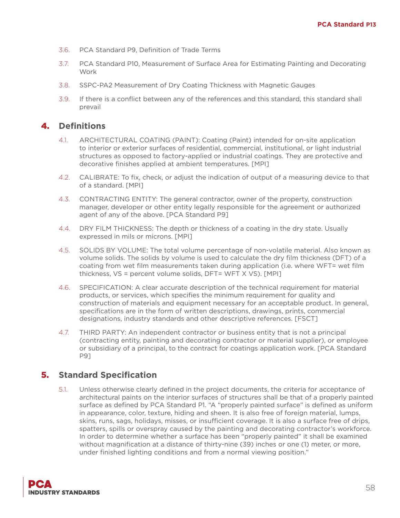- 3.6. PCA Standard P9, Definition of Trade Terms
- 3.7. PCA Standard P10, Measurement of Surface Area for Estimating Painting and Decorating Work
- 3.8. SSPC-PA2 Measurement of Dry Coating Thickness with Magnetic Gauges
- 3.9. If there is a conflict between any of the references and this standard, this standard shall prevail

#### 4. **Definitions**

- 4.1. ARCHITECTURAL COATING (PAINT): Coating (Paint) intended for on-site application to interior or exterior surfaces of residential, commercial, institutional, or light industrial structures as opposed to factory-applied or industrial coatings. They are protective and decorative finishes applied at ambient temperatures. [MPI]
- 4.2. CALIBRATE: To fix, check, or adjust the indication of output of a measuring device to that of a standard. [MPI]
- 4.3. CONTRACTING ENTITY: The general contractor, owner of the property, construction manager, developer or other entity legally responsible for the agreement or authorized agent of any of the above. [PCA Standard P9]
- 4.4. DRY FILM THICKNESS: The depth or thickness of a coating in the dry state. Usually expressed in mils or microns. [MPI]
- 4.5. SOLIDS BY VOLUME: The total volume percentage of non-volatile material. Also known as volume solids. The solids by volume is used to calculate the dry film thickness (DFT) of a coating from wet film measurements taken during application (i.e. where WFT= wet film thickness, VS = percent volume solids, DFT= WFT X VS). [MPI]
- 4.6. SPECIFICATION: A clear accurate description of the technical requirement for material products, or services, which specifies the minimum requirement for quality and construction of materials and equipment necessary for an acceptable product. In general, specifications are in the form of written descriptions, drawings, prints, commercial designations, industry standards and other descriptive references. [FSCT]
- 4.7. THIRD PARTY: An independent contractor or business entity that is not a principal (contracting entity, painting and decorating contractor or material supplier), or employee or subsidiary of a principal, to the contract for coatings application work. [PCA Standard P9]

## 5. **Standard Specification**

5.1. Unless otherwise clearly defined in the project documents, the criteria for acceptance of architectural paints on the interior surfaces of structures shall be that of a properly painted surface as defined by PCA Standard P1. "A "properly painted surface" is defined as uniform in appearance, color, texture, hiding and sheen. It is also free of foreign material, lumps, skins, runs, sags, holidays, misses, or insufficient coverage. It is also a surface free of drips, spatters, spills or overspray caused by the painting and decorating contractor's workforce. In order to determine whether a surface has been "properly painted" it shall be examined without magnification at a distance of thirty-nine (39) inches or one (1) meter, or more, under finished lighting conditions and from a normal viewing position."

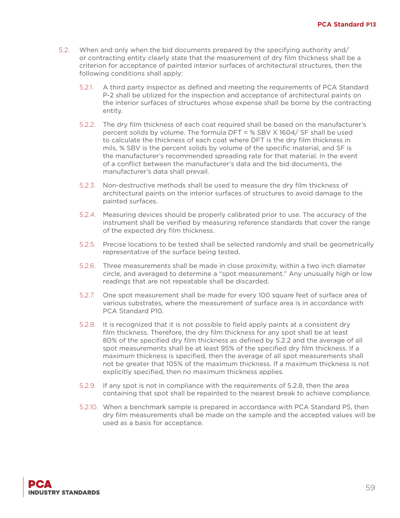- 5.2. When and only when the bid documents prepared by the specifying authority and/ or contracting entity clearly state that the measurement of dry film thickness shall be a criterion for acceptance of painted interior surfaces of architectural structures, then the following conditions shall apply:
	- 5.2.1. A third party inspector as defined and meeting the requirements of PCA Standard P-2 shall be utilized for the inspection and acceptance of architectural paints on the interior surfaces of structures whose expense shall be borne by the contracting entity.
	- 5.2.2. The dry film thickness of each coat required shall be based on the manufacturer's percent solids by volume. The formula DFT = % SBV X 1604/ SF shall be used to calculate the thickness of each coat where DFT is the dry film thickness in mils, % SBV is the percent solids by volume of the specific material, and SF is the manufacturer's recommended spreading rate for that material. In the event of a conflict between the manufacturer's data and the bid documents, the manufacturer's data shall prevail.
	- 5.2.3. Non-destructive methods shall be used to measure the dry film thickness of architectural paints on the interior surfaces of structures to avoid damage to the painted surfaces.
	- 5.2.4. Measuring devices should be properly calibrated prior to use. The accuracy of the instrument shall be verified by measuring reference standards that cover the range of the expected dry film thickness.
	- 5.2.5. Precise locations to be tested shall be selected randomly and shall be geometrically representative of the surface being tested.
	- 5.2.6. Three measurements shall be made in close proximity, within a two inch diameter circle, and averaged to determine a "spot measurement." Any unusually high or low readings that are not repeatable shall be discarded.
	- 5.2.7. One spot measurement shall be made for every 100 square feet of surface area of various substrates, where the measurement of surface area is in accordance with PCA Standard P10.
	- 5.2.8. It is recognized that it is not possible to field apply paints at a consistent dry film thickness. Therefore, the dry film thickness for any spot shall be at least 80% of the specified dry film thickness as defined by 5.2.2 and the average of all spot measurements shall be at least 95% of the specified dry film thickness. If a maximum thickness is specified, then the average of all spot measurements shall not be greater that 105% of the maximum thickness. If a maximum thickness is not explicitly specified, then no maximum thickness applies.
	- 5.2.9. If any spot is not in compliance with the requirements of 5.2.8, then the area containing that spot shall be repainted to the nearest break to achieve compliance.
	- 5.2.10. When a benchmark sample is prepared in accordance with PCA Standard P5, then dry film measurements shall be made on the sample and the accepted values will be used as a basis for acceptance.

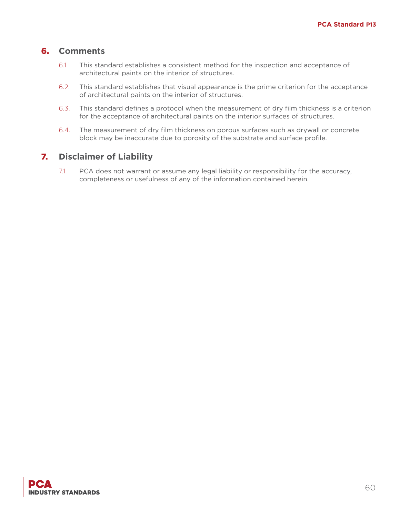## 6. **Comments**

- 6.1. This standard establishes a consistent method for the inspection and acceptance of architectural paints on the interior of structures.
- 6.2. This standard establishes that visual appearance is the prime criterion for the acceptance of architectural paints on the interior of structures.
- 6.3. This standard defines a protocol when the measurement of dry film thickness is a criterion for the acceptance of architectural paints on the interior surfaces of structures.
- 6.4. The measurement of dry film thickness on porous surfaces such as drywall or concrete block may be inaccurate due to porosity of the substrate and surface profile.

## 7. **Disclaimer of Liability**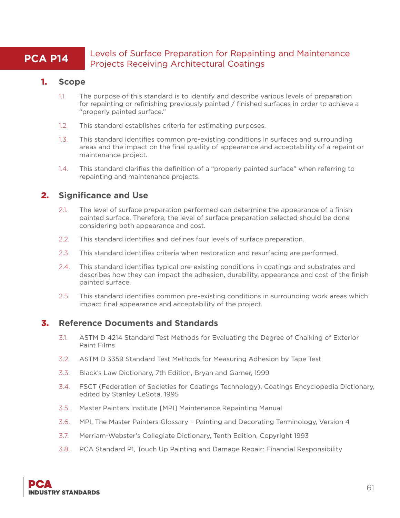## **PCA P14** Levels of Surface Preparation for Repainting and Maintenance Projects Receiving Architectural Coatings

## 1. **Scope**

- 1.1. The purpose of this standard is to identify and describe various levels of preparation for repainting or refinishing previously painted / finished surfaces in order to achieve a "properly painted surface."
- 1.2. This standard establishes criteria for estimating purposes.
- 1.3. This standard identifies common pre-existing conditions in surfaces and surrounding areas and the impact on the final quality of appearance and acceptability of a repaint or maintenance project.
- 1.4. This standard clarifies the definition of a "properly painted surface" when referring to repainting and maintenance projects.

## 2. **Significance and Use**

- 2.1. The level of surface preparation performed can determine the appearance of a finish painted surface. Therefore, the level of surface preparation selected should be done considering both appearance and cost.
- 2.2. This standard identifies and defines four levels of surface preparation.
- 2.3. This standard identifies criteria when restoration and resurfacing are performed.
- 2.4. This standard identifies typical pre-existing conditions in coatings and substrates and describes how they can impact the adhesion, durability, appearance and cost of the finish painted surface.
- 2.5. This standard identifies common pre-existing conditions in surrounding work areas which impact final appearance and acceptability of the project.

## 3. **Reference Documents and Standards**

- 3.1. ASTM D 4214 Standard Test Methods for Evaluating the Degree of Chalking of Exterior Paint Films
- 3.2. ASTM D 3359 Standard Test Methods for Measuring Adhesion by Tape Test
- 3.3. Black's Law Dictionary, 7th Edition, Bryan and Garner, 1999
- 3.4. FSCT (Federation of Societies for Coatings Technology), Coatings Encyclopedia Dictionary, edited by Stanley LeSota, 1995
- 3.5. Master Painters Institute [MPI] Maintenance Repainting Manual
- 3.6. MPI, The Master Painters Glossary Painting and Decorating Terminology, Version 4
- 3.7. Merriam-Webster's Collegiate Dictionary, Tenth Edition, Copyright 1993
- 3.8. PCA Standard P1, Touch Up Painting and Damage Repair: Financial Responsibility

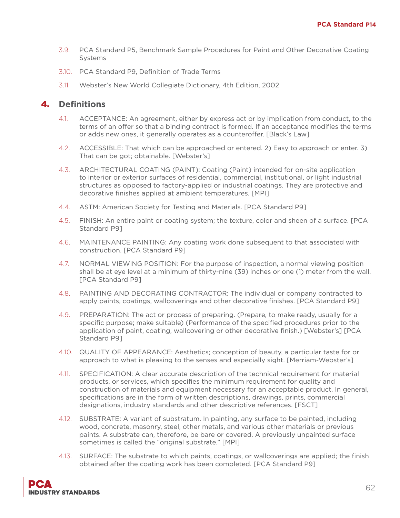- 3.9. PCA Standard P5, Benchmark Sample Procedures for Paint and Other Decorative Coating Systems
- 3.10. PCA Standard P9, Definition of Trade Terms
- 3.11. Webster's New World Collegiate Dictionary, 4th Edition, 2002

- 4.1. ACCEPTANCE: An agreement, either by express act or by implication from conduct, to the terms of an offer so that a binding contract is formed. If an acceptance modifies the terms or adds new ones, it generally operates as a counteroffer. [Black's Law]
- 4.2. ACCESSIBLE: That which can be approached or entered. 2) Easy to approach or enter. 3) That can be got; obtainable. [Webster's]
- 4.3. ARCHITECTURAL COATING (PAINT): Coating (Paint) intended for on-site application to interior or exterior surfaces of residential, commercial, institutional, or light industrial structures as opposed to factory-applied or industrial coatings. They are protective and decorative finishes applied at ambient temperatures. [MPI]
- 4.4. ASTM: American Society for Testing and Materials. [PCA Standard P9]
- 4.5. FINISH: An entire paint or coating system; the texture, color and sheen of a surface. [PCA Standard P9]
- 4.6. MAINTENANCE PAINTING: Any coating work done subsequent to that associated with construction. [PCA Standard P9]
- 4.7. NORMAL VIEWING POSITION: For the purpose of inspection, a normal viewing position shall be at eye level at a minimum of thirty-nine (39) inches or one (1) meter from the wall. [PCA Standard P9]
- 4.8. PAINTING AND DECORATING CONTRACTOR: The individual or company contracted to apply paints, coatings, wallcoverings and other decorative finishes. [PCA Standard P9]
- 4.9. PREPARATION: The act or process of preparing. (Prepare, to make ready, usually for a specific purpose; make suitable) (Performance of the specified procedures prior to the application of paint, coating, wallcovering or other decorative finish.) [Webster's] [PCA Standard P9]
- 4.10. QUALITY OF APPEARANCE: Aesthetics; conception of beauty, a particular taste for or approach to what is pleasing to the senses and especially sight. [Merriam-Webster's]
- 4.11. SPECIFICATION: A clear accurate description of the technical requirement for material products, or services, which specifies the minimum requirement for quality and construction of materials and equipment necessary for an acceptable product. In general, specifications are in the form of written descriptions, drawings, prints, commercial designations, industry standards and other descriptive references. [FSCT]
- 4.12. SUBSTRATE: A variant of substratum. In painting, any surface to be painted, including wood, concrete, masonry, steel, other metals, and various other materials or previous paints. A substrate can, therefore, be bare or covered. A previously unpainted surface sometimes is called the "original substrate." [MPI]
- 4.13. SURFACE: The substrate to which paints, coatings, or wallcoverings are applied; the finish obtained after the coating work has been completed. [PCA Standard P9]

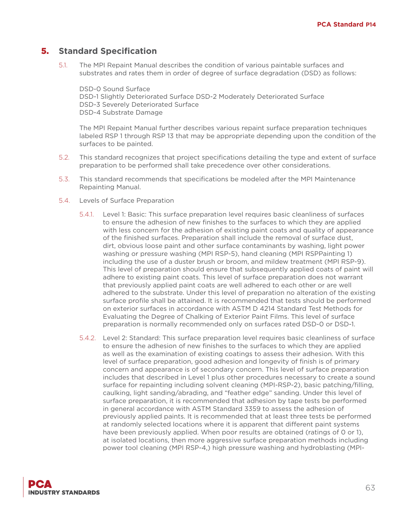5.1. The MPI Repaint Manual describes the condition of various paintable surfaces and substrates and rates them in order of degree of surface degradation (DSD) as follows:

DSD-0 Sound Surface DSD-1 Slightly Deteriorated Surface DSD-2 Moderately Deteriorated Surface DSD-3 Severely Deteriorated Surface DSD-4 Substrate Damage

The MPI Repaint Manual further describes various repaint surface preparation techniques labeled RSP 1 through RSP 13 that may be appropriate depending upon the condition of the surfaces to be painted.

- 5.2. This standard recognizes that project specifications detailing the type and extent of surface preparation to be performed shall take precedence over other considerations.
- 5.3. This standard recommends that specifications be modeled after the MPI Maintenance Repainting Manual.
- 5.4. Levels of Surface Preparation
	- 5.4.1. Level 1: Basic: This surface preparation level requires basic cleanliness of surfaces to ensure the adhesion of new finishes to the surfaces to which they are applied with less concern for the adhesion of existing paint coats and quality of appearance of the finished surfaces. Preparation shall include the removal of surface dust, dirt, obvious loose paint and other surface contaminants by washing, light power washing or pressure washing (MPI RSP-5), hand cleaning (MPI RSPPainting 1) including the use of a duster brush or broom, and mildew treatment (MPI RSP-9). This level of preparation should ensure that subsequently applied coats of paint will adhere to existing paint coats. This level of surface preparation does not warrant that previously applied paint coats are well adhered to each other or are well adhered to the substrate. Under this level of preparation no alteration of the existing surface profile shall be attained. It is recommended that tests should be performed on exterior surfaces in accordance with ASTM D 4214 Standard Test Methods for Evaluating the Degree of Chalking of Exterior Paint Films. This level of surface preparation is normally recommended only on surfaces rated DSD-0 or DSD-1.
	- 5.4.2. Level 2: Standard: This surface preparation level requires basic cleanliness of surface to ensure the adhesion of new finishes to the surfaces to which they are applied as well as the examination of existing coatings to assess their adhesion. With this level of surface preparation, good adhesion and longevity of finish is of primary concern and appearance is of secondary concern. This level of surface preparation includes that described in Level 1 plus other procedures necessary to create a sound surface for repainting including solvent cleaning (MPI-RSP-2), basic patching/filling, caulking, light sanding/abrading, and "feather edge" sanding. Under this level of surface preparation, it is recommended that adhesion by tape tests be performed in general accordance with ASTM Standard 3359 to assess the adhesion of previously applied paints. It is recommended that at least three tests be performed at randomly selected locations where it is apparent that different paint systems have been previously applied. When poor results are obtained (ratings of 0 or 1), at isolated locations, then more aggressive surface preparation methods including power tool cleaning (MPI RSP-4,) high pressure washing and hydroblasting (MPI-

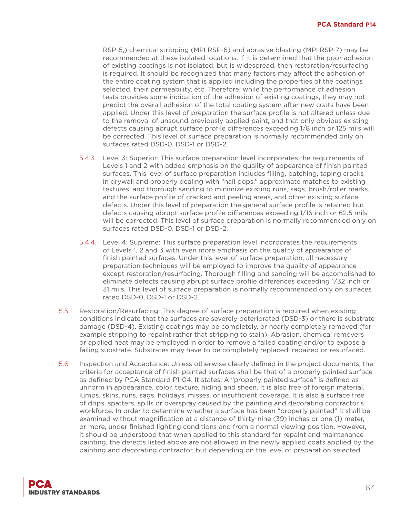RSP-5,) chemical stripping (MPI RSP-6) and abrasive blasting (MPI RSP-7) may be recommended at these isolated locations. If it is determined that the poor adhesion of existing coatings is not isolated, but is widespread, then restoration/resurfacing is required. It should be recognized that many factors may affect the adhesion of the entire coating system that is applied including the properties of the coatings selected, their permeability, etc. Therefore, while the performance of adhesion tests provides some indication of the adhesion of existing coatings, they may not predict the overall adhesion of the total coating system after new coats have been applied. Under this level of preparation the surface profile is not altered unless due to the removal of unsound previously applied paint, and that only obvious existing defects causing abrupt surface profile differences exceeding 1/8 inch or 125 mils will be corrected. This level of surface preparation is normally recommended only on surfaces rated DSD-0, DSD-1 or DSD-2.

- 5.4.3. Level 3: Superior: This surface preparation level incorporates the requirements of Levels 1 and 2 with added emphasis on the quality of appearance of finish painted surfaces. This level of surface preparation includes filling, patching, taping cracks in drywall and properly dealing with "nail pops," approximate matches to existing textures, and thorough sanding to minimize existing runs, sags, brush/roller marks, and the surface profile of cracked and peeling areas, and other existing surface defects. Under this level of preparation the general surface profile is retained but defects causing abrupt surface profile differences exceeding 1/16 inch or 62.5 mils will be corrected. This level of surface preparation is normally recommended only on surfaces rated DSD-0, DSD-1 or DSD-2.
- 5.4.4. Level 4: Supreme: This surface preparation level incorporates the requirements of Levels 1, 2 and 3 with even more emphasis on the quality of appearance of finish painted surfaces. Under this level of surface preparation, all necessary preparation techniques will be employed to improve the quality of appearance except restoration/resurfacing. Thorough filling and sanding will be accomplished to eliminate defects causing abrupt surface profile differences exceeding 1/32 inch or 31 mils. This level of surface preparation is normally recommended only on surfaces rated DSD-0, DSD-1 or DSD-2.
- 5.5. Restoration/Resurfacing: This degree of surface preparation is required when existing conditions indicate that the surfaces are severely deteriorated (DSD-3) or there is substrate damage (DSD-4). Existing coatings may be completely, or nearly completely removed (for example stripping to repaint rather that stripping to stain). Abrasion, chemical removers or applied heat may be employed in order to remove a failed coating and/or to expose a failing substrate. Substrates may have to be completely replaced, repaired or resurfaced.
- 5.6. Inspection and Acceptance: Unless otherwise clearly defined in the project documents, the criteria for acceptance of finish painted surfaces shall be that of a properly painted surface as defined by PCA Standard P1-04. It states: A "properly painted surface" is defined as uniform in appearance, color, texture, hiding and sheen. It is also free of foreign material, lumps, skins, runs, sags, holidays, misses, or insufficient coverage. It is also a surface free of drips, spatters, spills or overspray caused by the painting and decorating contractor's workforce. In order to determine whether a surface has been "properly painted" it shall be examined without magnification at a distance of thirty-nine (39) inches or one (1) meter, or more, under finished lighting conditions and from a normal viewing position. However, it should be understood that when applied to this standard for repaint and maintenance painting, the defects listed above are not allowed in the newly applied coats applied by the painting and decorating contractor, but depending on the level of preparation selected,

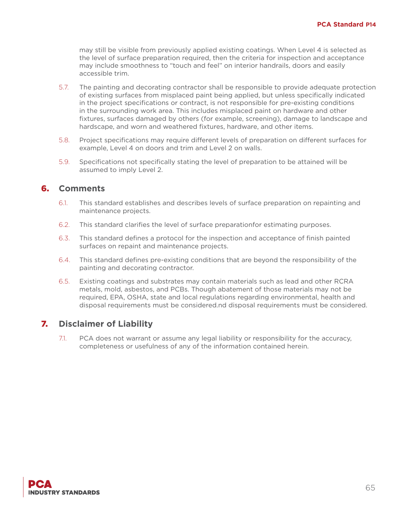may still be visible from previously applied existing coatings. When Level 4 is selected as the level of surface preparation required, then the criteria for inspection and acceptance may include smoothness to "touch and feel" on interior handrails, doors and easily accessible trim.

- 5.7. The painting and decorating contractor shall be responsible to provide adequate protection of existing surfaces from misplaced paint being applied, but unless specifically indicated in the project specifications or contract, is not responsible for pre-existing conditions in the surrounding work area. This includes misplaced paint on hardware and other fixtures, surfaces damaged by others (for example, screening), damage to landscape and hardscape, and worn and weathered fixtures, hardware, and other items.
- 5.8. Project specifications may require different levels of preparation on different surfaces for example, Level 4 on doors and trim and Level 2 on walls.
- 5.9. Specifications not specifically stating the level of preparation to be attained will be assumed to imply Level 2.

#### 6. **Comments**

- 6.1. This standard establishes and describes levels of surface preparation on repainting and maintenance projects.
- 6.2. This standard clarifies the level of surface preparationfor estimating purposes.
- 6.3. This standard defines a protocol for the inspection and acceptance of finish painted surfaces on repaint and maintenance projects.
- 6.4. This standard defines pre-existing conditions that are beyond the responsibility of the painting and decorating contractor.
- 6.5. Existing coatings and substrates may contain materials such as lead and other RCRA metals, mold, asbestos, and PCBs. Though abatement of those materials may not be required, EPA, OSHA, state and local regulations regarding environmental, health and disposal requirements must be considered.nd disposal requirements must be considered.

#### 7. **Disclaimer of Liability**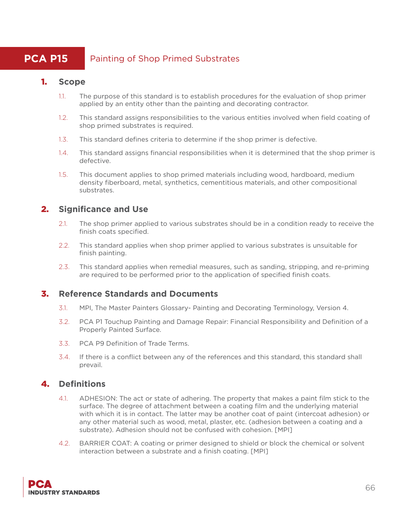# **PCA P15** Painting of Shop Primed Substrates

## 1. **Scope**

- 1.1. The purpose of this standard is to establish procedures for the evaluation of shop primer applied by an entity other than the painting and decorating contractor.
- 1.2. This standard assigns responsibilities to the various entities involved when field coating of shop primed substrates is required.
- 1.3. This standard defines criteria to determine if the shop primer is defective.
- 1.4. This standard assigns financial responsibilities when it is determined that the shop primer is defective.
- 1.5. This document applies to shop primed materials including wood, hardboard, medium density fiberboard, metal, synthetics, cementitious materials, and other compositional substrates.

## 2. **Significance and Use**

- 2.1. The shop primer applied to various substrates should be in a condition ready to receive the finish coats specified.
- 2.2. This standard applies when shop primer applied to various substrates is unsuitable for finish painting.
- 2.3. This standard applies when remedial measures, such as sanding, stripping, and re-priming are required to be performed prior to the application of specified finish coats.

## 3. **Reference Standards and Documents**

- 3.1. MPI, The Master Painters Glossary- Painting and Decorating Terminology, Version 4.
- 3.2. PCA P1 Touchup Painting and Damage Repair: Financial Responsibility and Definition of a Properly Painted Surface.
- 3.3. PCA P9 Definition of Trade Terms.
- 3.4. If there is a conflict between any of the references and this standard, this standard shall prevail.

- 4.1. ADHESION: The act or state of adhering. The property that makes a paint film stick to the surface. The degree of attachment between a coating film and the underlying material with which it is in contact. The latter may be another coat of paint (intercoat adhesion) or any other material such as wood, metal, plaster, etc. (adhesion between a coating and a substrate). Adhesion should not be confused with cohesion. [MPI]
- 4.2. BARRIER COAT: A coating or primer designed to shield or block the chemical or solvent interaction between a substrate and a finish coating. [MPI]

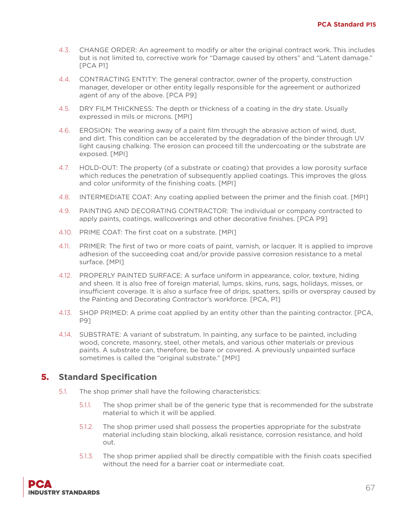- 4.3. CHANGE ORDER: An agreement to modify or alter the original contract work. This includes but is not limited to, corrective work for "Damage caused by others" and "Latent damage." [PCA P1]
- 4.4. CONTRACTING ENTITY: The general contractor, owner of the property, construction manager, developer or other entity legally responsible for the agreement or authorized agent of any of the above. [PCA P9]
- 4.5. DRY FILM THICKNESS: The depth or thickness of a coating in the dry state. Usually expressed in mils or microns. [MPI]
- 4.6. EROSION: The wearing away of a paint film through the abrasive action of wind, dust, and dirt. This condition can be accelerated by the degradation of the binder through UV light causing chalking. The erosion can proceed till the undercoating or the substrate are exposed. [MPI]
- 4.7. HOLD-OUT: The property (of a substrate or coating) that provides a low porosity surface which reduces the penetration of subsequently applied coatings. This improves the gloss and color uniformity of the finishing coats. [MPI]
- 4.8. INTERMEDIATE COAT: Any coating applied between the primer and the finish coat. [MPI]
- 4.9. PAINTING AND DECORATING CONTRACTOR: The individual or company contracted to apply paints, coatings, wallcoverings and other decorative finishes. [PCA P9]
- 4.10. PRIME COAT: The first coat on a substrate. [MPI]
- 4.11. PRIMER: The first of two or more coats of paint, varnish, or lacquer. It is applied to improve adhesion of the succeeding coat and/or provide passive corrosion resistance to a metal surface. [MPI]
- 4.12. PROPERLY PAINTED SURFACE: A surface uniform in appearance, color, texture, hiding and sheen. It is also free of foreign material, lumps, skins, runs, sags, holidays, misses, or insufficient coverage. It is also a surface free of drips, spatters, spills or overspray caused by the Painting and Decorating Contractor's workforce. [PCA, P1]
- 4.13. SHOP PRIMED: A prime coat applied by an entity other than the painting contractor. [PCA, P9]
- 4.14. SUBSTRATE: A variant of substratum. In painting, any surface to be painted, including wood, concrete, masonry, steel, other metals, and various other materials or previous paints. A substrate can, therefore, be bare or covered. A previously unpainted surface sometimes is called the "original substrate." [MPI]

- 5.1. The shop primer shall have the following characteristics:
	- 5.1.1. The shop primer shall be of the generic type that is recommended for the substrate material to which it will be applied.
	- 5.1.2. The shop primer used shall possess the properties appropriate for the substrate material including stain blocking, alkali resistance, corrosion resistance, and hold out.
	- 5.1.3. The shop primer applied shall be directly compatible with the finish coats specified without the need for a barrier coat or intermediate coat.

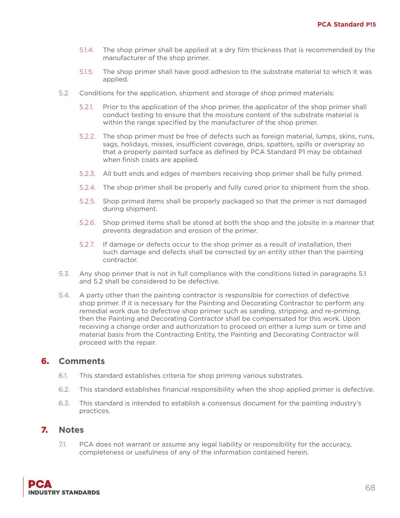- 5.1.4. The shop primer shall be applied at a dry film thickness that is recommended by the manufacturer of the shop primer.
- 5.1.5. The shop primer shall have good adhesion to the substrate material to which it was applied.
- 5.2. Conditions for the application, shipment and storage of shop primed materials:
	- 5.2.1. Prior to the application of the shop primer, the applicator of the shop primer shall conduct testing to ensure that the moisture content of the substrate material is within the range specified by the manufacturer of the shop primer.
	- 5.2.2. The shop primer must be free of defects such as foreign material, lumps, skins, runs, sags, holidays, misses, insufficient coverage, drips, spatters, spills or overspray so that a properly painted surface as defined by PCA Standard P1 may be obtained when finish coats are applied.
	- 5.2.3. All butt ends and edges of members receiving shop primer shall be fully primed.
	- 5.2.4. The shop primer shall be properly and fully cured prior to shipment from the shop.
	- 5.2.5. Shop primed items shall be properly packaged so that the primer is not damaged during shipment.
	- 5.2.6. Shop primed items shall be stored at both the shop and the jobsite in a manner that prevents degradation and erosion of the primer.
	- 5.2.7. If damage or defects occur to the shop primer as a result of installation, then such damage and defects shall be corrected by an entity other than the painting contractor.
- 5.3. Any shop primer that is not in full compliance with the conditions listed in paragraphs 5.1 and 5.2 shall be considered to be defective.
- 5.4. A party other than the painting contractor is responsible for correction of defective shop primer. If it is necessary for the Painting and Decorating Contractor to perform any remedial work due to defective shop primer such as sanding, stripping, and re-priming, then the Painting and Decorating Contractor shall be compensated for this work. Upon receiving a change order and authorization to proceed on either a lump sum or time and material basis from the Contracting Entity, the Painting and Decorating Contractor will proceed with the repair.

## 6. **Comments**

- 6.1. This standard establishes criteria for shop priming various substrates.
- 6.2. This standard establishes financial responsibility when the shop applied primer is defective.
- 6.3. This standard is intended to establish a consensus document for the painting industry's practices.

#### 7. **Notes**

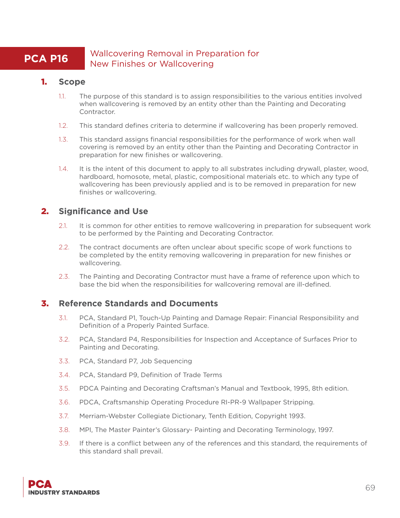## **PCA P16** Wallcovering Removal in Preparation for New Finishes or Wallcovering

#### 1. **Scope**

- 1.1. The purpose of this standard is to assign responsibilities to the various entities involved when wallcovering is removed by an entity other than the Painting and Decorating Contractor.
- 1.2. This standard defines criteria to determine if wallcovering has been properly removed.
- 1.3. This standard assigns financial responsibilities for the performance of work when wall covering is removed by an entity other than the Painting and Decorating Contractor in preparation for new finishes or wallcovering.
- 1.4. It is the intent of this document to apply to all substrates including drywall, plaster, wood, hardboard, homosote, metal, plastic, compositional materials etc. to which any type of wallcovering has been previously applied and is to be removed in preparation for new finishes or wallcovering.

## 2. **Significance and Use**

- 2.1. It is common for other entities to remove wallcovering in preparation for subsequent work to be performed by the Painting and Decorating Contractor.
- 2.2. The contract documents are often unclear about specific scope of work functions to be completed by the entity removing wallcovering in preparation for new finishes or wallcovering.
- 2.3. The Painting and Decorating Contractor must have a frame of reference upon which to base the bid when the responsibilities for wallcovering removal are ill-defined.

#### 3. **Reference Standards and Documents**

- 3.1. PCA, Standard P1, Touch-Up Painting and Damage Repair: Financial Responsibility and Definition of a Properly Painted Surface.
- 3.2. PCA, Standard P4, Responsibilities for Inspection and Acceptance of Surfaces Prior to Painting and Decorating.
- 3.3. PCA, Standard P7, Job Sequencing
- 3.4. PCA, Standard P9, Definition of Trade Terms
- 3.5. PDCA Painting and Decorating Craftsman's Manual and Textbook, 1995, 8th edition.
- 3.6. PDCA, Craftsmanship Operating Procedure RI-PR-9 Wallpaper Stripping.
- 3.7. Merriam-Webster Collegiate Dictionary, Tenth Edition, Copyright 1993.
- 3.8. MPI, The Master Painter's Glossary- Painting and Decorating Terminology, 1997.
- 3.9. If there is a conflict between any of the references and this standard, the requirements of this standard shall prevail.

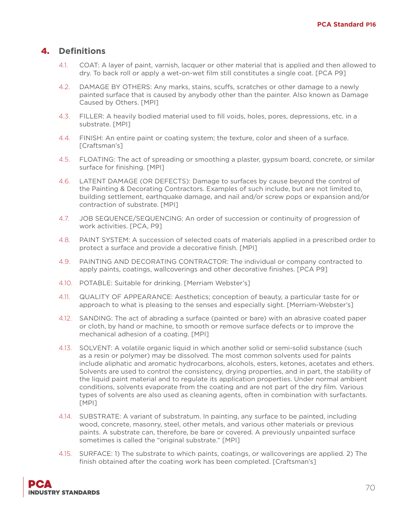- 4.1. COAT: A layer of paint, varnish, lacquer or other material that is applied and then allowed to dry. To back roll or apply a wet-on-wet film still constitutes a single coat. [PCA P9]
- 4.2. DAMAGE BY OTHERS: Any marks, stains, scuffs, scratches or other damage to a newly painted surface that is caused by anybody other than the painter. Also known as Damage Caused by Others. [MPI]
- 4.3. FILLER: A heavily bodied material used to fill voids, holes, pores, depressions, etc. in a substrate. [MPI]
- 4.4. FINISH: An entire paint or coating system; the texture, color and sheen of a surface. [Craftsman's]
- 4.5. FLOATING: The act of spreading or smoothing a plaster, gypsum board, concrete, or similar surface for finishing. [MPI]
- 4.6. LATENT DAMAGE (OR DEFECTS): Damage to surfaces by cause beyond the control of the Painting & Decorating Contractors. Examples of such include, but are not limited to, building settlement, earthquake damage, and nail and/or screw pops or expansion and/or contraction of substrate. [MPI]
- 4.7. JOB SEQUENCE/SEQUENCING: An order of succession or continuity of progression of work activities. [PCA, P9]
- 4.8. PAINT SYSTEM: A succession of selected coats of materials applied in a prescribed order to protect a surface and provide a decorative finish. [MPI]
- 4.9. PAINTING AND DECORATING CONTRACTOR: The individual or company contracted to apply paints, coatings, wallcoverings and other decorative finishes. [PCA P9]
- 4.10. POTABLE: Suitable for drinking. [Merriam Webster's]
- 4.11. QUALITY OF APPEARANCE: Aesthetics; conception of beauty, a particular taste for or approach to what is pleasing to the senses and especially sight. [Merriam-Webster's]
- 4.12. SANDING: The act of abrading a surface (painted or bare) with an abrasive coated paper or cloth, by hand or machine, to smooth or remove surface defects or to improve the mechanical adhesion of a coating. [MPI]
- 4.13. SOLVENT: A volatile organic liquid in which another solid or semi-solid substance (such as a resin or polymer) may be dissolved. The most common solvents used for paints include aliphatic and aromatic hydrocarbons, alcohols, esters, ketones, acetates and ethers. Solvents are used to control the consistency, drying properties, and in part, the stability of the liquid paint material and to regulate its application properties. Under normal ambient conditions, solvents evaporate from the coating and are not part of the dry film. Various types of solvents are also used as cleaning agents, often in combination with surfactants. [MPI]
- 4.14. SUBSTRATE: A variant of substratum. In painting, any surface to be painted, including wood, concrete, masonry, steel, other metals, and various other materials or previous paints. A substrate can, therefore, be bare or covered. A previously unpainted surface sometimes is called the "original substrate." [MPI]
- 4.15. SURFACE: 1) The substrate to which paints, coatings, or wallcoverings are applied. 2) The finish obtained after the coating work has been completed. [Craftsman's]

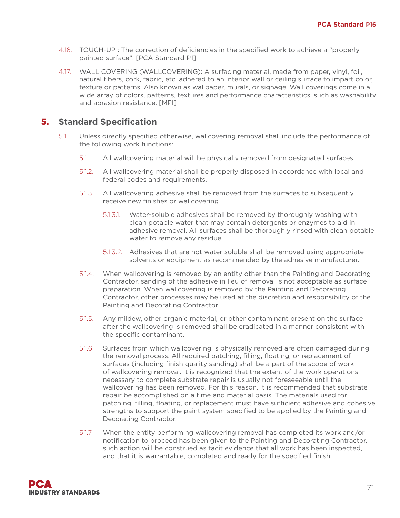- 4.16. TOUCH-UP : The correction of deficiencies in the specified work to achieve a "properly painted surface". [PCA Standard P1]
- 4.17. WALL COVERING (WALLCOVERING): A surfacing material, made from paper, vinyl, foil, natural fibers, cork, fabric, etc. adhered to an interior wall or ceiling surface to impart color, texture or patterns. Also known as wallpaper, murals, or signage. Wall coverings come in a wide array of colors, patterns, textures and performance characteristics, such as washability and abrasion resistance. [MPI]

- 5.1. Unless directly specified otherwise, wallcovering removal shall include the performance of the following work functions:
	- 5.1.1. All wallcovering material will be physically removed from designated surfaces.
	- 5.1.2. All wallcovering material shall be properly disposed in accordance with local and federal codes and requirements.
	- 5.1.3. All wallcovering adhesive shall be removed from the surfaces to subsequently receive new finishes or wallcovering.
		- 5.1.3.1. Water-soluble adhesives shall be removed by thoroughly washing with clean potable water that may contain detergents or enzymes to aid in adhesive removal. All surfaces shall be thoroughly rinsed with clean potable water to remove any residue.
		- 5.1.3.2. Adhesives that are not water soluble shall be removed using appropriate solvents or equipment as recommended by the adhesive manufacturer.
	- 5.1.4. When wallcovering is removed by an entity other than the Painting and Decorating Contractor, sanding of the adhesive in lieu of removal is not acceptable as surface preparation. When wallcovering is removed by the Painting and Decorating Contractor, other processes may be used at the discretion and responsibility of the Painting and Decorating Contractor.
	- 5.1.5. Any mildew, other organic material, or other contaminant present on the surface after the wallcovering is removed shall be eradicated in a manner consistent with the specific contaminant.
	- 5.1.6. Surfaces from which wallcovering is physically removed are often damaged during the removal process. All required patching, filling, floating, or replacement of surfaces (including finish quality sanding) shall be a part of the scope of work of wallcovering removal. It is recognized that the extent of the work operations necessary to complete substrate repair is usually not foreseeable until the wallcovering has been removed. For this reason, it is recommended that substrate repair be accomplished on a time and material basis. The materials used for patching, filling, floating, or replacement must have sufficient adhesive and cohesive strengths to support the paint system specified to be applied by the Painting and Decorating Contractor.
	- 5.1.7. When the entity performing wallcovering removal has completed its work and/or notification to proceed has been given to the Painting and Decorating Contractor, such action will be construed as tacit evidence that all work has been inspected, and that it is warrantable, completed and ready for the specified finish.

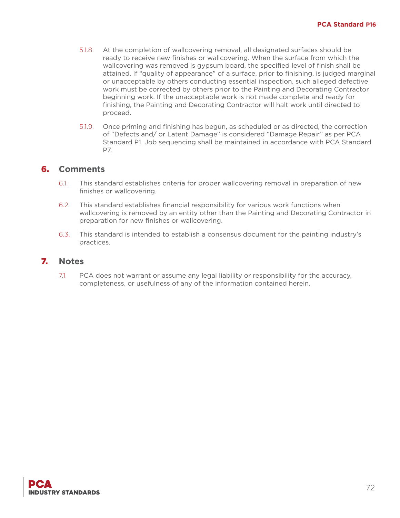- 5.1.8. At the completion of wallcovering removal, all designated surfaces should be ready to receive new finishes or wallcovering. When the surface from which the wallcovering was removed is gypsum board, the specified level of finish shall be attained. If "quality of appearance" of a surface, prior to finishing, is judged marginal or unacceptable by others conducting essential inspection, such alleged defective work must be corrected by others prior to the Painting and Decorating Contractor beginning work. If the unacceptable work is not made complete and ready for finishing, the Painting and Decorating Contractor will halt work until directed to proceed.
- 5.1.9. Once priming and finishing has begun, as scheduled or as directed, the correction of "Defects and/ or Latent Damage" is considered "Damage Repair" as per PCA Standard P1. Job sequencing shall be maintained in accordance with PCA Standard P7.

#### 6. **Comments**

- 6.1. This standard establishes criteria for proper wallcovering removal in preparation of new finishes or wallcovering.
- 6.2. This standard establishes financial responsibility for various work functions when wallcovering is removed by an entity other than the Painting and Decorating Contractor in preparation for new finishes or wallcovering.
- 6.3. This standard is intended to establish a consensus document for the painting industry's practices.

#### 7. **Notes**

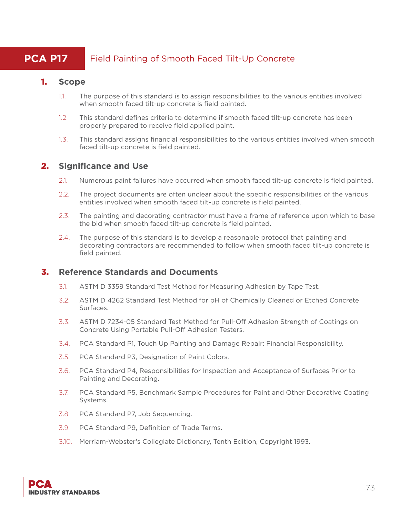# **PCA P17** Field Painting of Smooth Faced Tilt-Up Concrete

#### 1. **Scope**

- 1.1. The purpose of this standard is to assign responsibilities to the various entities involved when smooth faced tilt-up concrete is field painted.
- 1.2. This standard defines criteria to determine if smooth faced tilt-up concrete has been properly prepared to receive field applied paint.
- 1.3. This standard assigns financial responsibilities to the various entities involved when smooth faced tilt-up concrete is field painted.

# 2. **Significance and Use**

- 2.1. Numerous paint failures have occurred when smooth faced tilt-up concrete is field painted.
- 2.2. The project documents are often unclear about the specific responsibilities of the various entities involved when smooth faced tilt-up concrete is field painted.
- 2.3. The painting and decorating contractor must have a frame of reference upon which to base the bid when smooth faced tilt-up concrete is field painted.
- 2.4. The purpose of this standard is to develop a reasonable protocol that painting and decorating contractors are recommended to follow when smooth faced tilt-up concrete is field painted.

# 3. **Reference Standards and Documents**

- 3.1. ASTM D 3359 Standard Test Method for Measuring Adhesion by Tape Test.
- 3.2. ASTM D 4262 Standard Test Method for pH of Chemically Cleaned or Etched Concrete Surfaces.
- 3.3. ASTM D 7234-05 Standard Test Method for Pull-Off Adhesion Strength of Coatings on Concrete Using Portable Pull-Off Adhesion Testers.
- 3.4. PCA Standard P1, Touch Up Painting and Damage Repair: Financial Responsibility.
- 3.5. PCA Standard P3, Designation of Paint Colors.
- 3.6. PCA Standard P4, Responsibilities for Inspection and Acceptance of Surfaces Prior to Painting and Decorating.
- 3.7. PCA Standard P5, Benchmark Sample Procedures for Paint and Other Decorative Coating Systems.
- 3.8. PCA Standard P7, Job Sequencing.
- 3.9. PCA Standard P9, Definition of Trade Terms.
- 3.10. Merriam-Webster's Collegiate Dictionary, Tenth Edition, Copyright 1993.

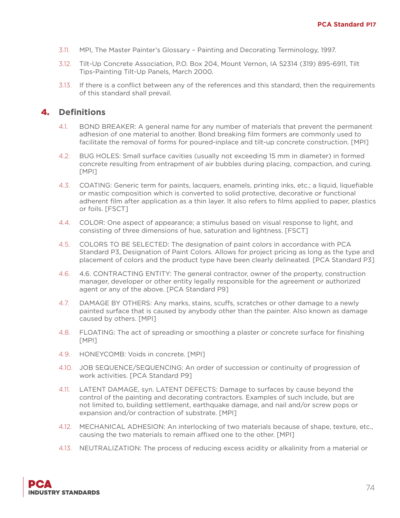- 3.11. MPI, The Master Painter's Glossary Painting and Decorating Terminology, 1997.
- 3.12. Tilt-Up Concrete Association, P.O. Box 204, Mount Vernon, IA 52314 (319) 895-6911, Tilt Tips-Painting Tilt-Up Panels, March 2000.
- 3.13. If there is a conflict between any of the references and this standard, then the requirements of this standard shall prevail.

# 4. **Definitions**

- 4.1. BOND BREAKER: A general name for any number of materials that prevent the permanent adhesion of one material to another. Bond breaking film formers are commonly used to facilitate the removal of forms for poured-inplace and tilt-up concrete construction. [MPI]
- 4.2. BUG HOLES: Small surface cavities (usually not exceeding 15 mm in diameter) in formed concrete resulting from entrapment of air bubbles during placing, compaction, and curing. [MPI]
- 4.3. COATING: Generic term for paints, lacquers, enamels, printing inks, etc.; a liquid, liquefiable or mastic composition which is converted to solid protective, decorative or functional adherent film after application as a thin layer. It also refers to films applied to paper, plastics or foils. [FSCT]
- 4.4. COLOR: One aspect of appearance; a stimulus based on visual response to light, and consisting of three dimensions of hue, saturation and lightness. [FSCT]
- 4.5. COLORS TO BE SELECTED: The designation of paint colors in accordance with PCA Standard P3, Designation of Paint Colors. Allows for project pricing as long as the type and placement of colors and the product type have been clearly delineated. [PCA Standard P3]
- 4.6. 4.6. CONTRACTING ENTITY: The general contractor, owner of the property, construction manager, developer or other entity legally responsible for the agreement or authorized agent or any of the above. [PCA Standard P9]
- 4.7. DAMAGE BY OTHERS: Any marks, stains, scuffs, scratches or other damage to a newly painted surface that is caused by anybody other than the painter. Also known as damage caused by others. [MPI]
- 4.8. FLOATING: The act of spreading or smoothing a plaster or concrete surface for finishing [MPI]
- 4.9. HONEYCOMB: Voids in concrete. [MPI]
- 4.10. JOB SEQUENCE/SEQUENCING: An order of succession or continuity of progression of work activities. [PCA Standard P9]
- 4.11. LATENT DAMAGE, syn. LATENT DEFECTS: Damage to surfaces by cause beyond the control of the painting and decorating contractors. Examples of such include, but are not limited to, building settlement, earthquake damage, and nail and/or screw pops or expansion and/or contraction of substrate. [MPI]
- 4.12. MECHANICAL ADHESION: An interlocking of two materials because of shape, texture, etc., causing the two materials to remain affixed one to the other. [MPI]
- 4.13. NEUTRALIZATION: The process of reducing excess acidity or alkalinity from a material or

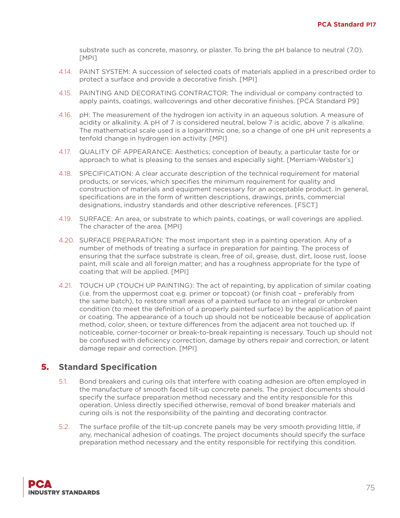substrate such as concrete, masonry, or plaster. To bring the pH balance to neutral (7.0). [MPI]

- 4.14. PAINT SYSTEM: A succession of selected coats of materials applied in a prescribed order to protect a surface and provide a decorative finish. [MPI]
- 4.15. PAINTING AND DECORATING CONTRACTOR: The individual or company contracted to apply paints, coatings, wallcoverings and other decorative finishes. [PCA Standard P9]
- 4.16. pH: The measurement of the hydrogen ion activity in an aqueous solution. A measure of acidity or alkalinity. A pH of 7 is considered neutral, below 7 is acidic, above 7 is alkaline. The mathematical scale used is a logarithmic one, so a change of one pH unit represents a tenfold change in hydrogen ion activity. [MPI]
- 4.17. QUALITY OF APPEARANCE: Aesthetics; conception of beauty, a particular taste for or approach to what is pleasing to the senses and especially sight. [Merriam-Webster's]
- 4.18. SPECIFICATION: A clear accurate description of the technical requirement for material products, or services, which specifies the minimum requirement for quality and construction of materials and equipment necessary for an acceptable product. In general, specifications are in the form of written descriptions, drawings, prints, commercial designations, industry standards and other descriptive references. [FSCT]
- 4.19. SURFACE: An area, or substrate to which paints, coatings, or wall coverings are applied. The character of the area. [MPI]
- 4.20. SURFACE PREPARATION: The most important step in a painting operation. Any of a number of methods of treating a surface in preparation for painting. The process of ensuring that the surface substrate is clean, free of oil, grease, dust, dirt, loose rust, loose paint, mill scale and all foreign matter; and has a roughness appropriate for the type of coating that will be applied. [MPI]
- 4.21. TOUCH UP (TOUCH UP PAINTING): The act of repainting, by application of similar coating (i.e. from the uppermost coat e.g. primer or topcoat) (or finish coat – preferably from the same batch), to restore small areas of a painted surface to an integral or unbroken condition (to meet the definition of a properly painted surface) by the application of paint or coating. The appearance of a touch up should not be noticeable because of application method, color, sheen, or texture differences from the adjacent area not touched up. If noticeable, corner-tocorner or break-to-break repainting is necessary. Touch up should not be confused with deficiency correction, damage by others repair and correction, or latent damage repair and correction. [MPI]

- 5.1. Bond breakers and curing oils that interfere with coating adhesion are often employed in the manufacture of smooth faced tilt-up concrete panels. The project documents should specify the surface preparation method necessary and the entity responsible for this operation. Unless directly specified otherwise, removal of bond breaker materials and curing oils is not the responsibility of the painting and decorating contractor.
- 5.2. The surface profile of the tilt-up concrete panels may be very smooth providing little, if any, mechanical adhesion of coatings. The project documents should specify the surface preparation method necessary and the entity responsible for rectifying this condition.

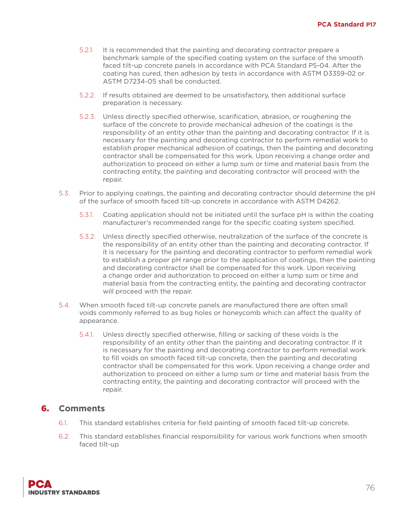- 5.2.1. It is recommended that the painting and decorating contractor prepare a benchmark sample of the specified coating system on the surface of the smooth faced tilt-up concrete panels in accordance with PCA Standard P5-04. After the coating has cured, then adhesion by tests in accordance with ASTM D3359-02 or ASTM D7234-05 shall be conducted.
- 5.2.2. If results obtained are deemed to be unsatisfactory, then additional surface preparation is necessary.
- 5.2.3. Unless directly specified otherwise, scarification, abrasion, or roughening the surface of the concrete to provide mechanical adhesion of the coatings is the responsibility of an entity other than the painting and decorating contractor. If it is necessary for the painting and decorating contractor to perform remedial work to establish proper mechanical adhesion of coatings, then the painting and decorating contractor shall be compensated for this work. Upon receiving a change order and authorization to proceed on either a lump sum or time and material basis from the contracting entity, the painting and decorating contractor will proceed with the repair.
- 5.3. Prior to applying coatings, the painting and decorating contractor should determine the pH of the surface of smooth faced tilt-up concrete in accordance with ASTM D4262.
	- 5.3.1. Coating application should not be initiated until the surface pH is within the coating manufacturer's recommended range for the specific coating system specified.
	- 5.3.2. Unless directly specified otherwise, neutralization of the surface of the concrete is the responsibility of an entity other than the painting and decorating contractor. If it is necessary for the painting and decorating contractor to perform remedial work to establish a proper pH range prior to the application of coatings, then the painting and decorating contractor shall be compensated for this work. Upon receiving a change order and authorization to proceed on either a lump sum or time and material basis from the contracting entity, the painting and decorating contractor will proceed with the repair.
- 5.4. When smooth faced tilt-up concrete panels are manufactured there are often small voids commonly referred to as bug holes or honeycomb which can affect the quality of appearance.
	- 5.4.1. Unless directly specified otherwise, filling or sacking of these voids is the responsibility of an entity other than the painting and decorating contractor. If it is necessary for the painting and decorating contractor to perform remedial work to fill voids on smooth faced tilt-up concrete, then the painting and decorating contractor shall be compensated for this work. Upon receiving a change order and authorization to proceed on either a lump sum or time and material basis from the contracting entity, the painting and decorating contractor will proceed with the repair.

- 6.1. This standard establishes criteria for field painting of smooth faced tilt-up concrete.
- 6.2. This standard establishes financial responsibility for various work functions when smooth faced tilt-up

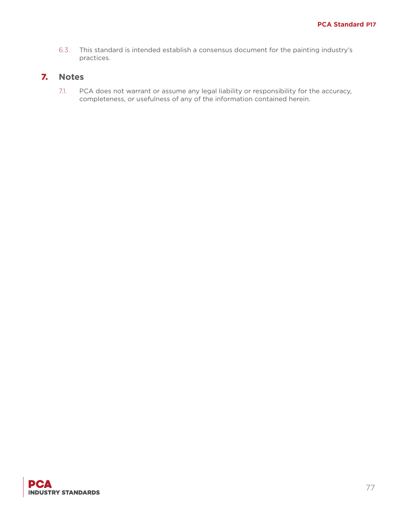6.3. This standard is intended establish a consensus document for the painting industry's practices.

# 7. **Notes**

7.1. PCA does not warrant or assume any legal liability or responsibility for the accuracy, completeness, or usefulness of any of the information contained herein.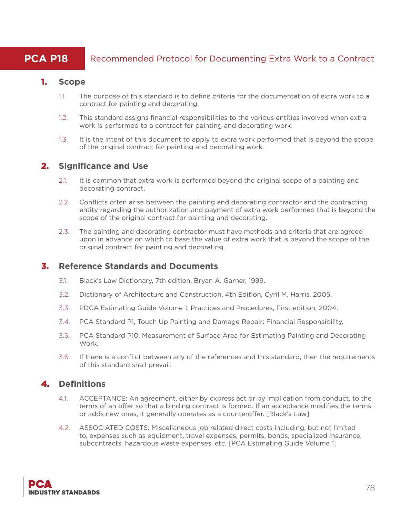# **PCA P18** Recommended Protocol for Documenting Extra Work to a Contract

#### 1. **Scope**

- 1.1. The purpose of this standard is to define criteria for the documentation of extra work to a contract for painting and decorating.
- 1.2. This standard assigns financial responsibilities to the various entities involved when extra work is performed to a contract for painting and decorating work.
- 1.3. It is the intent of this document to apply to extra work performed that is beyond the scope of the original contract for painting and decorating work.

# 2. **Significance and Use**

- 2.1. It is common that extra work is performed beyond the original scope of a painting and decorating contract.
- 2.2. Conflicts often arise between the painting and decorating contractor and the contracting entity regarding the authorization and payment of extra work performed that is beyond the scope of the original contract for painting and decorating.
- 2.3. The painting and decorating contractor must have methods and criteria that are agreed upon in advance on which to base the value of extra work that is beyond the scope of the original contract for painting and decorating.

# 3. **Reference Standards and Documents**

- 3.1. Black's Law Dictionary, 7th edition, Bryan A. Garner, 1999.
- 3.2. Dictionary of Architecture and Construction, 4th Edition, Cyril M. Harris, 2005.
- 3.3. PDCA Estimating Guide Volume 1, Practices and Procedures, First edition, 2004.
- 3.4. PCA Standard P1, Touch Up Painting and Damage Repair: Financial Responsibility.
- 3.5. PCA Standard P10, Measurement of Surface Area for Estimating Painting and Decorating Work.
- 3.6. If there is a conflict between any of the references and this standard, then the requirements of this standard shall prevail.

# 4. **Definitions**

- 4.1. ACCEPTANCE: An agreement, either by express act or by implication from conduct, to the terms of an offer so that a binding contract is formed. If an acceptance modifies the terms or adds new ones, it generally operates as a counteroffer. [Black's Law]
- 4.2. ASSOCIATED COSTS: Miscellaneous job related direct costs including, but not limited to, expenses such as equipment, travel expenses, permits, bonds, specialized insurance, subcontracts, hazardous waste expenses, etc. [PCA Estimating Guide Volume 1]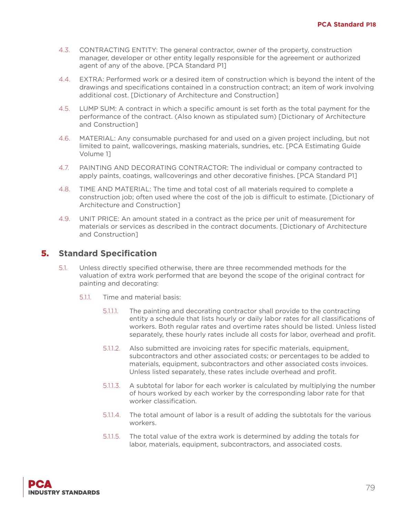- 4.3. CONTRACTING ENTITY: The general contractor, owner of the property, construction manager, developer or other entity legally responsible for the agreement or authorized agent of any of the above. [PCA Standard P1]
- 4.4. EXTRA: Performed work or a desired item of construction which is beyond the intent of the drawings and specifications contained in a construction contract; an item of work involving additional cost. [Dictionary of Architecture and Construction]
- 4.5. LUMP SUM: A contract in which a specific amount is set forth as the total payment for the performance of the contract. (Also known as stipulated sum) [Dictionary of Architecture and Construction]
- 4.6. MATERIAL: Any consumable purchased for and used on a given project including, but not limited to paint, wallcoverings, masking materials, sundries, etc. [PCA Estimating Guide Volume 1]
- 4.7. PAINTING AND DECORATING CONTRACTOR: The individual or company contracted to apply paints, coatings, wallcoverings and other decorative finishes. [PCA Standard P1]
- 4.8. TIME AND MATERIAL: The time and total cost of all materials required to complete a construction job; often used where the cost of the job is difficult to estimate. [Dictionary of Architecture and Construction]
- 4.9. UNIT PRICE: An amount stated in a contract as the price per unit of measurement for materials or services as described in the contract documents. [Dictionary of Architecture and Construction]

- 5.1. Unless directly specified otherwise, there are three recommended methods for the valuation of extra work performed that are beyond the scope of the original contract for painting and decorating:
	- 5.1.1. Time and material basis:
		- 5.1.1.1. The painting and decorating contractor shall provide to the contracting entity a schedule that lists hourly or daily labor rates for all classifications of workers. Both regular rates and overtime rates should be listed. Unless listed separately, these hourly rates include all costs for labor, overhead and profit.
		- 5.1.1.2. Also submitted are invoicing rates for specific materials, equipment, subcontractors and other associated costs; or percentages to be added to materials, equipment, subcontractors and other associated costs invoices. Unless listed separately, these rates include overhead and profit.
		- 5.1.1.3. A subtotal for labor for each worker is calculated by multiplying the number of hours worked by each worker by the corresponding labor rate for that worker classification.
		- 5.1.1.4. The total amount of labor is a result of adding the subtotals for the various workers.
		- 5.1.1.5. The total value of the extra work is determined by adding the totals for labor, materials, equipment, subcontractors, and associated costs.

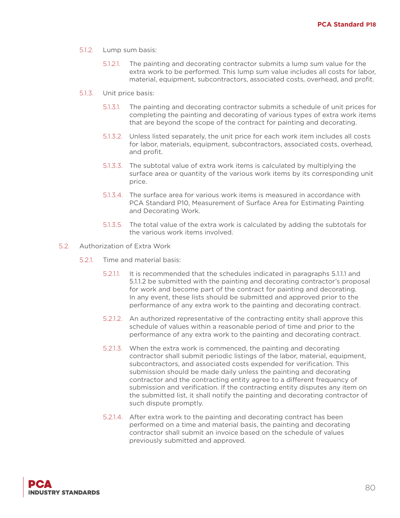- 5.1.2. Lump sum basis:
	- 5.1.2.1. The painting and decorating contractor submits a lump sum value for the extra work to be performed. This lump sum value includes all costs for labor, material, equipment, subcontractors, associated costs, overhead, and profit.
- 5.1.3. Unit price basis:
	- 5.1.3.1. The painting and decorating contractor submits a schedule of unit prices for completing the painting and decorating of various types of extra work items that are beyond the scope of the contract for painting and decorating.
	- 5.1.3.2. Unless listed separately, the unit price for each work item includes all costs for labor, materials, equipment, subcontractors, associated costs, overhead, and profit.
	- 5.1.3.3. The subtotal value of extra work items is calculated by multiplying the surface area or quantity of the various work items by its corresponding unit price.
	- 5.1.3.4. The surface area for various work items is measured in accordance with PCA Standard P10, Measurement of Surface Area for Estimating Painting and Decorating Work.
	- 5.1.3.5. The total value of the extra work is calculated by adding the subtotals for the various work items involved.
- 5.2. Authorization of Extra Work
	- 5.2.1. Time and material basis:
		- 5.2.1.1. It is recommended that the schedules indicated in paragraphs 5.1.1.1 and 5.1.1.2 be submitted with the painting and decorating contractor's proposal for work and become part of the contract for painting and decorating. In any event, these lists should be submitted and approved prior to the performance of any extra work to the painting and decorating contract.
		- 5.2.1.2. An authorized representative of the contracting entity shall approve this schedule of values within a reasonable period of time and prior to the performance of any extra work to the painting and decorating contract.
		- 5.2.1.3. When the extra work is commenced, the painting and decorating contractor shall submit periodic listings of the labor, material, equipment, subcontractors, and associated costs expended for verification. This submission should be made daily unless the painting and decorating contractor and the contracting entity agree to a different frequency of submission and verification. If the contracting entity disputes any item on the submitted list, it shall notify the painting and decorating contractor of such dispute promptly.
		- 5.2.1.4. After extra work to the painting and decorating contract has been performed on a time and material basis, the painting and decorating contractor shall submit an invoice based on the schedule of values previously submitted and approved.

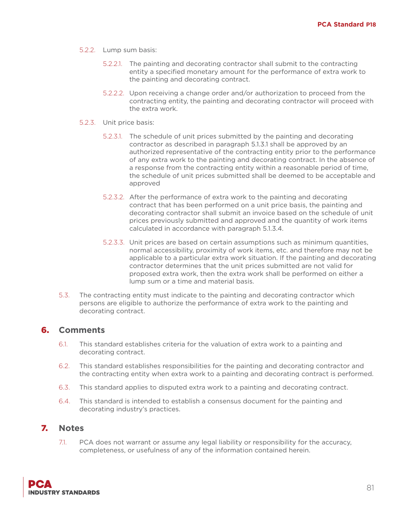- 5.2.2. Lump sum basis:
	- 5.2.2.1. The painting and decorating contractor shall submit to the contracting entity a specified monetary amount for the performance of extra work to the painting and decorating contract.
	- 5.2.2.2. Upon receiving a change order and/or authorization to proceed from the contracting entity, the painting and decorating contractor will proceed with the extra work.
- 5.2.3. Unit price basis:
	- 5.2.3.1. The schedule of unit prices submitted by the painting and decorating contractor as described in paragraph 5.1.3.1 shall be approved by an authorized representative of the contracting entity prior to the performance of any extra work to the painting and decorating contract. In the absence of a response from the contracting entity within a reasonable period of time, the schedule of unit prices submitted shall be deemed to be acceptable and approved
	- 5.2.3.2. After the performance of extra work to the painting and decorating contract that has been performed on a unit price basis, the painting and decorating contractor shall submit an invoice based on the schedule of unit prices previously submitted and approved and the quantity of work items calculated in accordance with paragraph 5.1.3.4.
	- 5.2.3.3. Unit prices are based on certain assumptions such as minimum quantities, normal accessibility, proximity of work items, etc. and therefore may not be applicable to a particular extra work situation. If the painting and decorating contractor determines that the unit prices submitted are not valid for proposed extra work, then the extra work shall be performed on either a lump sum or a time and material basis.
- 5.3. The contracting entity must indicate to the painting and decorating contractor which persons are eligible to authorize the performance of extra work to the painting and decorating contract.

- 6.1. This standard establishes criteria for the valuation of extra work to a painting and decorating contract.
- 6.2. This standard establishes responsibilities for the painting and decorating contractor and the contracting entity when extra work to a painting and decorating contract is performed.
- 6.3. This standard applies to disputed extra work to a painting and decorating contract.
- 6.4. This standard is intended to establish a consensus document for the painting and decorating industry's practices.

#### 7. **Notes**

7.1. PCA does not warrant or assume any legal liability or responsibility for the accuracy, completeness, or usefulness of any of the information contained herein.

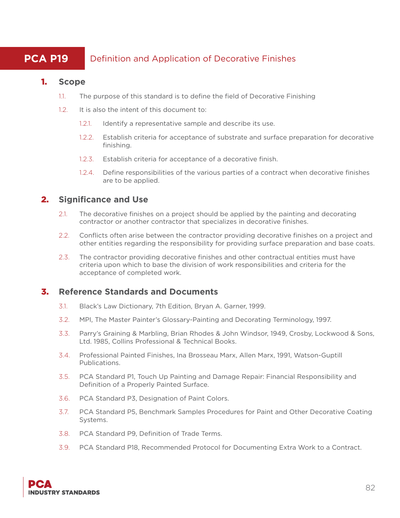# **PCA P19** Definition and Application of Decorative Finishes

#### 1. **Scope**

- 1.1. The purpose of this standard is to define the field of Decorative Finishing
- 1.2. It is also the intent of this document to:
	- 1.2.1. Identify a representative sample and describe its use.
	- 1.2.2. Establish criteria for acceptance of substrate and surface preparation for decorative finishing.
	- 1.2.3. Establish criteria for acceptance of a decorative finish.
	- 1.2.4. Define responsibilities of the various parties of a contract when decorative finishes are to be applied.

# 2. **Significance and Use**

- 2.1. The decorative finishes on a project should be applied by the painting and decorating contractor or another contractor that specializes in decorative finishes.
- 2.2. Conflicts often arise between the contractor providing decorative finishes on a project and other entities regarding the responsibility for providing surface preparation and base coats.
- 2.3. The contractor providing decorative finishes and other contractual entities must have criteria upon which to base the division of work responsibilities and criteria for the acceptance of completed work.

# 3. **Reference Standards and Documents**

- 3.1. Black's Law Dictionary, 7th Edition, Bryan A. Garner, 1999.
- 3.2. MPI, The Master Painter's Glossary-Painting and Decorating Terminology, 1997.
- 3.3. Parry's Graining & Marbling, Brian Rhodes & John Windsor, 1949, Crosby, Lockwood & Sons, Ltd. 1985, Collins Professional & Technical Books.
- 3.4. Professional Painted Finishes, Ina Brosseau Marx, Allen Marx, 1991, Watson-Guptill Publications.
- 3.5. PCA Standard P1, Touch Up Painting and Damage Repair: Financial Responsibility and Definition of a Properly Painted Surface.
- 3.6. PCA Standard P3, Designation of Paint Colors.
- 3.7. PCA Standard P5, Benchmark Samples Procedures for Paint and Other Decorative Coating Systems.
- 3.8. PCA Standard P9, Definition of Trade Terms.
- 3.9. PCA Standard P18, Recommended Protocol for Documenting Extra Work to a Contract.

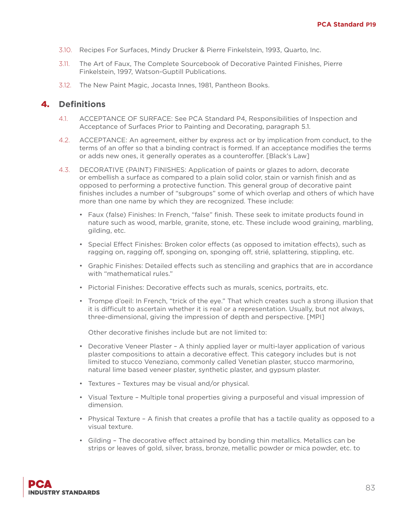- 3.10. Recipes For Surfaces, Mindy Drucker & Pierre Finkelstein, 1993, Quarto, Inc.
- 3.11. The Art of Faux, The Complete Sourcebook of Decorative Painted Finishes, Pierre Finkelstein, 1997, Watson-Guptill Publications.
- 3.12. The New Paint Magic, Jocasta Innes, 1981, Pantheon Books.

#### 4. **Definitions**

- 4.1. ACCEPTANCE OF SURFACE: See PCA Standard P4, Responsibilities of Inspection and Acceptance of Surfaces Prior to Painting and Decorating, paragraph 5.1.
- 4.2. ACCEPTANCE: An agreement, either by express act or by implication from conduct, to the terms of an offer so that a binding contract is formed. If an acceptance modifies the terms or adds new ones, it generally operates as a counteroffer. [Black's Law]
- 4.3. DECORATIVE (PAINT) FINISHES: Application of paints or glazes to adorn, decorate or embellish a surface as compared to a plain solid color, stain or varnish finish and as opposed to performing a protective function. This general group of decorative paint finishes includes a number of "subgroups" some of which overlap and others of which have more than one name by which they are recognized. These include:
	- Faux (false) Finishes: In French, "false" finish. These seek to imitate products found in nature such as wood, marble, granite, stone, etc. These include wood graining, marbling, gilding, etc.
	- Special Effect Finishes: Broken color effects (as opposed to imitation effects), such as ragging on, ragging off, sponging on, sponging off, strié, splattering, stippling, etc.
	- Graphic Finishes: Detailed effects such as stenciling and graphics that are in accordance with "mathematical rules."
	- Pictorial Finishes: Decorative effects such as murals, scenics, portraits, etc.
	- Trompe d'oeil: In French, "trick of the eye." That which creates such a strong illusion that it is difficult to ascertain whether it is real or a representation. Usually, but not always, three-dimensional, giving the impression of depth and perspective. [MPI]

Other decorative finishes include but are not limited to:

- Decorative Veneer Plaster A thinly applied layer or multi-layer application of various plaster compositions to attain a decorative effect. This category includes but is not limited to stucco Veneziano, commonly called Venetian plaster, stucco marmorino, natural lime based veneer plaster, synthetic plaster, and gypsum plaster.
- Textures Textures may be visual and/or physical.
- Visual Texture Multiple tonal properties giving a purposeful and visual impression of dimension.
- Physical Texture A finish that creates a profile that has a tactile quality as opposed to a visual texture.
- Gilding The decorative effect attained by bonding thin metallics. Metallics can be strips or leaves of gold, silver, brass, bronze, metallic powder or mica powder, etc. to

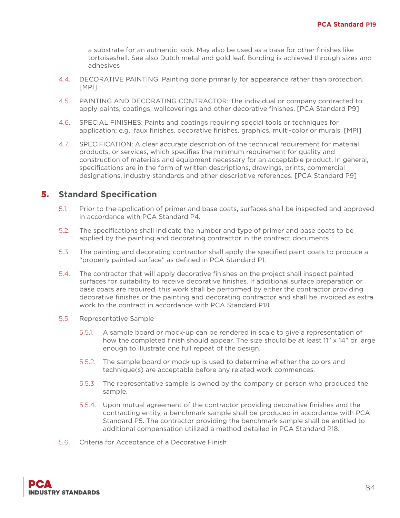a substrate for an authentic look. May also be used as a base for other finishes like tortoiseshell. See also Dutch metal and gold leaf. Bonding is achieved through sizes and adhesives

- 4.4. DECORATIVE PAINTING: Painting done primarily for appearance rather than protection. [MPI]
- 4.5. PAINTING AND DECORATING CONTRACTOR: The individual or company contracted to apply paints, coatings, wallcoverings and other decorative finishes. [PCA Standard P9]
- 4.6. SPECIAL FINISHES: Paints and coatings requiring special tools or techniques for application; e.g.: faux finishes, decorative finishes, graphics, multi-color or murals. [MPI]
- 4.7. SPECIFICATION: A clear accurate description of the technical requirement for material products, or services, which specifies the minimum requirement for quality and construction of materials and equipment necessary for an acceptable product. In general, specifications are in the form of written descriptions, drawings, prints, commercial designations, industry standards and other descriptive references. [PCA Standard P9]

- 5.1. Prior to the application of primer and base coats, surfaces shall be inspected and approved in accordance with PCA Standard P4.
- 5.2. The specifications shall indicate the number and type of primer and base coats to be applied by the painting and decorating contractor in the contract documents.
- 5.3. The painting and decorating contractor shall apply the specified paint coats to produce a "properly painted surface" as defined in PCA Standard P1.
- 5.4. The contractor that will apply decorative finishes on the project shall inspect painted surfaces for suitability to receive decorative finishes. If additional surface preparation or base coats are required, this work shall be performed by either the contractor providing decorative finishes or the painting and decorating contractor and shall be invoiced as extra work to the contract in accordance with PCA Standard P18.
- 5.5. Representative Sample
	- 5.5.1. A sample board or mock-up can be rendered in scale to give a representation of how the completed finish should appear. The size should be at least 11" x 14" or large enough to illustrate one full repeat of the design.
	- 5.5.2. The sample board or mock up is used to determine whether the colors and technique(s) are acceptable before any related work commences.
	- 5.5.3. The representative sample is owned by the company or person who produced the sample.
	- 5.5.4. Upon mutual agreement of the contractor providing decorative finishes and the contracting entity, a benchmark sample shall be produced in accordance with PCA Standard P5. The contractor providing the benchmark sample shall be entitled to additional compensation utilized a method detailed in PCA Standard P18.
- 5.6. Criteria for Acceptance of a Decorative Finish

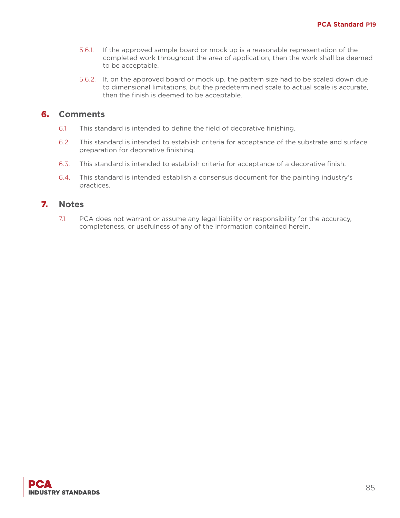- 5.6.1. If the approved sample board or mock up is a reasonable representation of the completed work throughout the area of application, then the work shall be deemed to be acceptable.
- 5.6.2. If, on the approved board or mock up, the pattern size had to be scaled down due to dimensional limitations, but the predetermined scale to actual scale is accurate, then the finish is deemed to be acceptable.

- 6.1. This standard is intended to define the field of decorative finishing.
- 6.2. This standard is intended to establish criteria for acceptance of the substrate and surface preparation for decorative finishing.
- 6.3. This standard is intended to establish criteria for acceptance of a decorative finish.
- 6.4. This standard is intended establish a consensus document for the painting industry's practices.

#### 7. **Notes**

7.1. PCA does not warrant or assume any legal liability or responsibility for the accuracy, completeness, or usefulness of any of the information contained herein.

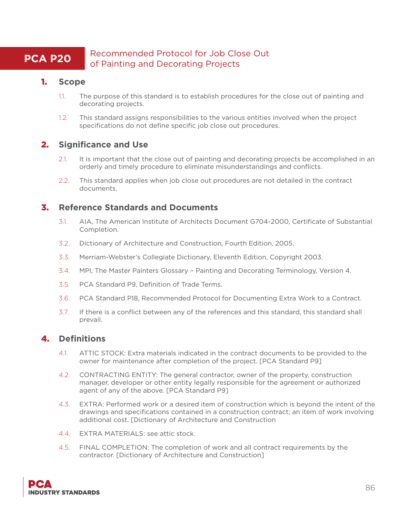# **PCA P20** Recommended Protocol for Job Close Out of Painting and Decorating Projects

#### 1. **Scope**

- 1.1. The purpose of this standard is to establish procedures for the close out of painting and decorating projects.
- 1.2. This standard assigns responsibilities to the various entities involved when the project specifications do not define specific job close out procedures.

# 2. **Significance and Use**

- 2.1. It is important that the close out of painting and decorating projects be accomplished in an orderly and timely procedure to eliminate misunderstandings and conflicts.
- 2.2. This standard applies when job close out procedures are not detailed in the contract documents.

# 3. **Reference Standards and Documents**

- 3.1. AIA, The American Institute of Architects Document G704-2000, Certificate of Substantial Completion.
- 3.2. Dictionary of Architecture and Construction, Fourth Edition, 2005.
- 3.3. Merriam-Webster's Collegiate Dictionary, Eleventh Edition, Copyright 2003.
- 3.4. MPI, The Master Painters Glossary Painting and Decorating Terminology, Version 4.
- 3.5. PCA Standard P9, Definition of Trade Terms.
- 3.6. PCA Standard P18, Recommended Protocol for Documenting Extra Work to a Contract.
- 3.7. If there is a conflict between any of the references and this standard, this standard shall prevail.

# 4. **Definitions**

- 4.1. ATTIC STOCK: Extra materials indicated in the contract documents to be provided to the owner for maintenance after completion of the project. [PCA Standard P9]
- 4.2. CONTRACTING ENTITY: The general contractor, owner of the property, construction manager, developer or other entity legally responsible for the agreement or authorized agent of any of the above. [PCA Standard P9]
- 4.3. EXTRA: Performed work or a desired item of construction which is beyond the intent of the drawings and specifications contained in a construction contract; an item of work involving additional cost. [Dictionary of Architecture and Construction
- 4.4. EXTRA MATERIALS: see attic stock.
- 4.5. FINAL COMPLETION: The completion of work and all contract requirements by the contractor. [Dictionary of Architecture and Construction]

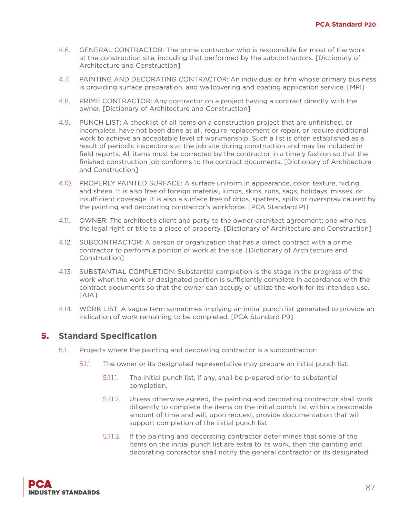- 4.6. GENERAL CONTRACTOR: The prime contractor who is responsible for most of the work at the construction site, including that performed by the subcontractors. [Dictionary of Architecture and Construction]
- 4.7. PAINTING AND DECORATING CONTRACTOR: An individual or firm whose primary business is providing surface preparation, and wallcovering and coating application service. [MPI]
- 4.8. PRIME CONTRACTOR: Any contractor on a project having a contract directly with the owner. [Dictionary of Architecture and Construction]
- 4.9. PUNCH LIST: A checklist of all items on a construction project that are unfinished, or incomplete, have not been done at all, require replacement or repair, or require additional work to achieve an acceptable level of workmanship. Such a list is often established as a result of periodic inspections at the job site during construction and may be included in field reports. All items must be corrected by the contractor in a timely fashion so that the finished construction job conforms to the contract documents. [Dictionary of Architecture and Construction]
- 4.10. PROPERLY PAINTED SURFACE: A surface uniform in appearance, color, texture, hiding and sheen. It is also free of foreign material, lumps, skins, runs, sags, holidays, misses, or insufficient coverage. It is also a surface free of drips, spatters, spills or overspray caused by the painting and decorating contractor's workforce. [PCA Standard P1]
- 4.11. OWNER: The architect's client and party to the owner-architect agreement; one who has the legal right or title to a piece of property. [Dictionary of Architecture and Construction]
- 4.12. SUBCONTRACTOR: A person or organization that has a direct contract with a prime contractor to perform a portion of work at the site. [Dictionary of Architecture and Construction]
- 4.13. SUBSTANTIAL COMPLETION: Substantial completion is the stage in the progress of the work when the work or designated portion is sufficiently complete in accordance with the contract documents so that the owner can occupy or utilize the work for its intended use. [AIA]
- 4.14. WORK LIST: A vague term sometimes implying an initial punch list generated to provide an indication of work remaining to be completed. [PCA Standard P9]

- 5.1. Projects where the painting and decorating contractor is a subcontractor:
	- 5.1.1. The owner or its designated representative may prepare an initial punch list.
		- 5.1.1.1. The initial punch list, if any, shall be prepared prior to substantial completion.
		- 5.1.1.2. Unless otherwise agreed, the painting and decorating contractor shall work diligently to complete the items on the initial punch list within a reasonable amount of time and will, upon request, provide documentation that will support completion of the initial punch list
		- 5.1.1.3. If the painting and decorating contractor deter mines that some of the items on the initial punch list are extra to its work, then the painting and decorating contractor shall notify the general contractor or its designated

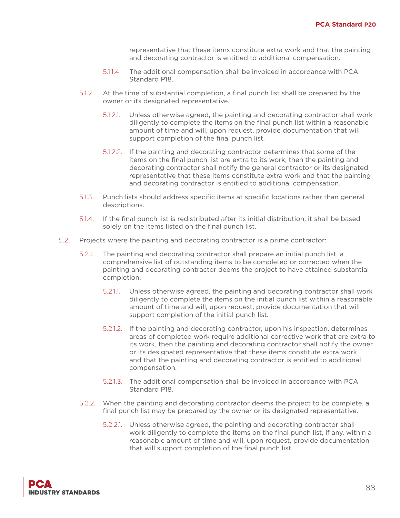representative that these items constitute extra work and that the painting and decorating contractor is entitled to additional compensation.

- 5.1.1.4. The additional compensation shall be invoiced in accordance with PCA Standard P18.
- 5.1.2. At the time of substantial completion, a final punch list shall be prepared by the owner or its designated representative.
	- 5.1.2.1. Unless otherwise agreed, the painting and decorating contractor shall work diligently to complete the items on the final punch list within a reasonable amount of time and will, upon request, provide documentation that will support completion of the final punch list.
	- 5.1.2.2. If the painting and decorating contractor determines that some of the items on the final punch list are extra to its work, then the painting and decorating contractor shall notify the general contractor or its designated representative that these items constitute extra work and that the painting and decorating contractor is entitled to additional compensation.
- 5.1.3. Punch lists should address specific items at specific locations rather than general descriptions.
- 5.1.4. If the final punch list is redistributed after its initial distribution, it shall be based solely on the items listed on the final punch list.
- 5.2. Projects where the painting and decorating contractor is a prime contractor:
	- 5.2.1. The painting and decorating contractor shall prepare an initial punch list, a comprehensive list of outstanding items to be completed or corrected when the painting and decorating contractor deems the project to have attained substantial completion.
		- 5.2.1.1. Unless otherwise agreed, the painting and decorating contractor shall work diligently to complete the items on the initial punch list within a reasonable amount of time and will, upon request, provide documentation that will support completion of the initial punch list.
		- 5.2.1.2. If the painting and decorating contractor, upon his inspection, determines areas of completed work require additional corrective work that are extra to its work, then the painting and decorating contractor shall notify the owner or its designated representative that these items constitute extra work and that the painting and decorating contractor is entitled to additional compensation.
		- 5.2.1.3. The additional compensation shall be invoiced in accordance with PCA Standard P18.
	- 5.2.2. When the painting and decorating contractor deems the project to be complete, a final punch list may be prepared by the owner or its designated representative.
		- 5.2.2.1. Unless otherwise agreed, the painting and decorating contractor shall work diligently to complete the items on the final punch list, if any, within a reasonable amount of time and will, upon request, provide documentation that will support completion of the final punch list.

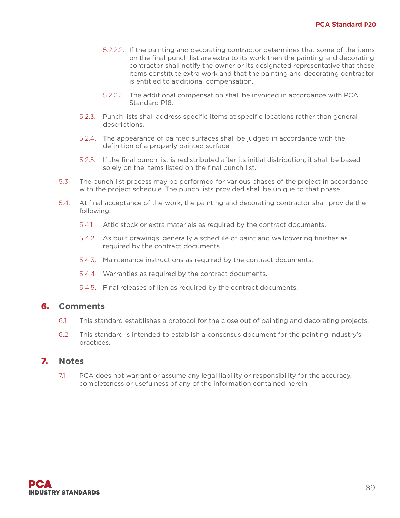- 5.2.2.2. If the painting and decorating contractor determines that some of the items on the final punch list are extra to its work then the painting and decorating contractor shall notify the owner or its designated representative that these items constitute extra work and that the painting and decorating contractor is entitled to additional compensation.
- 5.2.2.3. The additional compensation shall be invoiced in accordance with PCA Standard P18.
- 5.2.3. Punch lists shall address specific items at specific locations rather than general descriptions.
- 5.2.4. The appearance of painted surfaces shall be judged in accordance with the definition of a properly painted surface.
- 5.2.5. If the final punch list is redistributed after its initial distribution, it shall be based solely on the items listed on the final punch list.
- 5.3. The punch list process may be performed for various phases of the project in accordance with the project schedule. The punch lists provided shall be unique to that phase.
- 5.4. At final acceptance of the work, the painting and decorating contractor shall provide the following:
	- 5.4.1. Attic stock or extra materials as required by the contract documents.
	- 5.4.2. As built drawings, generally a schedule of paint and wallcovering finishes as required by the contract documents.
	- 5.4.3. Maintenance instructions as required by the contract documents.
	- 5.4.4. Warranties as required by the contract documents.
	- 5.4.5. Final releases of lien as required by the contract documents.

- 6.1. This standard establishes a protocol for the close out of painting and decorating projects.
- 6.2. This standard is intended to establish a consensus document for the painting industry's practices.

#### 7. **Notes**

7.1. PCA does not warrant or assume any legal liability or responsibility for the accuracy, completeness or usefulness of any of the information contained herein.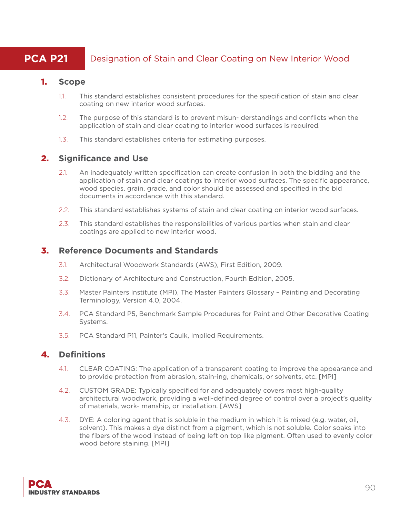# **PCA P21** Designation of Stain and Clear Coating on New Interior Wood

#### 1. **Scope**

- 1.1. This standard establishes consistent procedures for the specification of stain and clear coating on new interior wood surfaces.
- 1.2. The purpose of this standard is to prevent misun- derstandings and conflicts when the application of stain and clear coating to interior wood surfaces is required.
- 1.3. This standard establishes criteria for estimating purposes.

#### 2. **Significance and Use**

- 2.1. An inadequately written specification can create confusion in both the bidding and the application of stain and clear coatings to interior wood surfaces. The specific appearance, wood species, grain, grade, and color should be assessed and specified in the bid documents in accordance with this standard.
- 2.2. This standard establishes systems of stain and clear coating on interior wood surfaces.
- 2.3. This standard establishes the responsibilities of various parties when stain and clear coatings are applied to new interior wood.

#### 3. **Reference Documents and Standards**

- 3.1. Architectural Woodwork Standards (AWS), First Edition, 2009.
- 3.2. Dictionary of Architecture and Construction, Fourth Edition, 2005.
- 3.3. Master Painters Institute (MPI), The Master Painters Glossary Painting and Decorating Terminology, Version 4.0, 2004.
- 3.4. PCA Standard P5, Benchmark Sample Procedures for Paint and Other Decorative Coating Systems.
- 3.5. PCA Standard P11, Painter's Caulk, Implied Requirements.

# 4. **Definitions**

- 4.1. CLEAR COATING: The application of a transparent coating to improve the appearance and to provide protection from abrasion, stain-ing, chemicals, or solvents, etc. [MPI]
- 4.2. CUSTOM GRADE: Typically specified for and adequately covers most high-quality architectural woodwork, providing a well-defined degree of control over a project's quality of materials, work- manship, or installation. [AWS]
- 4.3. DYE: A coloring agent that is soluble in the medium in which it is mixed (e.g. water, oil, solvent). This makes a dye distinct from a pigment, which is not soluble. Color soaks into the fibers of the wood instead of being left on top like pigment. Often used to evenly color wood before staining. [MPI]

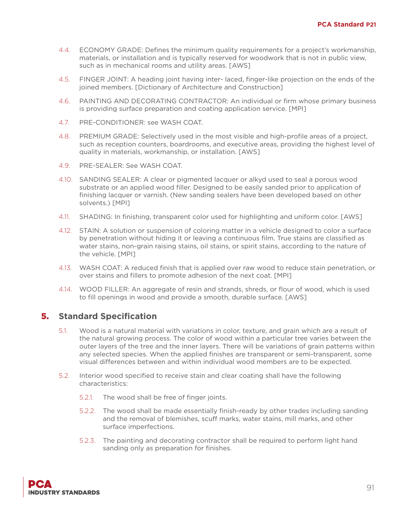- 4.4. ECONOMY GRADE: Defines the minimum quality requirements for a project's workmanship, materials, or installation and is typically reserved for woodwork that is not in public view, such as in mechanical rooms and utility areas. [AWS]
- 4.5. FINGER JOINT: A heading joint having inter- laced, finger-like projection on the ends of the joined members. [Dictionary of Architecture and Construction]
- 4.6. PAINTING AND DECORATING CONTRACTOR: An individual or firm whose primary business is providing surface preparation and coating application service. [MPI]
- 4.7. PRE-CONDITIONER: see WASH COAT.
- 4.8. PREMIUM GRADE: Selectively used in the most visible and high-profile areas of a project, such as reception counters, boardrooms, and executive areas, providing the highest level of quality in materials, workmanship, or installation. [AWS]
- 4.9. PRE-SEALER: See WASH COAT.
- 4.10. SANDING SEALER: A clear or pigmented lacquer or alkyd used to seal a porous wood substrate or an applied wood filler. Designed to be easily sanded prior to application of finishing lacquer or varnish. (New sanding sealers have been developed based on other solvents.) [MPI]
- 4.11. SHADING: In finishing, transparent color used for highlighting and uniform color. [AWS]
- 4.12. STAIN: A solution or suspension of coloring matter in a vehicle designed to color a surface by penetration without hiding it or leaving a continuous film. True stains are classified as water stains, non-grain raising stains, oil stains, or spirit stains, according to the nature of the vehicle. [MPI]
- 4.13. WASH COAT: A reduced finish that is applied over raw wood to reduce stain penetration, or over stains and fillers to promote adhesion of the next coat. [MPI]
- 4.14. WOOD FILLER: An aggregate of resin and strands, shreds, or flour of wood, which is used to fill openings in wood and provide a smooth, durable surface. [AWS]

- 5.1. Wood is a natural material with variations in color, texture, and grain which are a result of the natural growing process. The color of wood within a particular tree varies between the outer layers of the tree and the inner layers. There will be variations of grain patterns within any selected species. When the applied finishes are transparent or semi-transparent, some visual differences between and within individual wood members are to be expected.
- 5.2. Interior wood specified to receive stain and clear coating shall have the following characteristics:
	- 5.2.1. The wood shall be free of finger joints.
	- 5.2.2. The wood shall be made essentially finish-ready by other trades including sanding and the removal of blemishes, scuff marks, water stains, mill marks, and other surface imperfections.
	- 5.2.3. The painting and decorating contractor shall be required to perform light hand sanding only as preparation for finishes.

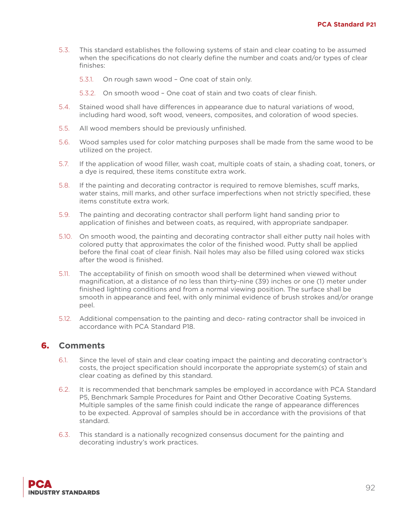- 5.3. This standard establishes the following systems of stain and clear coating to be assumed when the specifications do not clearly define the number and coats and/or types of clear finishes:
	- 5.3.1. On rough sawn wood One coat of stain only.
	- 5.3.2. On smooth wood One coat of stain and two coats of clear finish.
- 5.4. Stained wood shall have differences in appearance due to natural variations of wood, including hard wood, soft wood, veneers, composites, and coloration of wood species.
- 5.5. All wood members should be previously unfinished.
- 5.6. Wood samples used for color matching purposes shall be made from the same wood to be utilized on the project.
- 5.7. If the application of wood filler, wash coat, multiple coats of stain, a shading coat, toners, or a dye is required, these items constitute extra work.
- 5.8. If the painting and decorating contractor is required to remove blemishes, scuff marks, water stains, mill marks, and other surface imperfections when not strictly specified, these items constitute extra work.
- 5.9. The painting and decorating contractor shall perform light hand sanding prior to application of finishes and between coats, as required, with appropriate sandpaper.
- 5.10. On smooth wood, the painting and decorating contractor shall either putty nail holes with colored putty that approximates the color of the finished wood. Putty shall be applied before the final coat of clear finish. Nail holes may also be filled using colored wax sticks after the wood is finished.
- 5.11. The acceptability of finish on smooth wood shall be determined when viewed without magnification, at a distance of no less than thirty-nine (39) inches or one (1) meter under finished lighting conditions and from a normal viewing position. The surface shall be smooth in appearance and feel, with only minimal evidence of brush strokes and/or orange peel.
- 5.12. Additional compensation to the painting and deco- rating contractor shall be invoiced in accordance with PCA Standard P18.

- 6.1. Since the level of stain and clear coating impact the painting and decorating contractor's costs, the project specification should incorporate the appropriate system(s) of stain and clear coating as defined by this standard.
- 6.2. It is recommended that benchmark samples be employed in accordance with PCA Standard P5, Benchmark Sample Procedures for Paint and Other Decorative Coating Systems. Multiple samples of the same finish could indicate the range of appearance differences to be expected. Approval of samples should be in accordance with the provisions of that standard.
- 6.3. This standard is a nationally recognized consensus document for the painting and decorating industry's work practices.

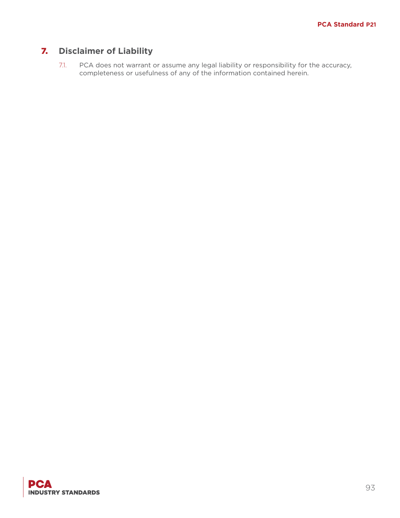# 7. **Disclaimer of Liability**

7.1. PCA does not warrant or assume any legal liability or responsibility for the accuracy, completeness or usefulness of any of the information contained herein.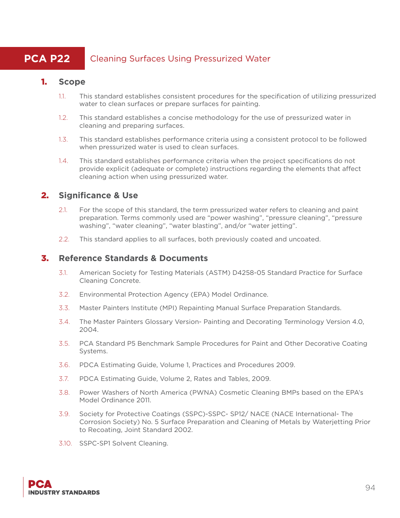# **PCA P22** Cleaning Surfaces Using Pressurized Water

#### 1. **Scope**

- 1.1. This standard establishes consistent procedures for the specification of utilizing pressurized water to clean surfaces or prepare surfaces for painting.
- 1.2. This standard establishes a concise methodology for the use of pressurized water in cleaning and preparing surfaces.
- 1.3. This standard establishes performance criteria using a consistent protocol to be followed when pressurized water is used to clean surfaces.
- 1.4. This standard establishes performance criteria when the project specifications do not provide explicit (adequate or complete) instructions regarding the elements that affect cleaning action when using pressurized water.

# 2. **Significance & Use**

- 2.1. For the scope of this standard, the term pressurized water refers to cleaning and paint preparation. Terms commonly used are "power washing", "pressure cleaning", "pressure washing", "water cleaning", "water blasting", and/or "water jetting".
- 2.2. This standard applies to all surfaces, both previously coated and uncoated.

### 3. **Reference Standards & Documents**

- 3.1. American Society for Testing Materials (ASTM) D4258-05 Standard Practice for Surface Cleaning Concrete.
- 3.2. Environmental Protection Agency (EPA) Model Ordinance.
- 3.3. Master Painters Institute (MPI) Repainting Manual Surface Preparation Standards.
- 3.4. The Master Painters Glossary Version- Painting and Decorating Terminology Version 4.0, 2004.
- 3.5. PCA Standard P5 Benchmark Sample Procedures for Paint and Other Decorative Coating Systems.
- 3.6. PDCA Estimating Guide, Volume 1, Practices and Procedures 2009.
- 3.7. PDCA Estimating Guide, Volume 2, Rates and Tables, 2009.
- 3.8. Power Washers of North America (PWNA) Cosmetic Cleaning BMPs based on the EPA's Model Ordinance 2011.
- 3.9. Society for Protective Coatings (SSPC)-SSPC- SP12/ NACE (NACE International- The Corrosion Society) No. 5 Surface Preparation and Cleaning of Metals by Waterjetting Prior to Recoating, Joint Standard 2002.
- 3.10. SSPC-SP1 Solvent Cleaning.

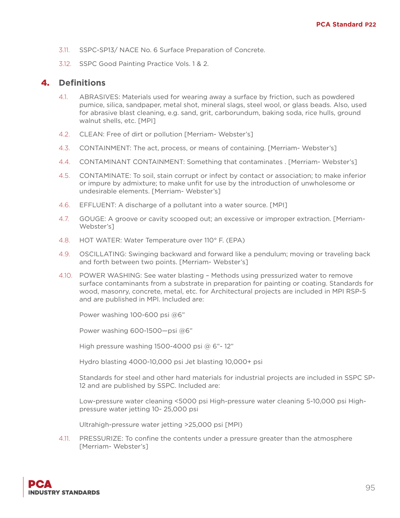- 3.11. SSPC-SP13/ NACE No. 6 Surface Preparation of Concrete.
- 3.12. SSPC Good Painting Practice Vols. 1 & 2.

#### 4. **Definitions**

- 4.1. ABRASIVES: Materials used for wearing away a surface by friction, such as powdered pumice, silica, sandpaper, metal shot, mineral slags, steel wool, or glass beads. Also, used for abrasive blast cleaning, e.g. sand, grit, carborundum, baking soda, rice hulls, ground walnut shells, etc. [MPI]
- 4.2. CLEAN: Free of dirt or pollution [Merriam- Webster's]
- 4.3. CONTAINMENT: The act, process, or means of containing. [Merriam- Webster's]
- 4.4. CONTAMINANT CONTAINMENT: Something that contaminates . [Merriam- Webster's]
- 4.5. CONTAMINATE: To soil, stain corrupt or infect by contact or association; to make inferior or impure by admixture; to make unfit for use by the introduction of unwholesome or undesirable elements. [Merriam- Webster's]
- 4.6. EFFLUENT: A discharge of a pollutant into a water source. [MPI]
- 4.7. GOUGE: A groove or cavity scooped out; an excessive or improper extraction. [Merriam-Webster's]
- 4.8. HOT WATER: Water Temperature over 110° F. (EPA)
- 4.9. OSCILLATING: Swinging backward and forward like a pendulum; moving or traveling back and forth between two points. [Merriam- Webster's]
- 4.10. POWER WASHING: See water blasting Methods using pressurized water to remove surface contaminants from a substrate in preparation for painting or coating. Standards for wood, masonry, concrete, metal, etc. for Architectural projects are included in MPI RSP-5 and are published in MPI. Included are:

Power washing 100-600 psi @6"

Power washing 600-1500—psi @6"

High pressure washing 1500-4000 psi @ 6"- 12"

Hydro blasting 4000-10,000 psi Jet blasting 10,000+ psi

Standards for steel and other hard materials for industrial projects are included in SSPC SP-12 and are published by SSPC. Included are:

Low-pressure water cleaning <5000 psi High-pressure water cleaning 5-10,000 psi Highpressure water jetting 10- 25,000 psi

Ultrahigh-pressure water jetting >25,000 psi [MPI}

4.11. PRESSURIZE: To confine the contents under a pressure greater than the atmosphere [Merriam- Webster's]

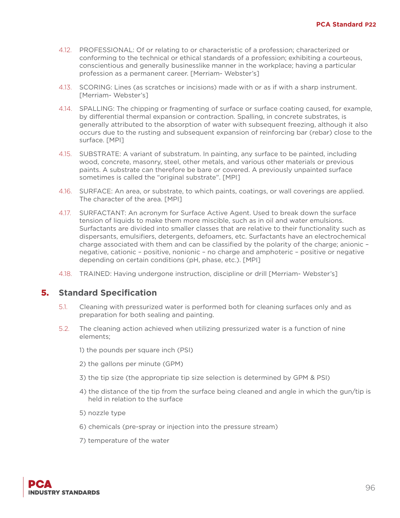- 4.12. PROFESSIONAL: Of or relating to or characteristic of a profession; characterized or conforming to the technical or ethical standards of a profession; exhibiting a courteous, conscientious and generally businesslike manner in the workplace; having a particular profession as a permanent career. [Merriam- Webster's]
- 4.13. SCORING: Lines (as scratches or incisions) made with or as if with a sharp instrument. [Merriam- Webster's]
- 4.14. SPALLING: The chipping or fragmenting of surface or surface coating caused, for example, by differential thermal expansion or contraction. Spalling, in concrete substrates, is generally attributed to the absorption of water with subsequent freezing, although it also occurs due to the rusting and subsequent expansion of reinforcing bar (rebar) close to the surface. [MPI]
- 4.15. SUBSTRATE: A variant of substratum. In painting, any surface to be painted, including wood, concrete, masonry, steel, other metals, and various other materials or previous paints. A substrate can therefore be bare or covered. A previously unpainted surface sometimes is called the "original substrate". [MPI]
- 4.16. SURFACE: An area, or substrate, to which paints, coatings, or wall coverings are applied. The character of the area. [MPI]
- 4.17. SURFACTANT: An acronym for Surface Active Agent. Used to break down the surface tension of liquids to make them more miscible, such as in oil and water emulsions. Surfactants are divided into smaller classes that are relative to their functionality such as dispersants, emulsifiers, detergents, defoamers, etc. Surfactants have an electrochemical charge associated with them and can be classified by the polarity of the charge; anionic – negative, cationic – positive, nonionic – no charge and amphoteric – positive or negative depending on certain conditions (pH, phase, etc.). [MPI]
- 4.18. TRAINED: Having undergone instruction, discipline or drill [Merriam- Webster's]

- 5.1. Cleaning with pressurized water is performed both for cleaning surfaces only and as preparation for both sealing and painting.
- 5.2. The cleaning action achieved when utilizing pressurized water is a function of nine elements;
	- 1) the pounds per square inch (PSI)
	- 2) the gallons per minute (GPM)
	- 3) the tip size (the appropriate tip size selection is determined by GPM & PSI)
	- 4) the distance of the tip from the surface being cleaned and angle in which the gun/tip is held in relation to the surface
	- 5) nozzle type
	- 6) chemicals (pre-spray or injection into the pressure stream)
	- 7) temperature of the water

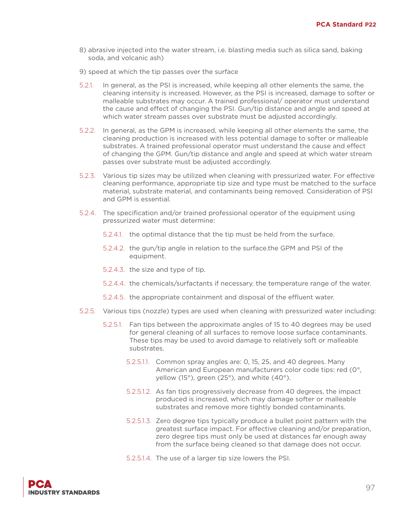- 8) abrasive injected into the water stream, i.e. blasting media such as silica sand, baking soda, and volcanic ash)
- 9) speed at which the tip passes over the surface
- 5.2.1. In general, as the PSI is increased, while keeping all other elements the same, the cleaning intensity is increased. However, as the PSI is increased, damage to softer or malleable substrates may occur. A trained professional/ operator must understand the cause and effect of changing the PSI. Gun/tip distance and angle and speed at which water stream passes over substrate must be adjusted accordingly.
- 5.2.2. In general, as the GPM is increased, while keeping all other elements the same, the cleaning production is increased with less potential damage to softer or malleable substrates. A trained professional operator must understand the cause and effect of changing the GPM. Gun/tip distance and angle and speed at which water stream passes over substrate must be adjusted accordingly.
- 5.2.3. Various tip sizes may be utilized when cleaning with pressurized water. For effective cleaning performance, appropriate tip size and type must be matched to the surface material, substrate material, and contaminants being removed. Consideration of PSI and GPM is essential.
- 5.2.4. The specification and/or trained professional operator of the equipment using pressurized water must determine:
	- 5.2.4.1. the optimal distance that the tip must be held from the surface.
	- 5.2.4.2. the gun/tip angle in relation to the surface.the GPM and PSI of the equipment.
	- 5.2.4.3. the size and type of tip.
	- 5.2.4.4. the chemicals/surfactants if necessary. the temperature range of the water.
	- 5.2.4.5. the appropriate containment and disposal of the effluent water.
- 5.2.5. Various tips (nozzle) types are used when cleaning with pressurized water including:
	- 5.2.5.1. Fan tips between the approximate angles of 15 to 40 degrees may be used for general cleaning of all surfaces to remove loose surface contaminants. These tips may be used to avoid damage to relatively soft or malleable substrates.
		- 5.2.5.1.1. Common spray angles are: 0, 15, 25, and 40 degrees. Many American and European manufacturers color code tips: red (0°, yellow (15°), green (25°), and white (40°).
		- 5.2.5.1.2. As fan tips progressively decrease from 40 degrees, the impact produced is increased, which may damage softer or malleable substrates and remove more tightly bonded contaminants.
		- 5.2.5.1.3. Zero degree tips typically produce a bullet point pattern with the greatest surface impact. For effective cleaning and/or preparation, zero degree tips must only be used at distances far enough away from the surface being cleaned so that damage does not occur.
		- 5.2.5.1.4. The use of a larger tip size lowers the PSI.

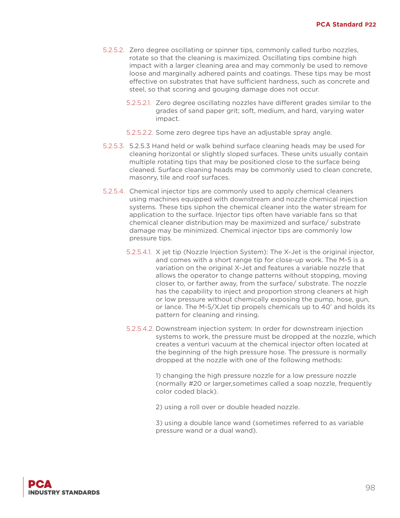- 5.2.5.2. Zero degree oscillating or spinner tips, commonly called turbo nozzles, rotate so that the cleaning is maximized. Oscillating tips combine high impact with a larger cleaning area and may commonly be used to remove loose and marginally adhered paints and coatings. These tips may be most effective on substrates that have sufficient hardness, such as concrete and steel, so that scoring and gouging damage does not occur.
	- 5.2.5.2.1. Zero degree oscillating nozzles have different grades similar to the grades of sand paper grit; soft, medium, and hard, varying water impact.
	- 5.2.5.2.2. Some zero degree tips have an adjustable spray angle.
- 5.2.5.3. 5.2.5.3 Hand held or walk behind surface cleaning heads may be used for cleaning horizontal or slightly sloped surfaces. These units usually contain multiple rotating tips that may be positioned close to the surface being cleaned. Surface cleaning heads may be commonly used to clean concrete, masonry, tile and roof surfaces.
- 5.2.5.4. Chemical injector tips are commonly used to apply chemical cleaners using machines equipped with downstream and nozzle chemical injection systems. These tips siphon the chemical cleaner into the water stream for application to the surface. Injector tips often have variable fans so that chemical cleaner distribution may be maximized and surface/ substrate damage may be minimized. Chemical injector tips are commonly low pressure tips.
	- 5.2.5.4.1. X jet tip (Nozzle Injection System): The X-Jet is the original injector, and comes with a short range tip for close-up work. The M-5 is a variation on the original X-Jet and features a variable nozzle that allows the operator to change patterns without stopping, moving closer to, or farther away, from the surface/ substrate. The nozzle has the capability to inject and proportion strong cleaners at high or low pressure without chemically exposing the pump, hose, gun, or lance. The M-5/XJet tip propels chemicals up to 40' and holds its pattern for cleaning and rinsing.
	- 5.2.5.4.2. Downstream injection system: In order for downstream injection systems to work, the pressure must be dropped at the nozzle, which creates a venturi vacuum at the chemical injector often located at the beginning of the high pressure hose. The pressure is normally dropped at the nozzle with one of the following methods:

1) changing the high pressure nozzle for a low pressure nozzle (normally #20 or larger,sometimes called a soap nozzle, frequently color coded black).

2) using a roll over or double headed nozzle.

3) using a double lance wand (sometimes referred to as variable pressure wand or a dual wand).

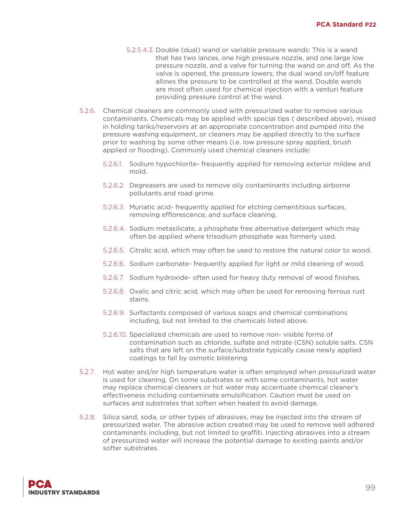- 5.2.5.4.3. Double (dual) wand or variable pressure wands: This is a wand that has two lances, one high pressure nozzle, and one large low pressure nozzle, and a valve for turning the wand on and off. As the valve is opened, the pressure lowers; the dual wand on/off feature allows the pressure to be controlled at the wand. Double wands are most often used for chemical injection with a venturi feature providing pressure control at the wand.
- 5.2.6. Chemical cleaners are commonly used with pressurized water to remove various contaminants. Chemicals may be applied with special tips ( described above), mixed in holding tanks/reservoirs at an appropriate concentration and pumped into the pressure washing equipment, or cleaners may be applied directly to the surface prior to washing by some other means (i.e. low pressure spray applied, brush applied or flooding). Commonly used chemical cleaners include:
	- 5.2.6.1. Sodium hypochlorite- frequently applied for removing exterior mildew and mold.
	- 5.2.6.2. Degreasers are used to remove oily contaminants including airborne pollutants and road grime.
	- 5.2.6.3. Muriatic acid- frequently applied for etching cementitious surfaces, removing efflorescence, and surface cleaning.
	- 5.2.6.4. Sodium metasilicate, a phosphate free alternative detergent which may often be applied where trisodium phosphate was formerly used.
	- 5.2.6.5. Citralic acid, which may often be used to restore the natural color to wood.
	- 5.2.6.6. Sodium carbonate- frequently applied for light or mild cleaning of wood.
	- 5.2.6.7. Sodium hydroxide- often used for heavy duty removal of wood finishes.
	- 5.2.6.8. Oxalic and citric acid, which may often be used for removing ferrous rust stains.
	- 5.2.6.9. Surfactants composed of various soaps and chemical combinations including, but not limited to the chemicals listed above.
	- 5.2.6.10. Specialized chemicals are used to remove non- visible forms of contamination such as chloride, sulfate and nitrate (CSN) soluble salts. CSN salts that are left on the surface/substrate typically cause newly applied coatings to fail by osmotic blistering.
- 5.2.7. Hot water and/or high temperature water is often employed when pressurized water is used for cleaning. On some substrates or with some contaminants, hot water may replace chemical cleaners or hot water may accentuate chemical cleaner's effectiveness including contaminate emulsification. Caution must be used on surfaces and substrates that soften when heated to avoid damage.
- 5.2.8. Silica sand, soda, or other types of abrasives, may be injected into the stream of pressurized water. The abrasive action created may be used to remove well adhered contaminants including, but not limited to graffiti. Injecting abrasives into a stream of pressurized water will increase the potential damage to existing paints and/or softer substrates.

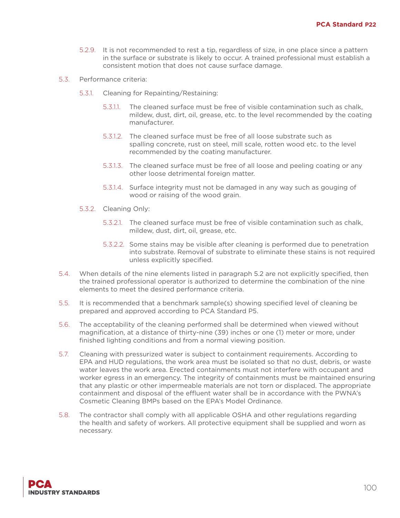- 5.2.9. It is not recommended to rest a tip, regardless of size, in one place since a pattern in the surface or substrate is likely to occur. A trained professional must establish a consistent motion that does not cause surface damage.
- 5.3. Performance criteria:
	- 5.3.1. Cleaning for Repainting/Restaining:
		- 5.3.1.1. The cleaned surface must be free of visible contamination such as chalk, mildew, dust, dirt, oil, grease, etc. to the level recommended by the coating manufacturer.
		- 5.3.1.2. The cleaned surface must be free of all loose substrate such as spalling concrete, rust on steel, mill scale, rotten wood etc. to the level recommended by the coating manufacturer.
		- 5.3.1.3. The cleaned surface must be free of all loose and peeling coating or any other loose detrimental foreign matter.
		- 5.3.1.4. Surface integrity must not be damaged in any way such as gouging of wood or raising of the wood grain.
	- 5.3.2. Cleaning Only:
		- 5.3.2.1. The cleaned surface must be free of visible contamination such as chalk, mildew, dust, dirt, oil, grease, etc.
		- 5.3.2.2. Some stains may be visible after cleaning is performed due to penetration into substrate. Removal of substrate to eliminate these stains is not required unless explicitly specified.
- 5.4. When details of the nine elements listed in paragraph 5.2 are not explicitly specified, then the trained professional operator is authorized to determine the combination of the nine elements to meet the desired performance criteria.
- 5.5. It is recommended that a benchmark sample(s) showing specified level of cleaning be prepared and approved according to PCA Standard P5.
- 5.6. The acceptability of the cleaning performed shall be determined when viewed without magnification, at a distance of thirty-nine (39) inches or one (1) meter or more, under finished lighting conditions and from a normal viewing position.
- 5.7. Cleaning with pressurized water is subject to containment requirements. According to EPA and HUD regulations, the work area must be isolated so that no dust, debris, or waste water leaves the work area. Erected containments must not interfere with occupant and worker egress in an emergency. The integrity of containments must be maintained ensuring that any plastic or other impermeable materials are not torn or displaced. The appropriate containment and disposal of the effluent water shall be in accordance with the PWNA's Cosmetic Cleaning BMPs based on the EPA's Model Ordinance.
- 5.8. The contractor shall comply with all applicable OSHA and other regulations regarding the health and safety of workers. All protective equipment shall be supplied and worn as necessary.

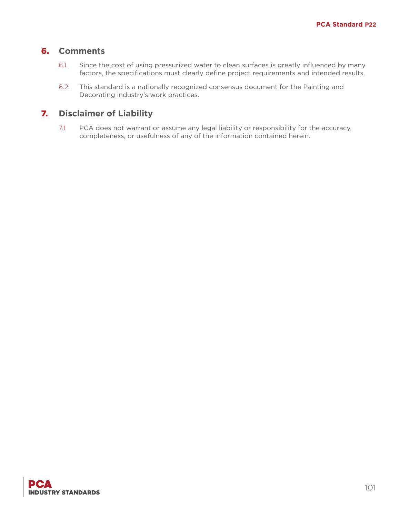- 6.1. Since the cost of using pressurized water to clean surfaces is greatly influenced by many factors, the specifications must clearly define project requirements and intended results.
- 6.2. This standard is a nationally recognized consensus document for the Painting and Decorating industry's work practices.

# 7. **Disclaimer of Liability**

7.1. PCA does not warrant or assume any legal liability or responsibility for the accuracy, completeness, or usefulness of any of the information contained herein.

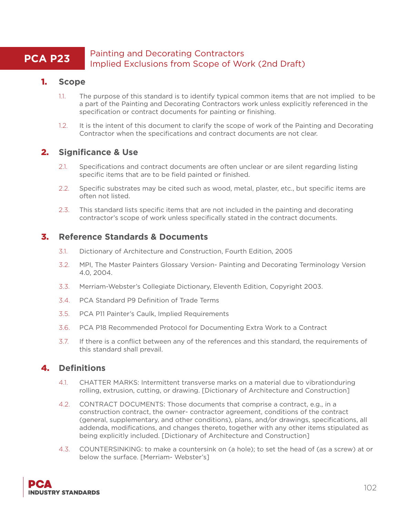# **PCA P23** Painting and Decorating Contractors Implied Exclusions from Scope of Work (2nd Draft)

### 1. **Scope**

- 1.1. The purpose of this standard is to identify typical common items that are not implied to be a part of the Painting and Decorating Contractors work unless explicitly referenced in the specification or contract documents for painting or finishing.
- 1.2. It is the intent of this document to clarify the scope of work of the Painting and Decorating Contractor when the specifications and contract documents are not clear.

# 2. **Significance & Use**

- 2.1. Specifications and contract documents are often unclear or are silent regarding listing specific items that are to be field painted or finished.
- 2.2. Specific substrates may be cited such as wood, metal, plaster, etc., but specific items are often not listed.
- 2.3. This standard lists specific items that are not included in the painting and decorating contractor's scope of work unless specifically stated in the contract documents.

# 3. **Reference Standards & Documents**

- 3.1. Dictionary of Architecture and Construction, Fourth Edition, 2005
- 3.2. MPI, The Master Painters Glossary Version- Painting and Decorating Terminology Version 4.0, 2004.
- 3.3. Merriam-Webster's Collegiate Dictionary, Eleventh Edition, Copyright 2003.
- 3.4. PCA Standard P9 Definition of Trade Terms
- 3.5. PCA P11 Painter's Caulk, Implied Requirements
- 3.6. PCA P18 Recommended Protocol for Documenting Extra Work to a Contract
- 3.7. If there is a conflict between any of the references and this standard, the requirements of this standard shall prevail.

# 4. **Definitions**

- 4.1. CHATTER MARKS: Intermittent transverse marks on a material due to vibrationduring rolling, extrusion, cutting, or drawing. [Dictionary of Architecture and Construction]
- 4.2. CONTRACT DOCUMENTS: Those documents that comprise a contract, e.g., in a construction contract, the owner- contractor agreement, conditions of the contract (general, supplementary, and other conditions), plans, and/or drawings, specifications, all addenda, modifications, and changes thereto, together with any other items stipulated as being explicitly included. [Dictionary of Architecture and Construction]
- 4.3. COUNTERSINKING: to make a countersink on (a hole); to set the head of (as a screw) at or below the surface. [Merriam- Webster's]

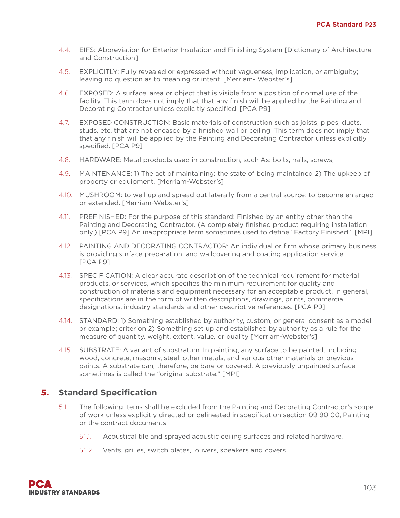- 4.4. EIFS: Abbreviation for Exterior Insulation and Finishing System [Dictionary of Architecture and Construction]
- 4.5. EXPLICITLY: Fully revealed or expressed without vagueness, implication, or ambiguity; leaving no question as to meaning or intent. [Merriam- Webster's]
- 4.6. EXPOSED: A surface, area or object that is visible from a position of normal use of the facility. This term does not imply that that any finish will be applied by the Painting and Decorating Contractor unless explicitly specified. [PCA P9]
- 4.7. EXPOSED CONSTRUCTION: Basic materials of construction such as joists, pipes, ducts, studs, etc. that are not encased by a finished wall or ceiling. This term does not imply that that any finish will be applied by the Painting and Decorating Contractor unless explicitly specified. [PCA P9]
- 4.8. HARDWARE: Metal products used in construction, such As: bolts, nails, screws,
- 4.9. MAINTENANCE: 1) The act of maintaining; the state of being maintained 2) The upkeep of property or equipment. [Merriam-Webster's]
- 4.10. MUSHROOM: to well up and spread out laterally from a central source; to become enlarged or extended. [Merriam-Webster's]
- 4.11. PREFINISHED: For the purpose of this standard: Finished by an entity other than the Painting and Decorating Contractor. (A completely finished product requiring installation only.) [PCA P9] An inappropriate term sometimes used to define "Factory Finished". [MPI]
- 4.12. PAINTING AND DECORATING CONTRACTOR: An individual or firm whose primary business is providing surface preparation, and wallcovering and coating application service. [PCA P9]
- 4.13. SPECIFICATION; A clear accurate description of the technical requirement for material products, or services, which specifies the minimum requirement for quality and construction of materials and equipment necessary for an acceptable product. In general, specifications are in the form of written descriptions, drawings, prints, commercial designations, industry standards and other descriptive references. [PCA P9]
- 4.14. STANDARD: 1) Something established by authority, custom, or general consent as a model or example; criterion 2) Something set up and established by authority as a rule for the measure of quantity, weight, extent, value, or quality [Merriam-Webster's]
- 4.15. SUBSTRATE: A variant of substratum. In painting, any surface to be painted, including wood, concrete, masonry, steel, other metals, and various other materials or previous paints. A substrate can, therefore, be bare or covered. A previously unpainted surface sometimes is called the "original substrate." [MPI]

- 5.1. The following items shall be excluded from the Painting and Decorating Contractor's scope of work unless explicitly directed or delineated in specification section 09 90 00, Painting or the contract documents:
	- 5.1.1. Acoustical tile and sprayed acoustic ceiling surfaces and related hardware.
	- 5.1.2. Vents, grilles, switch plates, louvers, speakers and covers.

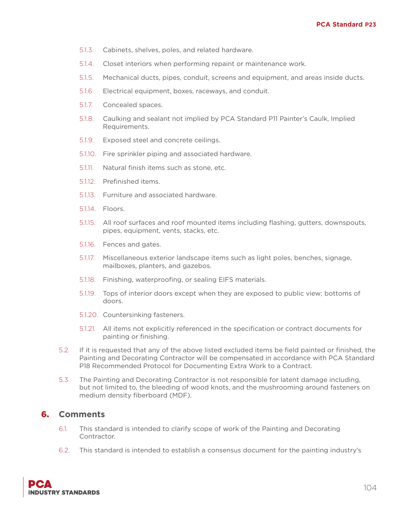- 5.1.3. Cabinets, shelves, poles, and related hardware.
- 5.1.4. Closet interiors when performing repaint or maintenance work.
- 5.1.5. Mechanical ducts, pipes, conduit, screens and equipment, and areas inside ducts.
- 5.1.6. Electrical equipment, boxes, raceways, and conduit.
- 5.1.7. Concealed spaces.
- 5.1.8. Caulking and sealant not implied by PCA Standard P11 Painter's Caulk, Implied Requirements.
- 5.1.9. Exposed steel and concrete ceilings.
- 5.1.10. Fire sprinkler piping and associated hardware.
- 5.1.11. Natural finish items such as stone, etc.
- 5.1.12. Prefinished items.
- 5.1.13. Furniture and associated hardware.
- 5.1.14. Floors.
- 5.1.15. All roof surfaces and roof mounted items including flashing, gutters, downspouts, pipes, equipment, vents, stacks, etc.
- 5.1.16. Fences and gates.
- 5.1.17. Miscellaneous exterior landscape items such as light poles, benches, signage, mailboxes, planters, and gazebos.
- 5.1.18. Finishing, waterproofing, or sealing EIFS materials.
- 5.1.19. Tops of interior doors except when they are exposed to public view; bottoms of doors.
- 5.1.20. Countersinking fasteners.
- 5.1.21. All items not explicitly referenced in the specification or contract documents for painting or finishing.
- 5.2. If it is requested that any of the above listed excluded items be field painted or finished, the Painting and Decorating Contractor will be compensated in accordance with PCA Standard P18 Recommended Protocol for Documenting Extra Work to a Contract.
- 5.3. The Painting and Decorating Contractor is not responsible for latent damage including, but not limited to, the bleeding of wood knots, and the mushrooming around fasteners on medium density fiberboard (MDF).

- 6.1. This standard is intended to clarify scope of work of the Painting and Decorating Contractor.
- 6.2. This standard is intended to establish a consensus document for the painting industry's

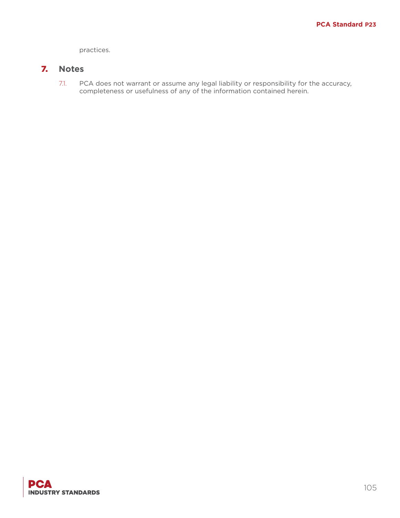practices.

# 7. **Notes**

7.1. PCA does not warrant or assume any legal liability or responsibility for the accuracy, completeness or usefulness of any of the information contained herein.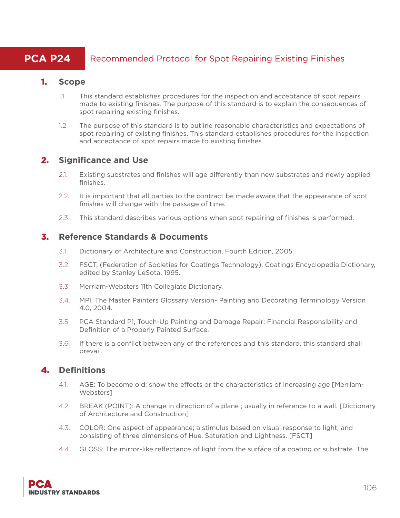# **PCA P24** Recommended Protocol for Spot Repairing Existing Finishes

#### 1. **Scope**

- 1.1. This standard establishes procedures for the inspection and acceptance of spot repairs made to existing finishes. The purpose of this standard is to explain the consequences of spot repairing existing finishes.
- 1.2. The purpose of this standard is to outline reasonable characteristics and expectations of spot repairing of existing finishes. This standard establishes procedures for the inspection and acceptance of spot repairs made to existing finishes.

# 2. **Significance and Use**

- 2.1. Existing substrates and finishes will age differently than new substrates and newly applied finishes.
- 2.2. It is important that all parties to the contract be made aware that the appearance of spot finishes will change with the passage of time.
- 2.3. This standard describes various options when spot repairing of finishes is performed.

#### 3. **Reference Standards & Documents**

- 3.1. Dictionary of Architecture and Construction, Fourth Edition, 2005
- 3.2. FSCT, (Federation of Societies for Coatings Technology), Coatings Encyclopedia Dictionary, edited by Stanley LeSota, 1995.
- 3.3. Merriam-Websters 11th Collegiate Dictionary.
- 3.4. MPI, The Master Painters Glossary Version- Painting and Decorating Terminology Version 4.0, 2004.
- 3.5. PCA Standard P1, Touch-Up Painting and Damage Repair: Financial Responsibility and Definition of a Properly Painted Surface.
- 3.6. If there is a conflict between any of the references and this standard, this standard shall prevail.

# 4. **Definitions**

- 4.1. AGE: To become old; show the effects or the characteristics of increasing age [Merriam-Websters]
- 4.2. BREAK (POINT): A change in direction of a plane ; usually in reference to a wall. [Dictionary of Architecture and Construction]
- 4.3. COLOR: One aspect of appearance; a stimulus based on visual response to light, and consisting of three dimensions of Hue, Saturation and Lightness. [FSCT]
- 4.4. GLOSS: The mirror-like reflectance of light from the surface of a coating or substrate. The

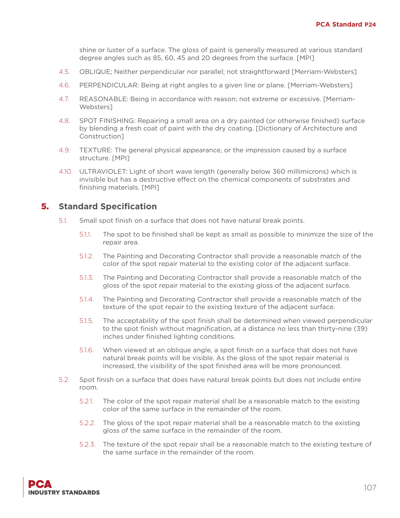shine or luster of a surface. The gloss of paint is generally measured at various standard degree angles such as 85, 60, 45 and 20 degrees from the surface. [MPI]

- 4.5. OBLIQUE; Neither perpendicular nor parallel; not straightforward [Merriam-Websters]
- 4.6. PERPENDICULAR: Being at right angles to a given line or plane. [Merriam-Websters]
- 4.7. REASONABLE: Being in accordance with reason; not extreme or excessive. [Merriam-Websters]
- 4.8. SPOT FINISHING: Repairing a small area on a dry painted (or otherwise finished) surface by blending a fresh coat of paint with the dry coating. [Dictionary of Architecture and Construction]
- 4.9. TEXTURE: The general physical appearance, or the impression caused by a surface structure. [MPI]
- 4.10. ULTRAVIOLET: Light of short wave length (generally below 360 millimicrons) which is invisible but has a destructive effect on the chemical components of substrates and finishing materials. [MPI]

- 5.1. Small spot finish on a surface that does not have natural break points.
	- 5.1.1. The spot to be finished shall be kept as small as possible to minimize the size of the repair area.
	- 5.1.2. The Painting and Decorating Contractor shall provide a reasonable match of the color of the spot repair material to the existing color of the adjacent surface.
	- 5.1.3. The Painting and Decorating Contractor shall provide a reasonable match of the gloss of the spot repair material to the existing gloss of the adjacent surface.
	- 5.1.4. The Painting and Decorating Contractor shall provide a reasonable match of the texture of the spot repair to the existing texture of the adjacent surface.
	- 5.1.5. The acceptability of the spot finish shall be determined when viewed perpendicular to the spot finish without magnification, at a distance no less than thirty-nine (39) inches under finished lighting conditions.
	- 5.1.6. When viewed at an oblique angle, a spot finish on a surface that does not have natural break points will be visible. As the gloss of the spot repair material is increased, the visibility of the spot finished area will be more pronounced.
- 5.2. Spot finish on a surface that does have natural break points but does not include entire room.
	- 5.2.1. The color of the spot repair material shall be a reasonable match to the existing color of the same surface in the remainder of the room.
	- 5.2.2. The gloss of the spot repair material shall be a reasonable match to the existing gloss of the same surface in the remainder of the room.
	- 5.2.3. The texture of the spot repair shall be a reasonable match to the existing texture of the same surface in the remainder of the room.

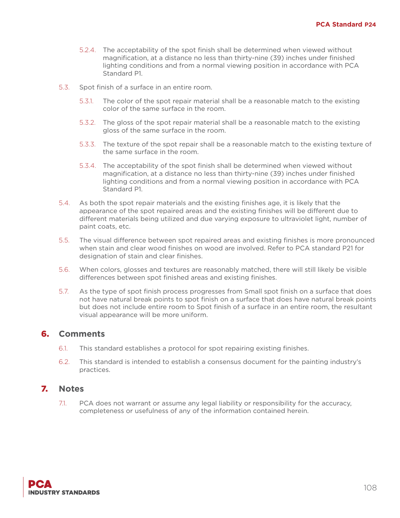- 5.2.4. The acceptability of the spot finish shall be determined when viewed without magnification, at a distance no less than thirty-nine (39) inches under finished lighting conditions and from a normal viewing position in accordance with PCA Standard P1.
- 5.3. Spot finish of a surface in an entire room.
	- 5.3.1. The color of the spot repair material shall be a reasonable match to the existing color of the same surface in the room.
	- 5.3.2. The gloss of the spot repair material shall be a reasonable match to the existing gloss of the same surface in the room.
	- 5.3.3. The texture of the spot repair shall be a reasonable match to the existing texture of the same surface in the room.
	- 5.3.4. The acceptability of the spot finish shall be determined when viewed without magnification, at a distance no less than thirty-nine (39) inches under finished lighting conditions and from a normal viewing position in accordance with PCA Standard P1.
- 5.4. As both the spot repair materials and the existing finishes age, it is likely that the appearance of the spot repaired areas and the existing finishes will be different due to different materials being utilized and due varying exposure to ultraviolet light, number of paint coats, etc.
- 5.5. The visual difference between spot repaired areas and existing finishes is more pronounced when stain and clear wood finishes on wood are involved. Refer to PCA standard P21 for designation of stain and clear finishes.
- 5.6. When colors, glosses and textures are reasonably matched, there will still likely be visible differences between spot finished areas and existing finishes.
- 5.7. As the type of spot finish process progresses from Small spot finish on a surface that does not have natural break points to spot finish on a surface that does have natural break points but does not include entire room to Spot finish of a surface in an entire room, the resultant visual appearance will be more uniform.

- 6.1. This standard establishes a protocol for spot repairing existing finishes.
- 6.2. This standard is intended to establish a consensus document for the painting industry's practices.

#### 7. **Notes**

7.1. PCA does not warrant or assume any legal liability or responsibility for the accuracy, completeness or usefulness of any of the information contained herein.

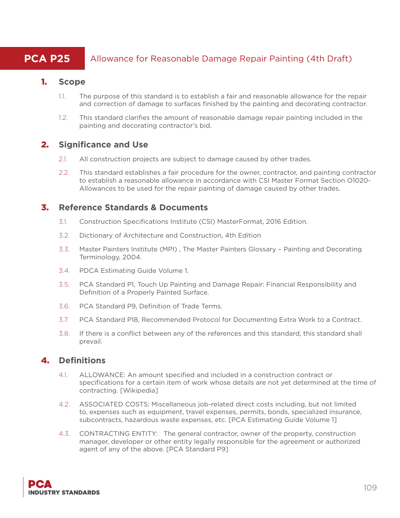# **PCA P25** Allowance for Reasonable Damage Repair Painting (4th Draft)

#### 1. **Scope**

- 1.1. The purpose of this standard is to establish a fair and reasonable allowance for the repair and correction of damage to surfaces finished by the painting and decorating contractor.
- 1.2. This standard clarifies the amount of reasonable damage repair painting included in the painting and decorating contractor's bid.

## 2. **Significance and Use**

- 2.1. All construction projects are subject to damage caused by other trades.
- 2.2. This standard establishes a fair procedure for the owner, contractor, and painting contractor to establish a reasonable allowance in accordance with CSI Master Format Section O1020- Allowances to be used for the repair painting of damage caused by other trades.

#### 3. **Reference Standards & Documents**

- 3.1. Construction Specifications Institute (CSI) MasterFormat, 2016 Edition.
- 3.2. Dictionary of Architecture and Construction, 4th Edition
- 3.3. Master Painters Institute (MPI) , The Master Painters Glossary Painting and Decorating Terminology, 2004.
- 3.4. PDCA Estimating Guide Volume 1.
- 3.5. PCA Standard P1, Touch Up Painting and Damage Repair: Financial Responsibility and Definition of a Properly Painted Surface.
- 3.6. PCA Standard P9, Definition of Trade Terms.
- 3.7. PCA Standard P18, Recommended Protocol for Documenting Extra Work to a Contract.
- 3.8. If there is a conflict between any of the references and this standard, this standard shall prevail.

# 4. **Definitions**

- 4.1. ALLOWANCE: An amount specified and included in a construction contract or specifications for a certain item of work whose details are not yet determined at the time of contracting. [Wikipedia]
- 4.2. ASSOCIATED COSTS: Miscellaneous job-related direct costs including, but not limited to, expenses such as equipment, travel expenses, permits, bonds, specialized insurance, subcontracts, hazardous waste expenses, etc. [PCA Estimating Guide Volume 1]
- 4.3. CONTRACTING ENTITY: The general contractor, owner of the property, construction manager, developer or other entity legally responsible for the agreement or authorized agent of any of the above. [PCA Standard P9]

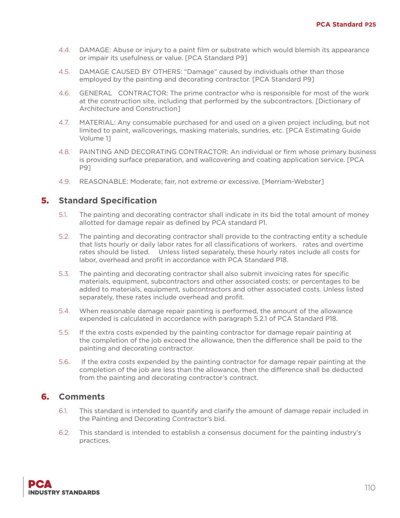- 4.4. DAMAGE: Abuse or injury to a paint film or substrate which would blemish its appearance or impair its usefulness or value. [PCA Standard P9]
- 4.5. DAMAGE CAUSED BY OTHERS: "Damage" caused by individuals other than those employed by the painting and decorating contractor. [PCA Standard P9]
- 4.6. GENERAL CONTRACTOR: The prime contractor who is responsible for most of the work at the construction site, including that performed by the subcontractors. [Dictionary of Architecture and Construction]
- 4.7. MATERIAL: Any consumable purchased for and used on a given project including, but not limited to paint, wallcoverings, masking materials, sundries, etc. [PCA Estimating Guide Volume 1]
- 4.8. PAINTING AND DECORATING CONTRACTOR: An individual or firm whose primary business is providing surface preparation, and wallcovering and coating application service. [PCA P9]
- 4.9. REASONABLE: Moderate; fair, not extreme or excessive. [Merriam-Webster]

## 5. **Standard Specification**

- 5.1. The painting and decorating contractor shall indicate in its bid the total amount of money allotted for damage repair as defined by PCA standard P1.
- 5.2. The painting and decorating contractor shall provide to the contracting entity a schedule that lists hourly or daily labor rates for all classifications of workers. rates and overtime rates should be listed. Unless listed separately, these hourly rates include all costs for labor, overhead and profit in accordance with PCA Standard P18.
- 5.3. The painting and decorating contractor shall also submit invoicing rates for specific materials, equipment, subcontractors and other associated costs; or percentages to be added to materials, equipment, subcontractors and other associated costs. Unless listed separately, these rates include overhead and profit.
- 5.4. When reasonable damage repair painting is performed, the amount of the allowance expended is calculated in accordance with paragraph 5.2.1 of PCA Standard P18.
- 5.5. If the extra costs expended by the painting contractor for damage repair painting at the completion of the job exceed the allowance, then the difference shall be paid to the painting and decorating contractor.
- 5.6. If the extra costs expended by the painting contractor for damage repair painting at the completion of the job are less than the allowance, then the difference shall be deducted from the painting and decorating contractor's contract.

# 6. **Comments**

- 6.1. This standard is intended to quantify and clarify the amount of damage repair included in the Painting and Decorating Contractor's bid.
- 6.2. This standard is intended to establish a consensus document for the painting industry's practices.